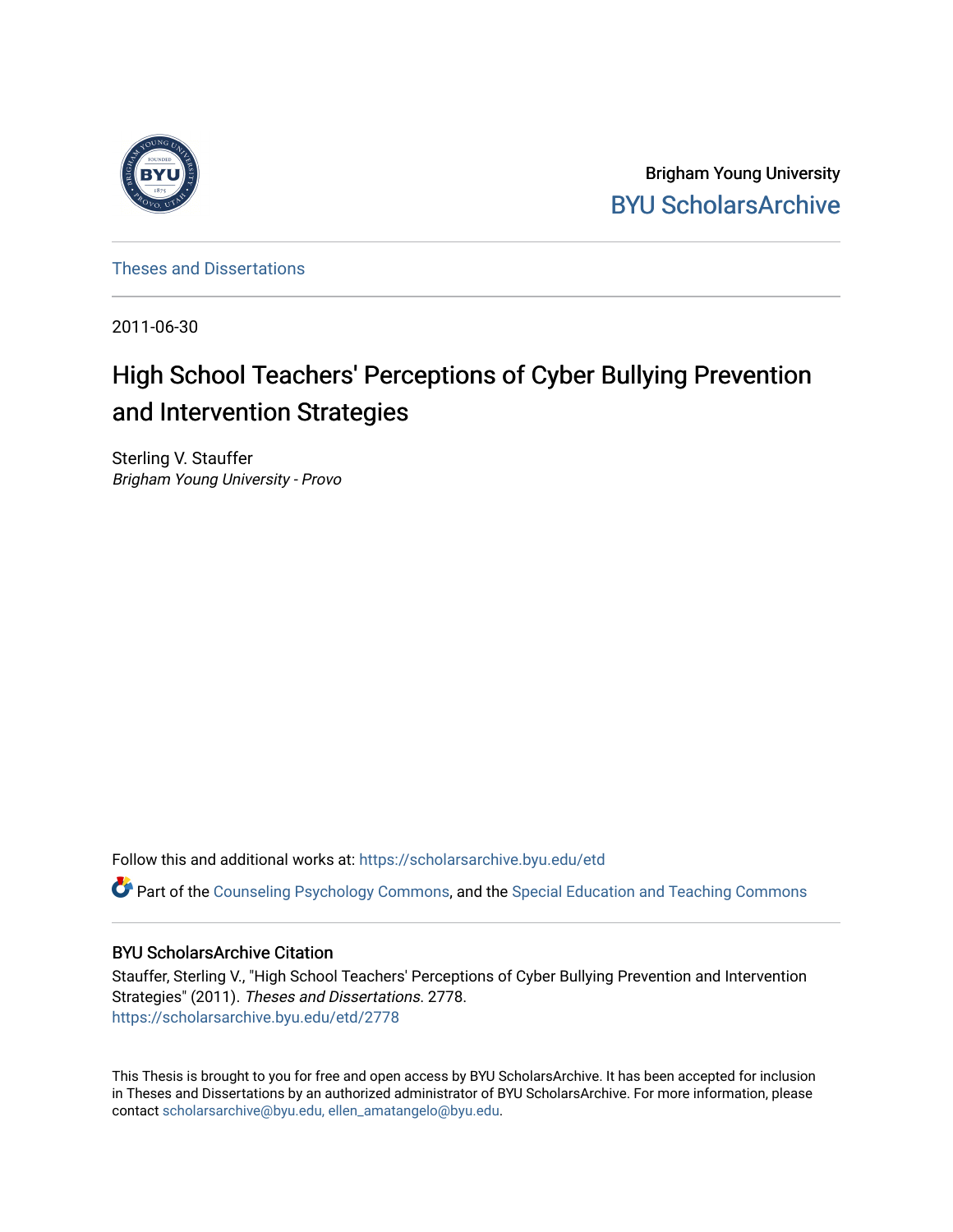

Brigham Young University [BYU ScholarsArchive](https://scholarsarchive.byu.edu/) 

[Theses and Dissertations](https://scholarsarchive.byu.edu/etd)

2011-06-30

# High School Teachers' Perceptions of Cyber Bullying Prevention and Intervention Strategies

Sterling V. Stauffer Brigham Young University - Provo

Follow this and additional works at: [https://scholarsarchive.byu.edu/etd](https://scholarsarchive.byu.edu/etd?utm_source=scholarsarchive.byu.edu%2Fetd%2F2778&utm_medium=PDF&utm_campaign=PDFCoverPages)

Part of the [Counseling Psychology Commons](http://network.bepress.com/hgg/discipline/1044?utm_source=scholarsarchive.byu.edu%2Fetd%2F2778&utm_medium=PDF&utm_campaign=PDFCoverPages), and the [Special Education and Teaching Commons](http://network.bepress.com/hgg/discipline/801?utm_source=scholarsarchive.byu.edu%2Fetd%2F2778&utm_medium=PDF&utm_campaign=PDFCoverPages) 

### BYU ScholarsArchive Citation

Stauffer, Sterling V., "High School Teachers' Perceptions of Cyber Bullying Prevention and Intervention Strategies" (2011). Theses and Dissertations. 2778. [https://scholarsarchive.byu.edu/etd/2778](https://scholarsarchive.byu.edu/etd/2778?utm_source=scholarsarchive.byu.edu%2Fetd%2F2778&utm_medium=PDF&utm_campaign=PDFCoverPages) 

This Thesis is brought to you for free and open access by BYU ScholarsArchive. It has been accepted for inclusion in Theses and Dissertations by an authorized administrator of BYU ScholarsArchive. For more information, please contact [scholarsarchive@byu.edu, ellen\\_amatangelo@byu.edu](mailto:scholarsarchive@byu.edu,%20ellen_amatangelo@byu.edu).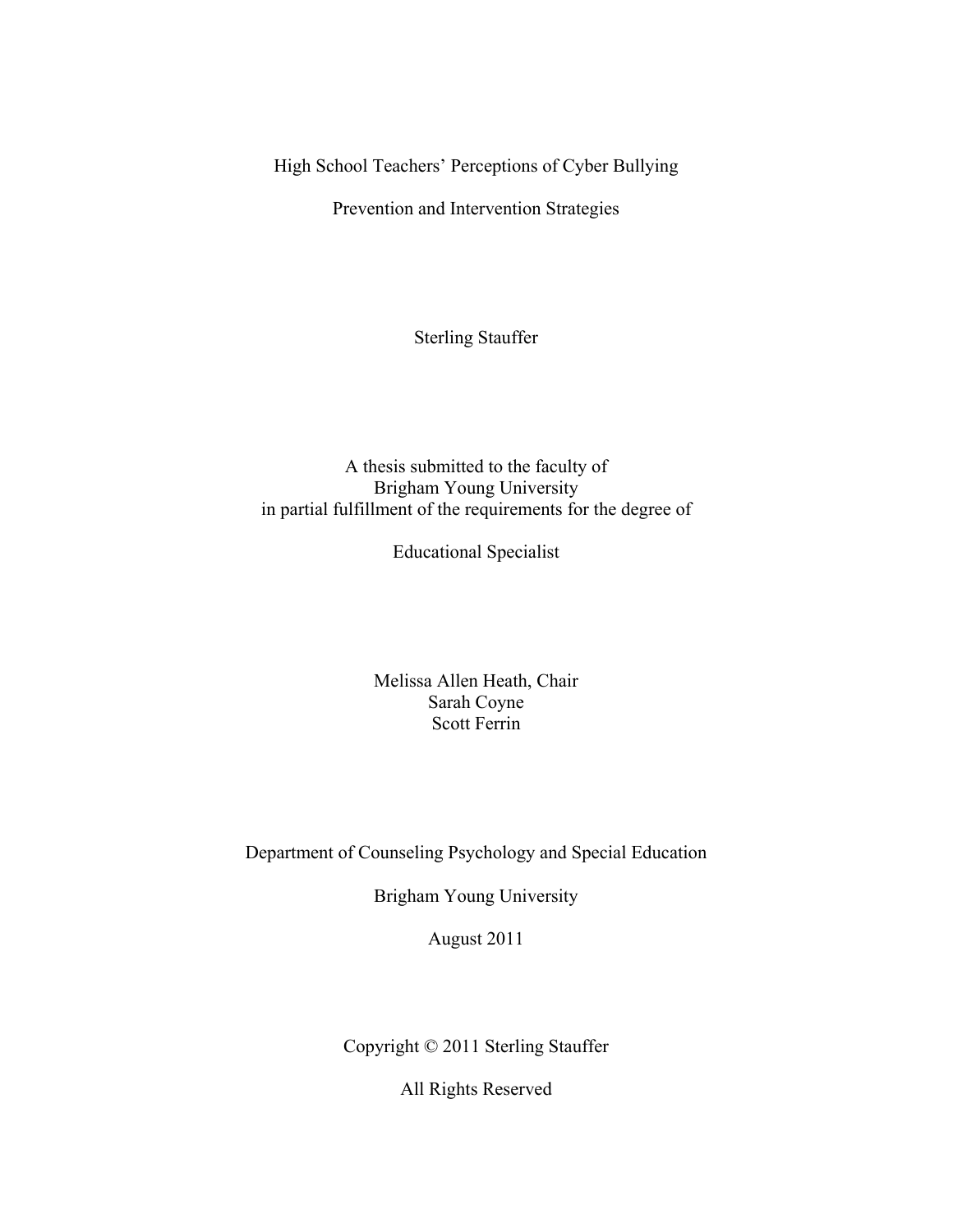High School Teachers' Perceptions of Cyber Bullying

Prevention and Intervention Strategies

Sterling Stauffer

A thesis submitted to the faculty of Brigham Young University in partial fulfillment of the requirements for the degree of

Educational Specialist

Melissa Allen Heath, Chair Sarah Coyne Scott Ferrin

Department of Counseling Psychology and Special Education

Brigham Young University

August 2011

Copyright © 2011 Sterling Stauffer

All Rights Reserved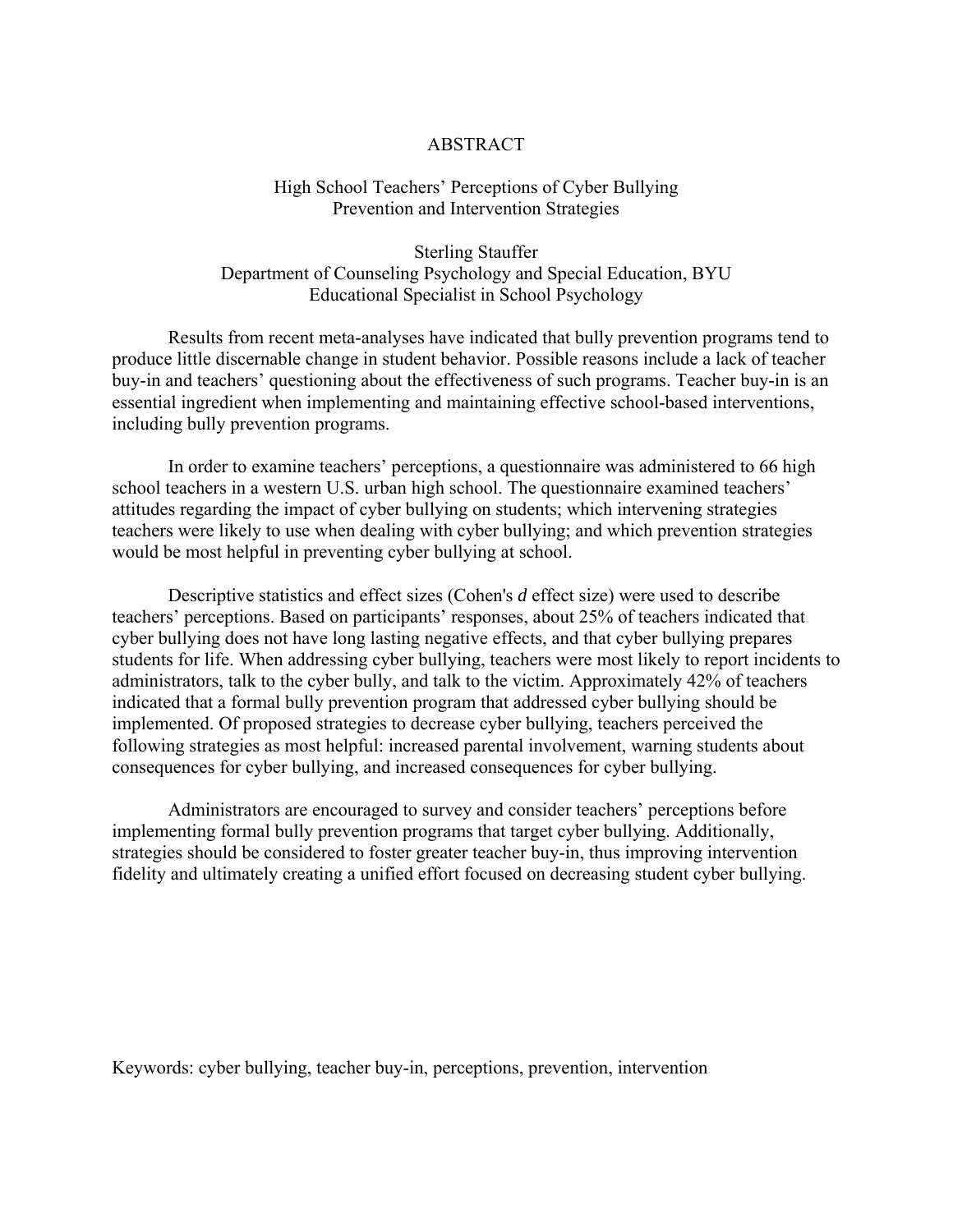### **ABSTRACT**

### High School Teachers' Perceptions of Cyber Bullying Prevention and Intervention Strategies

Sterling Stauffer Department of Counseling Psychology and Special Education, BYU Educational Specialist in School Psychology

 Results from recent meta-analyses have indicated that bully prevention programs tend to produce little discernable change in student behavior. Possible reasons include a lack of teacher buy-in and teachers' questioning about the effectiveness of such programs. Teacher buy-in is an essential ingredient when implementing and maintaining effective school-based interventions, including bully prevention programs.

In order to examine teachers' perceptions, a questionnaire was administered to 66 high school teachers in a western U.S. urban high school. The questionnaire examined teachers' attitudes regarding the impact of cyber bullying on students; which intervening strategies teachers were likely to use when dealing with cyber bullying; and which prevention strategies would be most helpful in preventing cyber bullying at school.

Descriptive statistics and effect sizes (Cohen's *d* effect size) were used to describe teachers' perceptions. Based on participants' responses, about 25% of teachers indicated that cyber bullying does not have long lasting negative effects, and that cyber bullying prepares students for life. When addressing cyber bullying, teachers were most likely to report incidents to administrators, talk to the cyber bully, and talk to the victim. Approximately 42% of teachers indicated that a formal bully prevention program that addressed cyber bullying should be implemented. Of proposed strategies to decrease cyber bullying, teachers perceived the following strategies as most helpful: increased parental involvement, warning students about consequences for cyber bullying, and increased consequences for cyber bullying.

Administrators are encouraged to survey and consider teachers' perceptions before implementing formal bully prevention programs that target cyber bullying. Additionally, strategies should be considered to foster greater teacher buy-in, thus improving intervention fidelity and ultimately creating a unified effort focused on decreasing student cyber bullying.

Keywords: cyber bullying, teacher buy-in, perceptions, prevention, intervention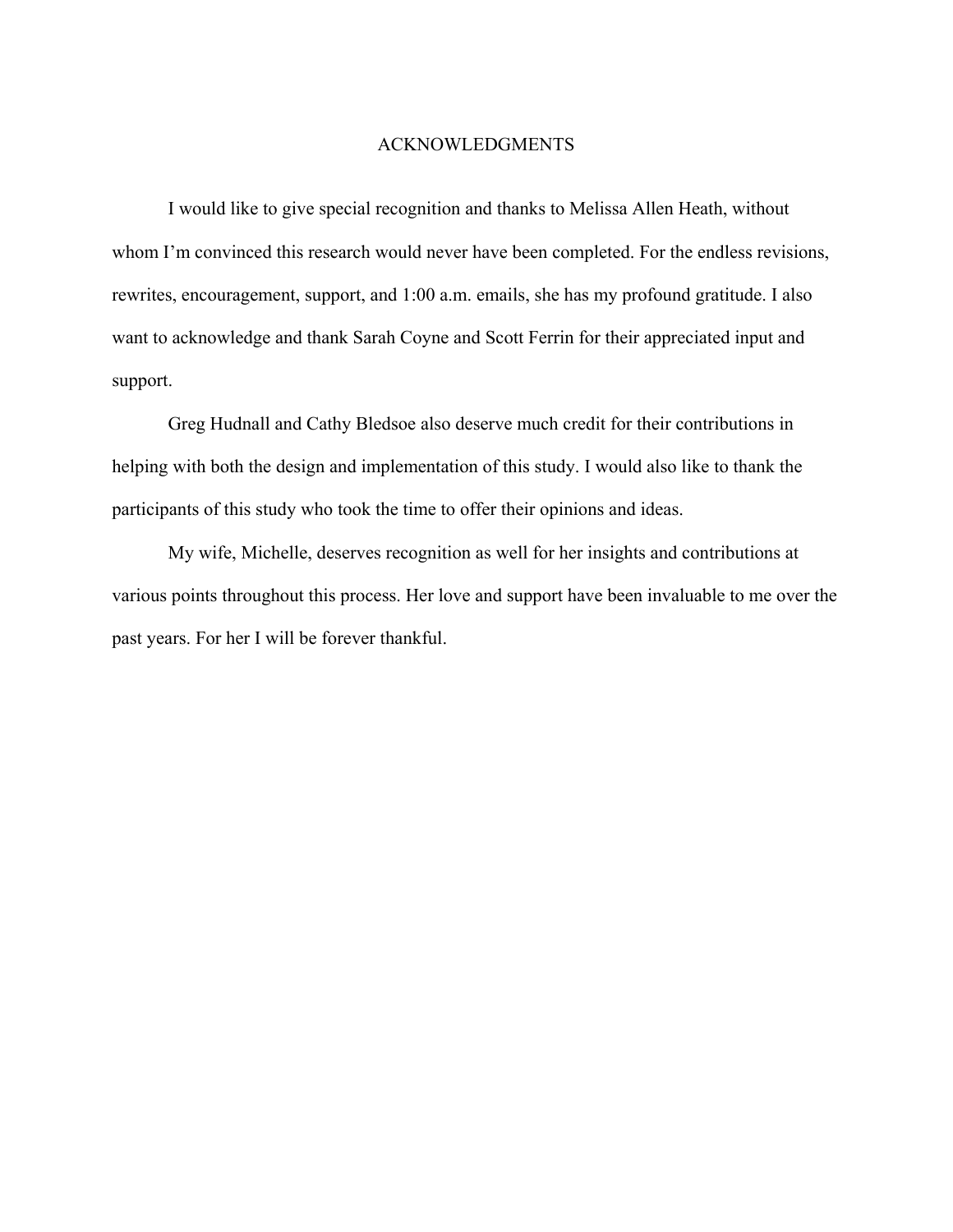### ACKNOWLEDGMENTS

 I would like to give special recognition and thanks to Melissa Allen Heath, without whom I'm convinced this research would never have been completed. For the endless revisions, rewrites, encouragement, support, and 1:00 a.m. emails, she has my profound gratitude. I also want to acknowledge and thank Sarah Coyne and Scott Ferrin for their appreciated input and support.

 Greg Hudnall and Cathy Bledsoe also deserve much credit for their contributions in helping with both the design and implementation of this study. I would also like to thank the participants of this study who took the time to offer their opinions and ideas.

 My wife, Michelle, deserves recognition as well for her insights and contributions at various points throughout this process. Her love and support have been invaluable to me over the past years. For her I will be forever thankful.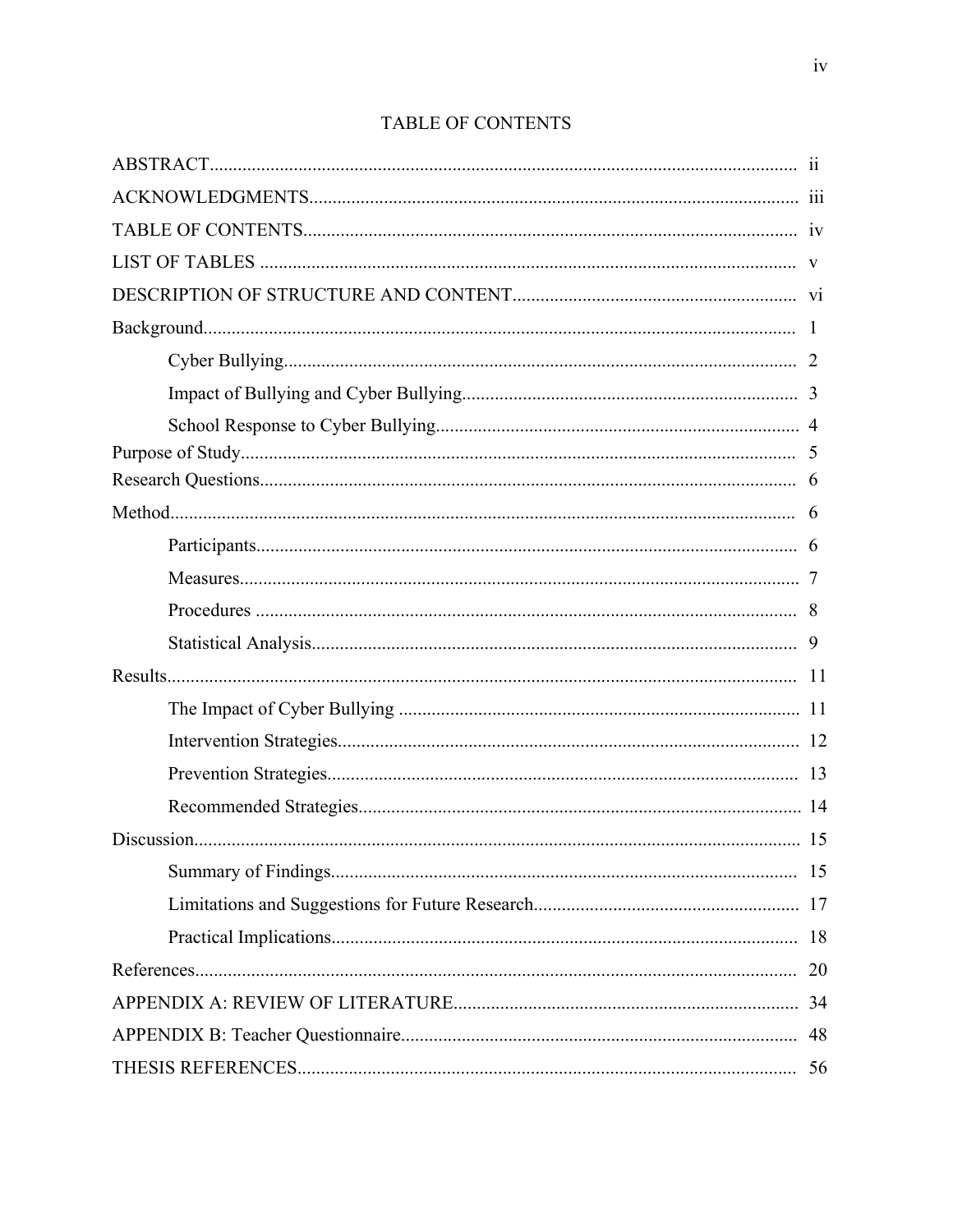| 9  |
|----|
|    |
|    |
|    |
|    |
|    |
|    |
|    |
|    |
|    |
| 20 |
|    |
| 48 |
| 56 |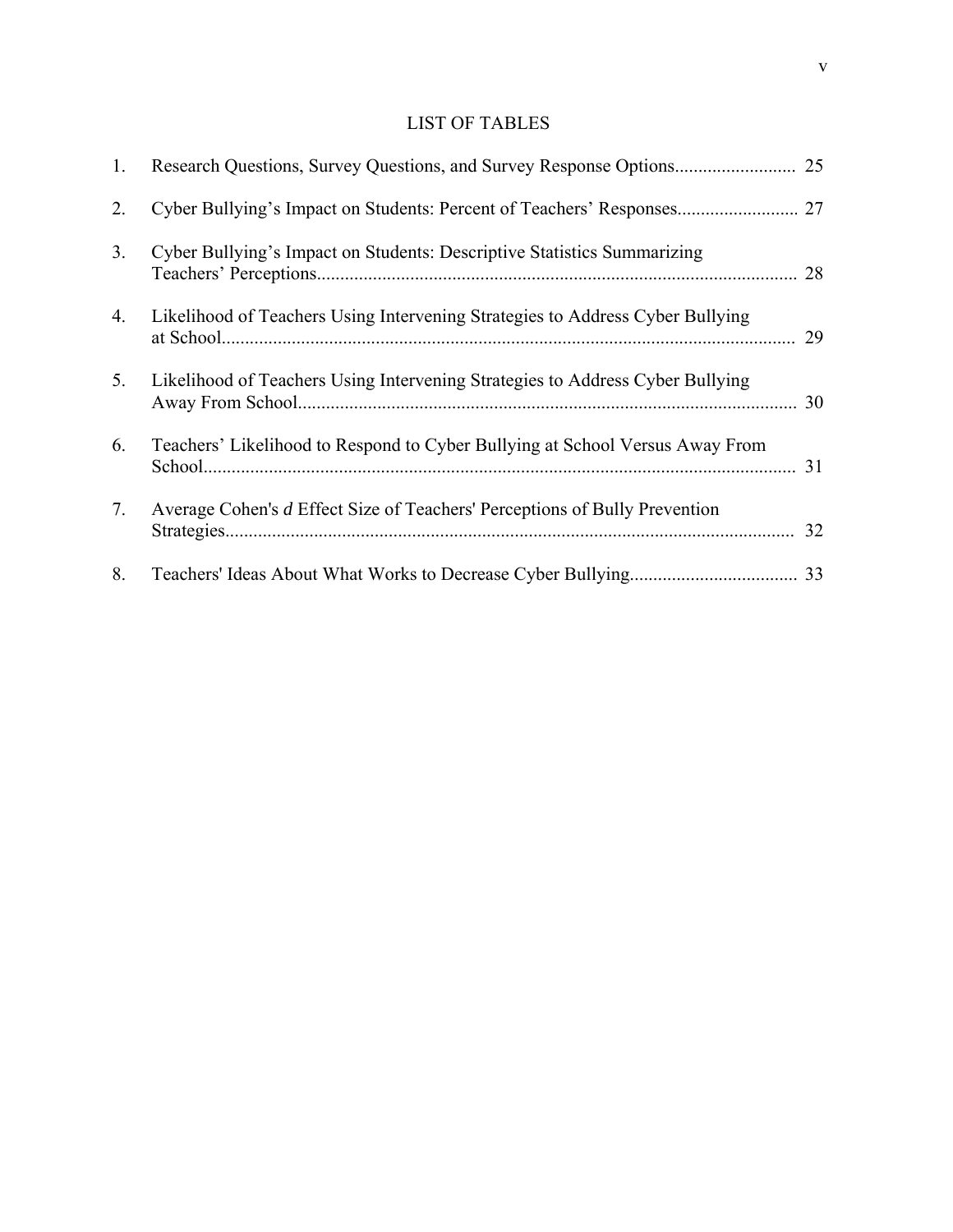### LIST OF TABLES

| 1.             |                                                                               | 25 |
|----------------|-------------------------------------------------------------------------------|----|
| 2.             |                                                                               |    |
| 3.             | Cyber Bullying's Impact on Students: Descriptive Statistics Summarizing       | 28 |
| 4.             | Likelihood of Teachers Using Intervening Strategies to Address Cyber Bullying | 29 |
| 5 <sub>1</sub> | Likelihood of Teachers Using Intervening Strategies to Address Cyber Bullying | 30 |
| 6.             | Teachers' Likelihood to Respond to Cyber Bullying at School Versus Away From  | 31 |
| 7.             | Average Cohen's d Effect Size of Teachers' Perceptions of Bully Prevention    | 32 |
| 8.             |                                                                               | 33 |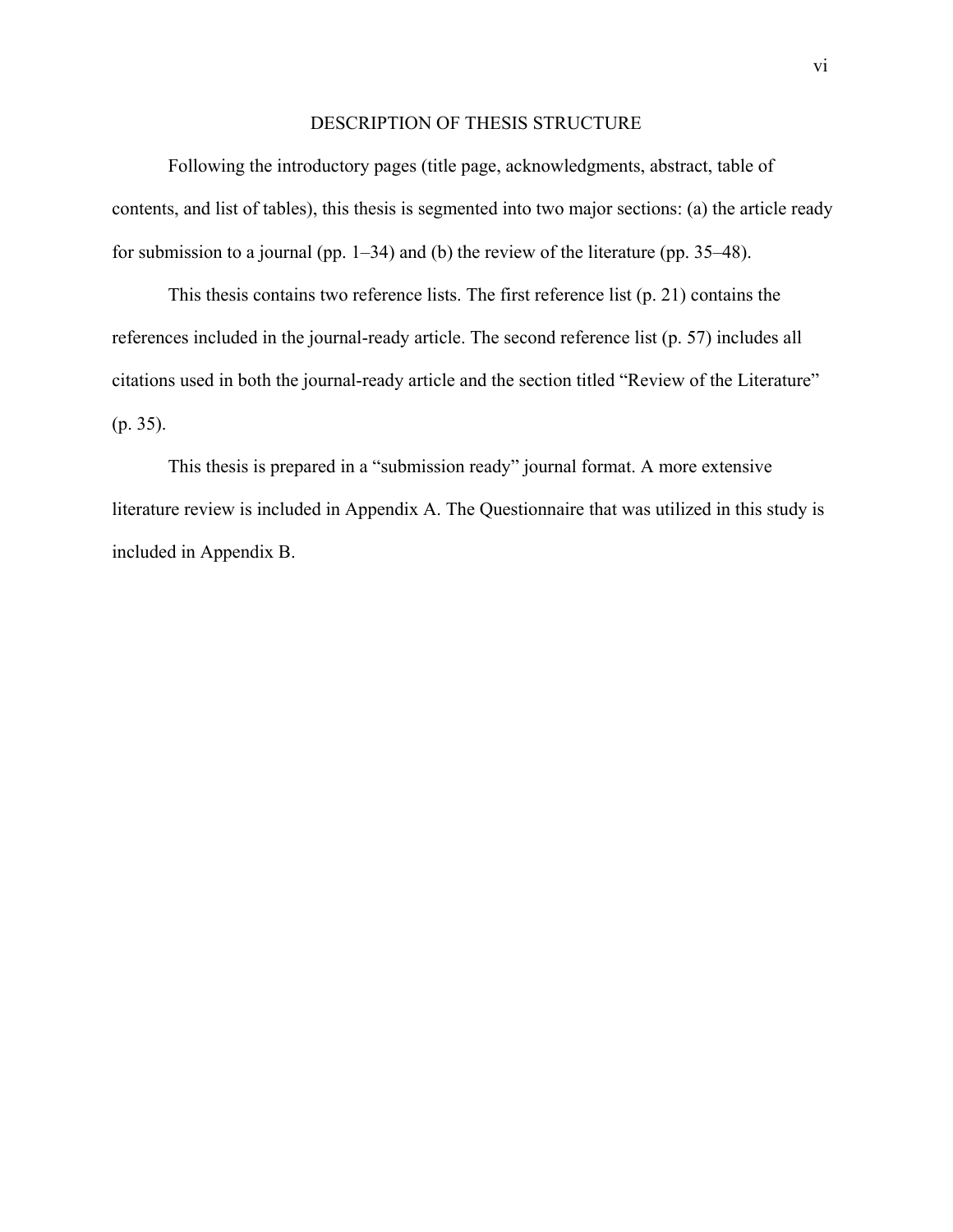### DESCRIPTION OF THESIS STRUCTURE

Following the introductory pages (title page, acknowledgments, abstract, table of contents, and list of tables), this thesis is segmented into two major sections: (a) the article ready for submission to a journal (pp. 1–34) and (b) the review of the literature (pp. 35–48).

This thesis contains two reference lists. The first reference list (p. 21) contains the references included in the journal-ready article. The second reference list (p. 57) includes all citations used in both the journal-ready article and the section titled "Review of the Literature" (p. 35).

This thesis is prepared in a "submission ready" journal format. A more extensive literature review is included in Appendix A. The Questionnaire that was utilized in this study is included in Appendix B.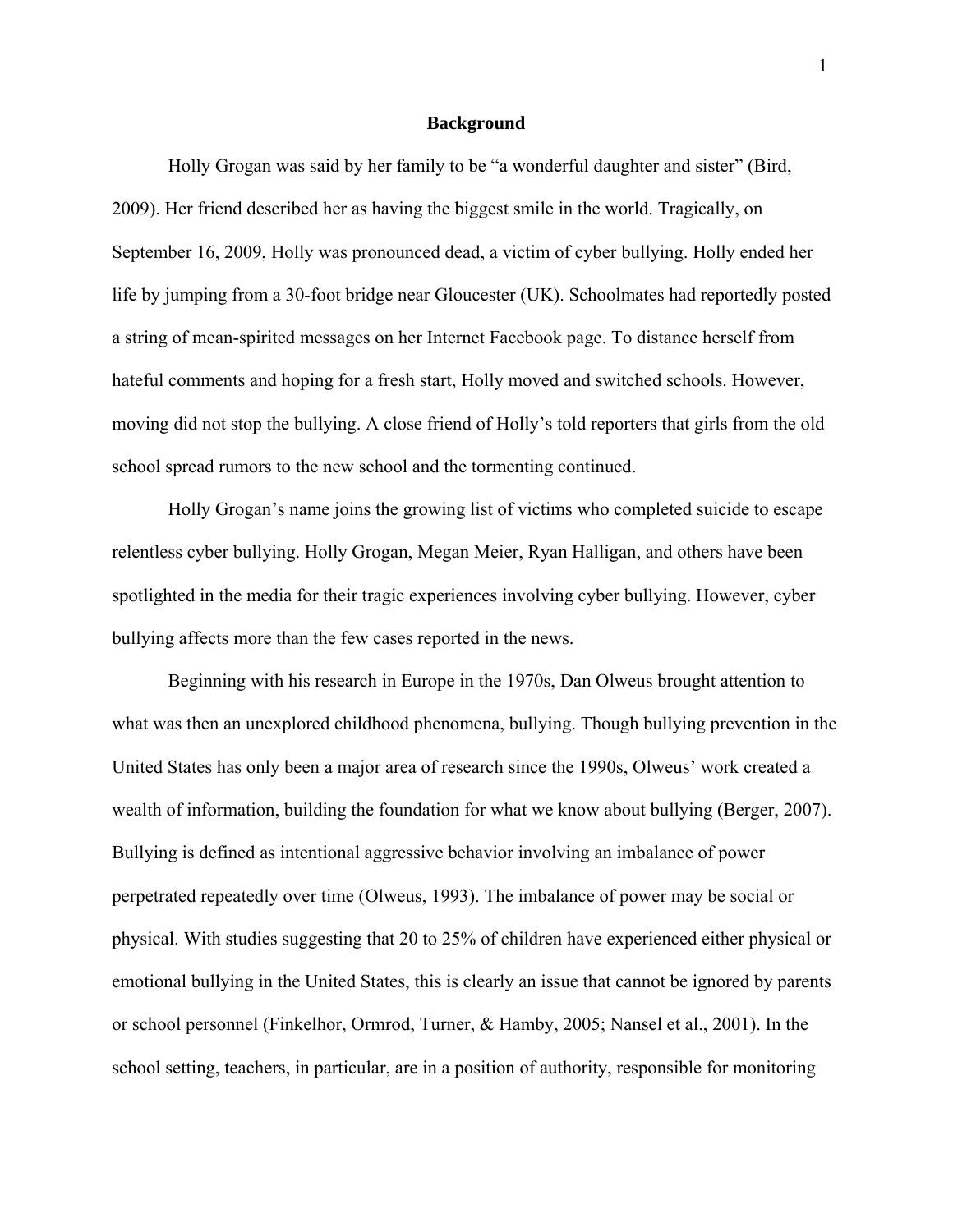#### **Background**

 Holly Grogan was said by her family to be "a wonderful daughter and sister" (Bird, 2009). Her friend described her as having the biggest smile in the world. Tragically, on September 16, 2009, Holly was pronounced dead, a victim of cyber bullying. Holly ended her life by jumping from a 30-foot bridge near Gloucester (UK). Schoolmates had reportedly posted a string of mean-spirited messages on her Internet Facebook page. To distance herself from hateful comments and hoping for a fresh start, Holly moved and switched schools. However, moving did not stop the bullying. A close friend of Holly's told reporters that girls from the old school spread rumors to the new school and the tormenting continued.

Holly Grogan's name joins the growing list of victims who completed suicide to escape relentless cyber bullying. Holly Grogan, Megan Meier, Ryan Halligan, and others have been spotlighted in the media for their tragic experiences involving cyber bullying. However, cyber bullying affects more than the few cases reported in the news.

Beginning with his research in Europe in the 1970s, Dan Olweus brought attention to what was then an unexplored childhood phenomena, bullying. Though bullying prevention in the United States has only been a major area of research since the 1990s, Olweus' work created a wealth of information, building the foundation for what we know about bullying (Berger, 2007). Bullying is defined as intentional aggressive behavior involving an imbalance of power perpetrated repeatedly over time (Olweus, 1993). The imbalance of power may be social or physical. With studies suggesting that 20 to 25% of children have experienced either physical or emotional bullying in the United States, this is clearly an issue that cannot be ignored by parents or school personnel (Finkelhor, Ormrod, Turner, & Hamby, 2005; Nansel et al., 2001). In the school setting, teachers, in particular, are in a position of authority, responsible for monitoring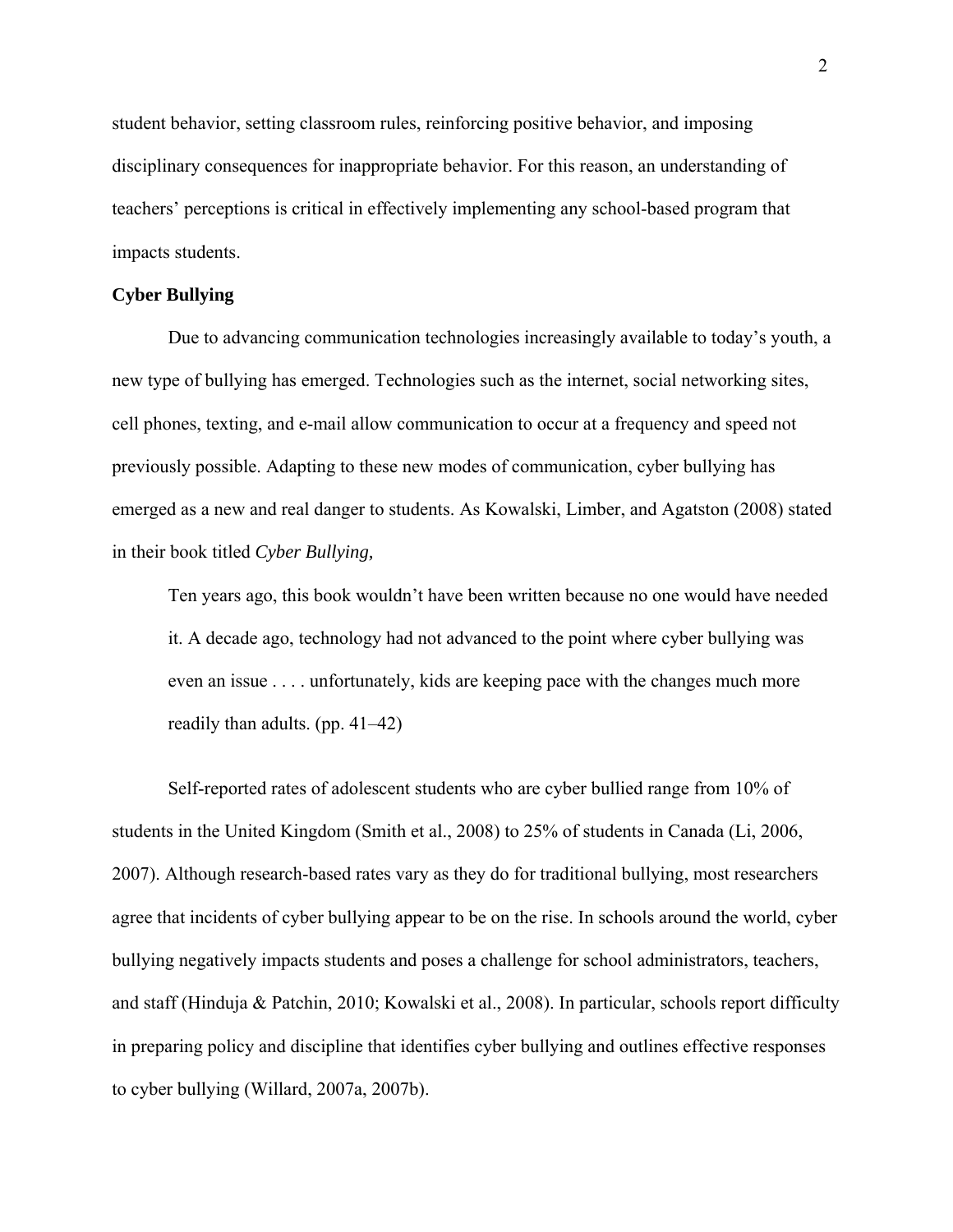student behavior, setting classroom rules, reinforcing positive behavior, and imposing disciplinary consequences for inappropriate behavior. For this reason, an understanding of teachers' perceptions is critical in effectively implementing any school-based program that impacts students.

### **Cyber Bullying**

Due to advancing communication technologies increasingly available to today's youth, a new type of bullying has emerged. Technologies such as the internet, social networking sites, cell phones, texting, and e-mail allow communication to occur at a frequency and speed not previously possible. Adapting to these new modes of communication, cyber bullying has emerged as a new and real danger to students. As Kowalski, Limber, and Agatston (2008) stated in their book titled *Cyber Bullying,*

 Ten years ago, this book wouldn't have been written because no one would have needed it. A decade ago, technology had not advanced to the point where cyber bullying was even an issue . . . . unfortunately, kids are keeping pace with the changes much more readily than adults. (pp. 41–42)

Self-reported rates of adolescent students who are cyber bullied range from 10% of students in the United Kingdom (Smith et al., 2008) to 25% of students in Canada (Li, 2006, 2007). Although research-based rates vary as they do for traditional bullying, most researchers agree that incidents of cyber bullying appear to be on the rise. In schools around the world, cyber bullying negatively impacts students and poses a challenge for school administrators, teachers, and staff (Hinduja & Patchin, 2010; Kowalski et al., 2008). In particular, schools report difficulty in preparing policy and discipline that identifies cyber bullying and outlines effective responses to cyber bullying (Willard, 2007a, 2007b).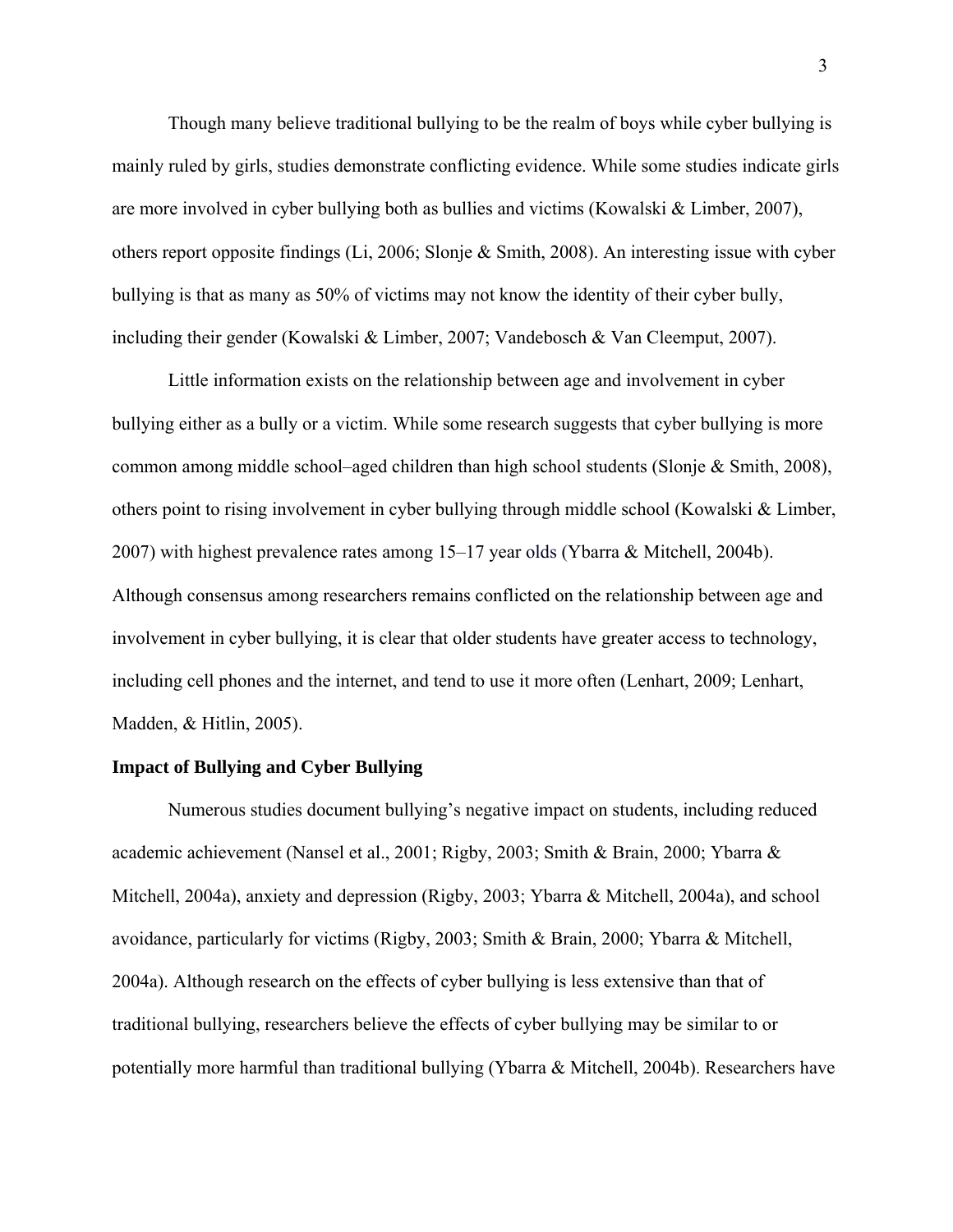Though many believe traditional bullying to be the realm of boys while cyber bullying is mainly ruled by girls, studies demonstrate conflicting evidence. While some studies indicate girls are more involved in cyber bullying both as bullies and victims (Kowalski & Limber, 2007), others report opposite findings (Li, 2006; Slonje & Smith, 2008). An interesting issue with cyber bullying is that as many as 50% of victims may not know the identity of their cyber bully, including their gender (Kowalski & Limber, 2007; Vandebosch & Van Cleemput, 2007).

Little information exists on the relationship between age and involvement in cyber bullying either as a bully or a victim. While some research suggests that cyber bullying is more common among middle school–aged children than high school students (Slonje & Smith, 2008), others point to rising involvement in cyber bullying through middle school (Kowalski & Limber, 2007) with highest prevalence rates among 15–17 year olds (Ybarra & Mitchell, 2004b). Although consensus among researchers remains conflicted on the relationship between age and involvement in cyber bullying, it is clear that older students have greater access to technology, including cell phones and the internet, and tend to use it more often (Lenhart, 2009; Lenhart, Madden, & Hitlin, 2005).

### **Impact of Bullying and Cyber Bullying**

Numerous studies document bullying's negative impact on students, including reduced academic achievement (Nansel et al., 2001; Rigby, 2003; Smith & Brain, 2000; Ybarra & Mitchell, 2004a), anxiety and depression (Rigby, 2003; Ybarra & Mitchell, 2004a), and school avoidance, particularly for victims (Rigby, 2003; Smith & Brain, 2000; Ybarra & Mitchell, 2004a). Although research on the effects of cyber bullying is less extensive than that of traditional bullying, researchers believe the effects of cyber bullying may be similar to or potentially more harmful than traditional bullying (Ybarra & Mitchell, 2004b). Researchers have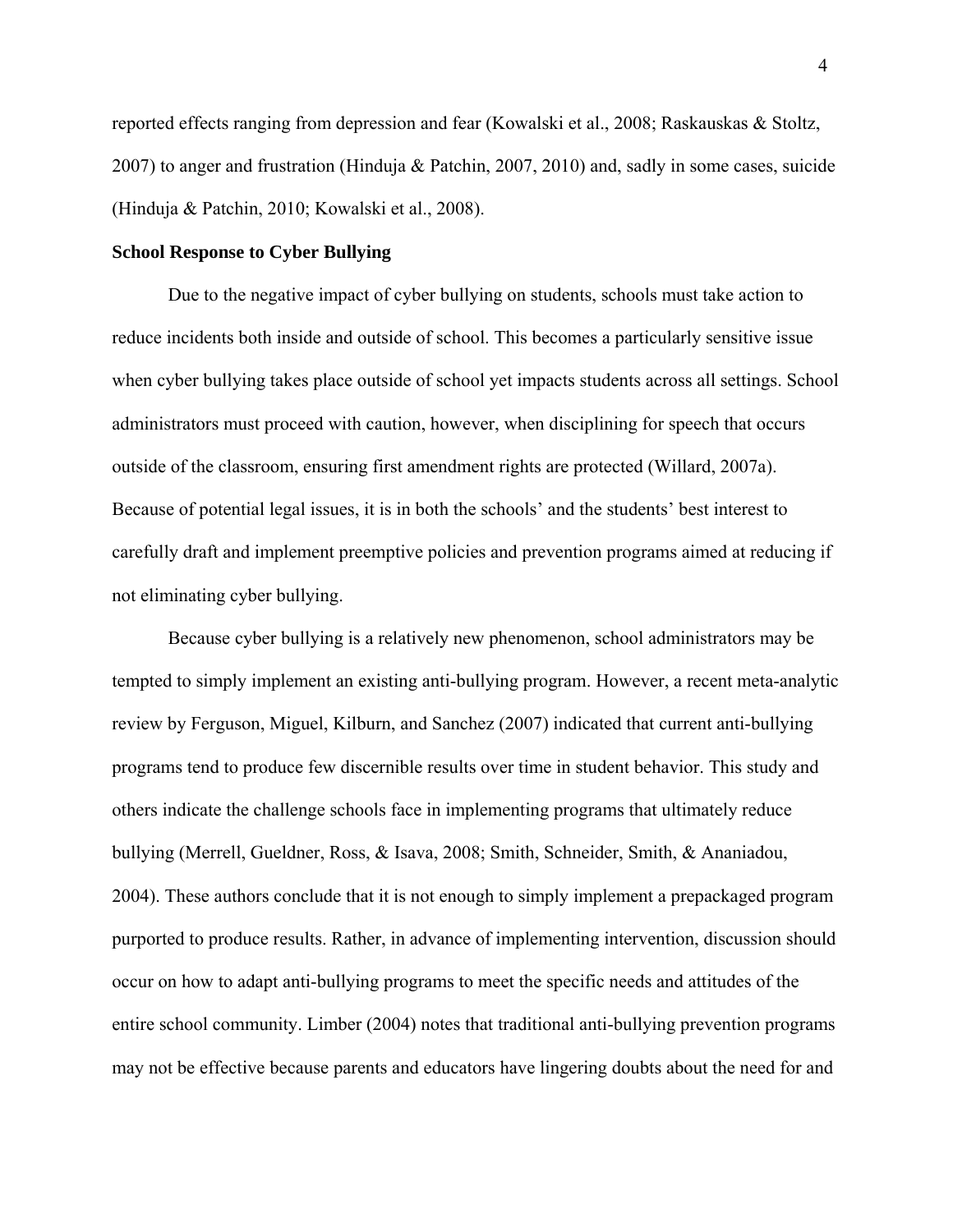reported effects ranging from depression and fear (Kowalski et al., 2008; Raskauskas & Stoltz, 2007) to anger and frustration (Hinduja & Patchin, 2007, 2010) and, sadly in some cases, suicide (Hinduja & Patchin, 2010; Kowalski et al., 2008).

### **School Response to Cyber Bullying**

Due to the negative impact of cyber bullying on students, schools must take action to reduce incidents both inside and outside of school. This becomes a particularly sensitive issue when cyber bullying takes place outside of school yet impacts students across all settings. School administrators must proceed with caution, however, when disciplining for speech that occurs outside of the classroom, ensuring first amendment rights are protected (Willard, 2007a). Because of potential legal issues, it is in both the schools' and the students' best interest to carefully draft and implement preemptive policies and prevention programs aimed at reducing if not eliminating cyber bullying.

Because cyber bullying is a relatively new phenomenon, school administrators may be tempted to simply implement an existing anti-bullying program. However, a recent meta-analytic review by Ferguson, Miguel, Kilburn, and Sanchez (2007) indicated that current anti-bullying programs tend to produce few discernible results over time in student behavior. This study and others indicate the challenge schools face in implementing programs that ultimately reduce bullying (Merrell, Gueldner, Ross, & Isava, 2008; Smith, Schneider, Smith, & Ananiadou, 2004). These authors conclude that it is not enough to simply implement a prepackaged program purported to produce results. Rather, in advance of implementing intervention, discussion should occur on how to adapt anti-bullying programs to meet the specific needs and attitudes of the entire school community. Limber (2004) notes that traditional anti-bullying prevention programs may not be effective because parents and educators have lingering doubts about the need for and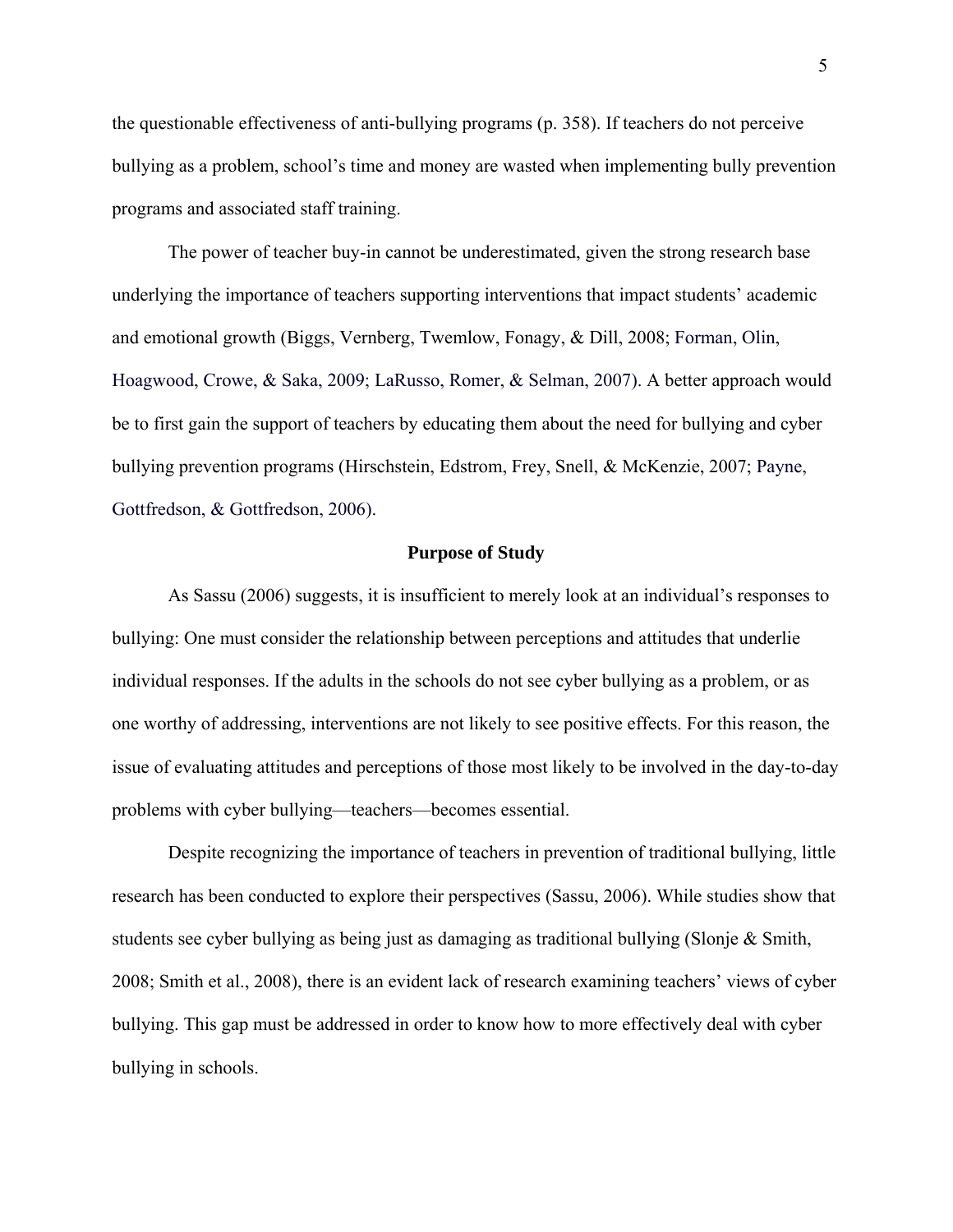the questionable effectiveness of anti-bullying programs (p. 358). If teachers do not perceive bullying as a problem, school's time and money are wasted when implementing bully prevention programs and associated staff training.

The power of teacher buy-in cannot be underestimated, given the strong research base underlying the importance of teachers supporting interventions that impact students' academic and emotional growth (Biggs, Vernberg, Twemlow, Fonagy, & Dill, 2008; Forman, Olin, Hoagwood, Crowe, & Saka, 2009; LaRusso, Romer, & Selman, 2007). A better approach would be to first gain the support of teachers by educating them about the need for bullying and cyber bullying prevention programs (Hirschstein, Edstrom, Frey, Snell, & McKenzie, 2007; Payne, Gottfredson, & Gottfredson, 2006).

### **Purpose of Study**

As Sassu (2006) suggests, it is insufficient to merely look at an individual's responses to bullying: One must consider the relationship between perceptions and attitudes that underlie individual responses. If the adults in the schools do not see cyber bullying as a problem, or as one worthy of addressing, interventions are not likely to see positive effects. For this reason, the issue of evaluating attitudes and perceptions of those most likely to be involved in the day-to-day problems with cyber bullying—teachers—becomes essential.

 Despite recognizing the importance of teachers in prevention of traditional bullying, little research has been conducted to explore their perspectives (Sassu, 2006). While studies show that students see cyber bullying as being just as damaging as traditional bullying (Slonje & Smith, 2008; Smith et al., 2008), there is an evident lack of research examining teachers' views of cyber bullying. This gap must be addressed in order to know how to more effectively deal with cyber bullying in schools.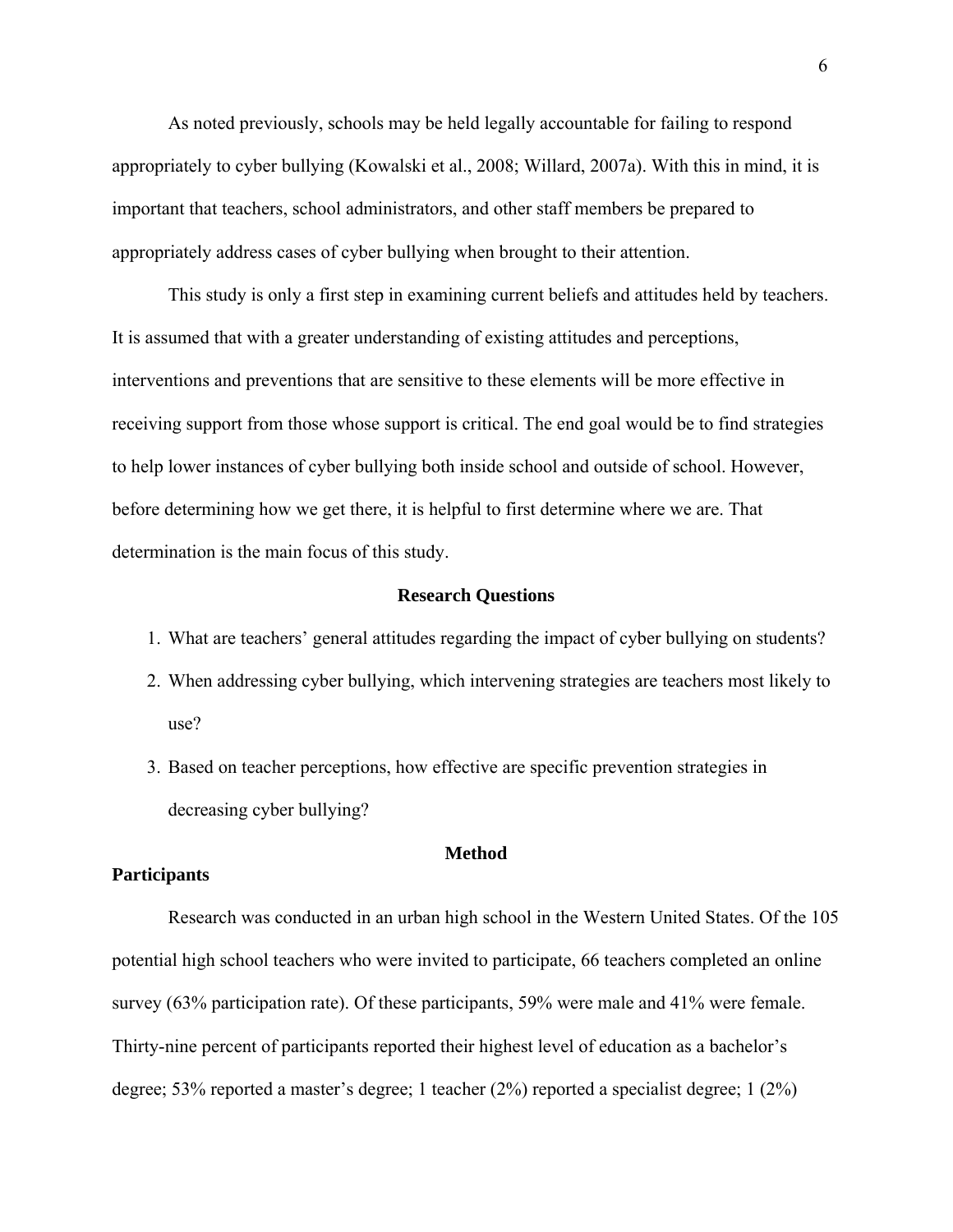As noted previously, schools may be held legally accountable for failing to respond appropriately to cyber bullying (Kowalski et al., 2008; Willard, 2007a). With this in mind, it is important that teachers, school administrators, and other staff members be prepared to appropriately address cases of cyber bullying when brought to their attention.

 This study is only a first step in examining current beliefs and attitudes held by teachers. It is assumed that with a greater understanding of existing attitudes and perceptions, interventions and preventions that are sensitive to these elements will be more effective in receiving support from those whose support is critical. The end goal would be to find strategies to help lower instances of cyber bullying both inside school and outside of school. However, before determining how we get there, it is helpful to first determine where we are. That determination is the main focus of this study.

### **Research Questions**

- 1. What are teachers' general attitudes regarding the impact of cyber bullying on students?
- 2. When addressing cyber bullying, which intervening strategies are teachers most likely to use?
- 3. Based on teacher perceptions, how effective are specific prevention strategies in decreasing cyber bullying?

### **Method**

### **Participants**

Research was conducted in an urban high school in the Western United States. Of the 105 potential high school teachers who were invited to participate, 66 teachers completed an online survey (63% participation rate). Of these participants, 59% were male and 41% were female. Thirty-nine percent of participants reported their highest level of education as a bachelor's degree; 53% reported a master's degree; 1 teacher (2%) reported a specialist degree; 1 (2%)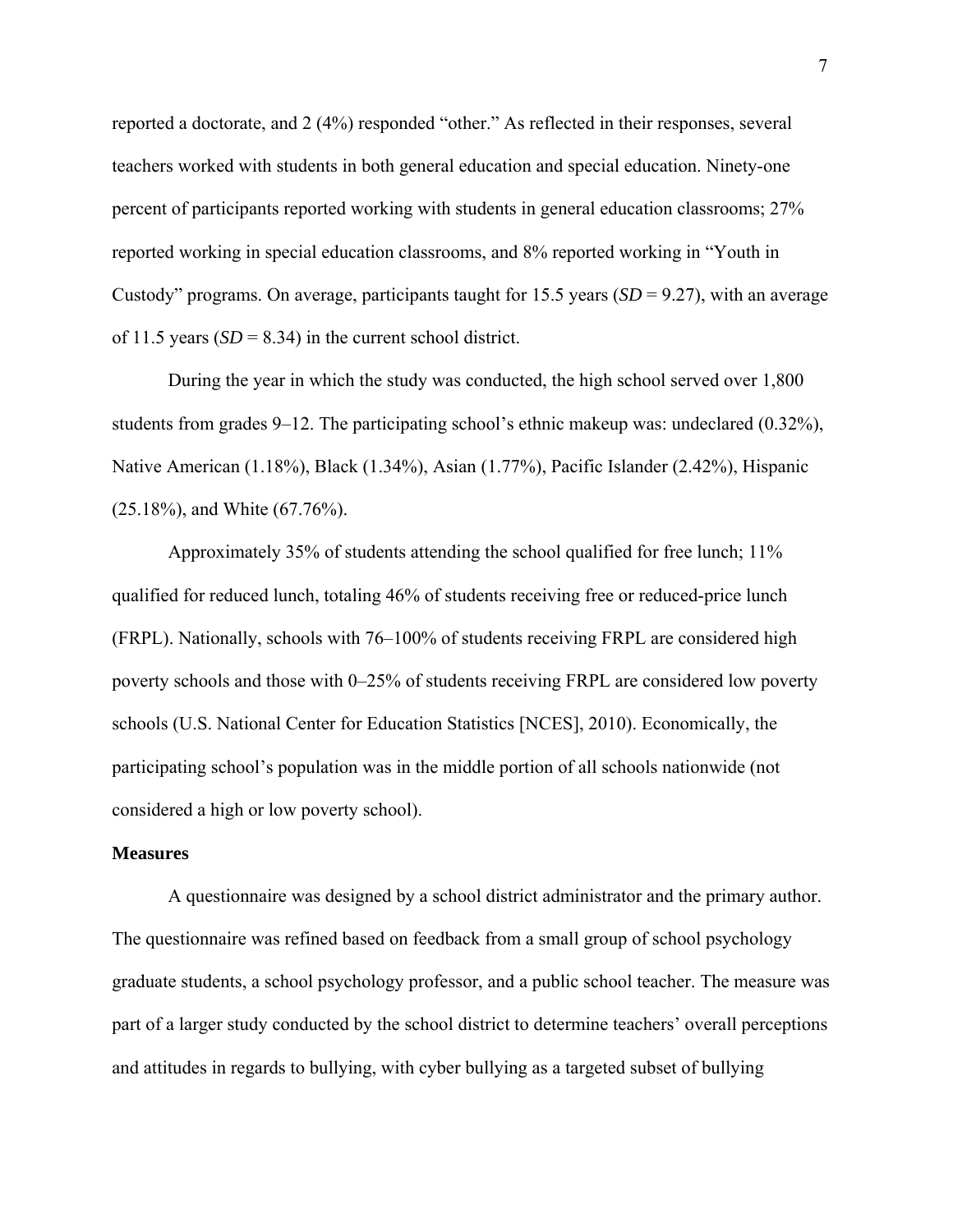reported a doctorate, and 2 (4%) responded "other." As reflected in their responses, several teachers worked with students in both general education and special education. Ninety-one percent of participants reported working with students in general education classrooms; 27% reported working in special education classrooms, and 8% reported working in "Youth in Custody" programs. On average, participants taught for 15.5 years (*SD* = 9.27), with an average of 11.5 years  $(SD = 8.34)$  in the current school district.

During the year in which the study was conducted, the high school served over 1,800 students from grades 9–12. The participating school's ethnic makeup was: undeclared (0.32%), Native American (1.18%), Black (1.34%), Asian (1.77%), Pacific Islander (2.42%), Hispanic (25.18%), and White (67.76%).

Approximately 35% of students attending the school qualified for free lunch; 11% qualified for reduced lunch, totaling 46% of students receiving free or reduced-price lunch (FRPL). Nationally, schools with 76–100% of students receiving FRPL are considered high poverty schools and those with 0–25% of students receiving FRPL are considered low poverty schools (U.S. National Center for Education Statistics [NCES], 2010). Economically, the participating school's population was in the middle portion of all schools nationwide (not considered a high or low poverty school).

#### **Measures**

 A questionnaire was designed by a school district administrator and the primary author. The questionnaire was refined based on feedback from a small group of school psychology graduate students, a school psychology professor, and a public school teacher. The measure was part of a larger study conducted by the school district to determine teachers' overall perceptions and attitudes in regards to bullying, with cyber bullying as a targeted subset of bullying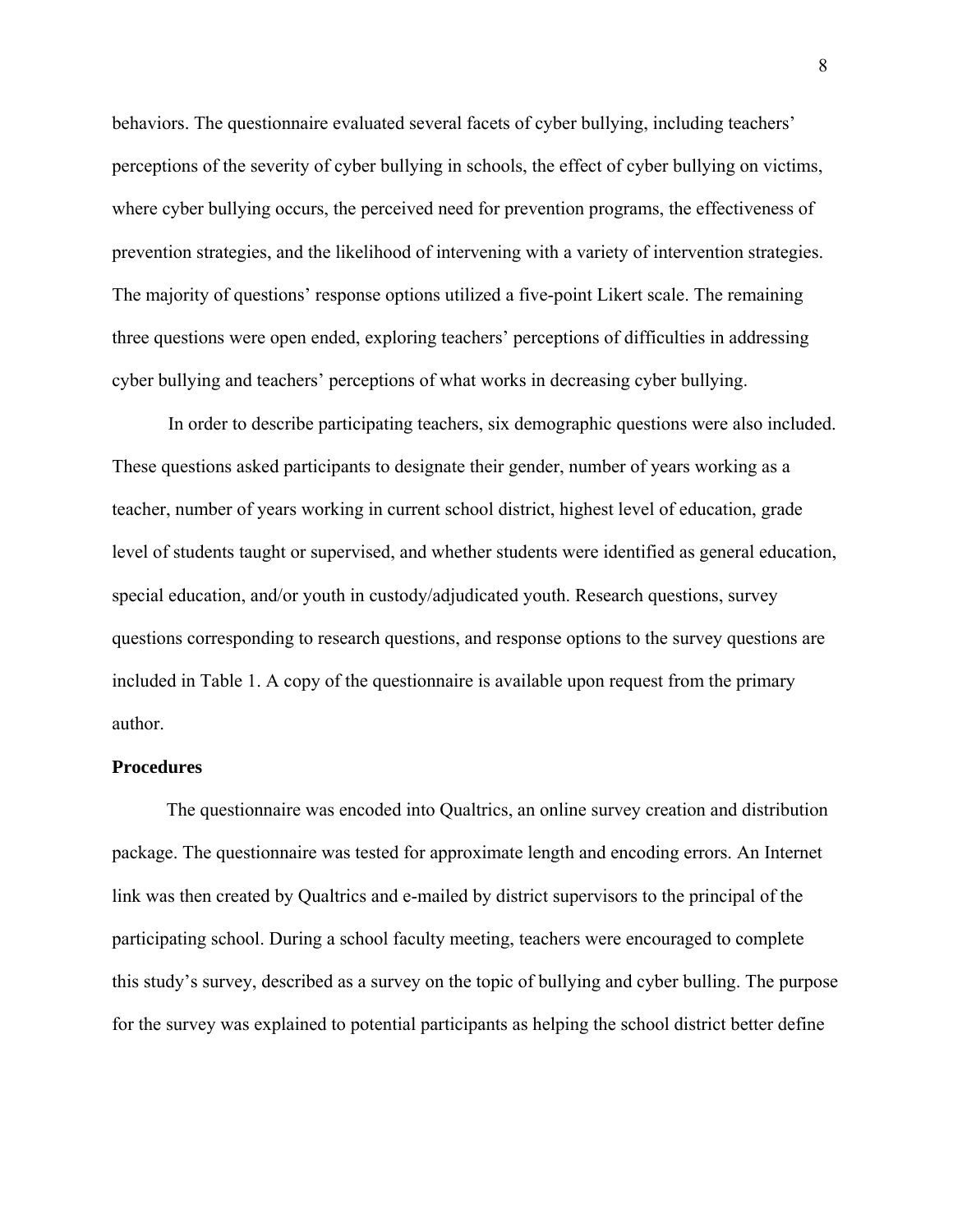behaviors. The questionnaire evaluated several facets of cyber bullying, including teachers' perceptions of the severity of cyber bullying in schools, the effect of cyber bullying on victims, where cyber bullying occurs, the perceived need for prevention programs, the effectiveness of prevention strategies, and the likelihood of intervening with a variety of intervention strategies. The majority of questions' response options utilized a five-point Likert scale. The remaining three questions were open ended, exploring teachers' perceptions of difficulties in addressing cyber bullying and teachers' perceptions of what works in decreasing cyber bullying.

 In order to describe participating teachers, six demographic questions were also included. These questions asked participants to designate their gender, number of years working as a teacher, number of years working in current school district, highest level of education, grade level of students taught or supervised, and whether students were identified as general education, special education, and/or youth in custody/adjudicated youth. Research questions, survey questions corresponding to research questions, and response options to the survey questions are included in Table 1. A copy of the questionnaire is available upon request from the primary author.

#### **Procedures**

 The questionnaire was encoded into Qualtrics, an online survey creation and distribution package. The questionnaire was tested for approximate length and encoding errors. An Internet link was then created by Qualtrics and e-mailed by district supervisors to the principal of the participating school. During a school faculty meeting, teachers were encouraged to complete this study's survey, described as a survey on the topic of bullying and cyber bulling. The purpose for the survey was explained to potential participants as helping the school district better define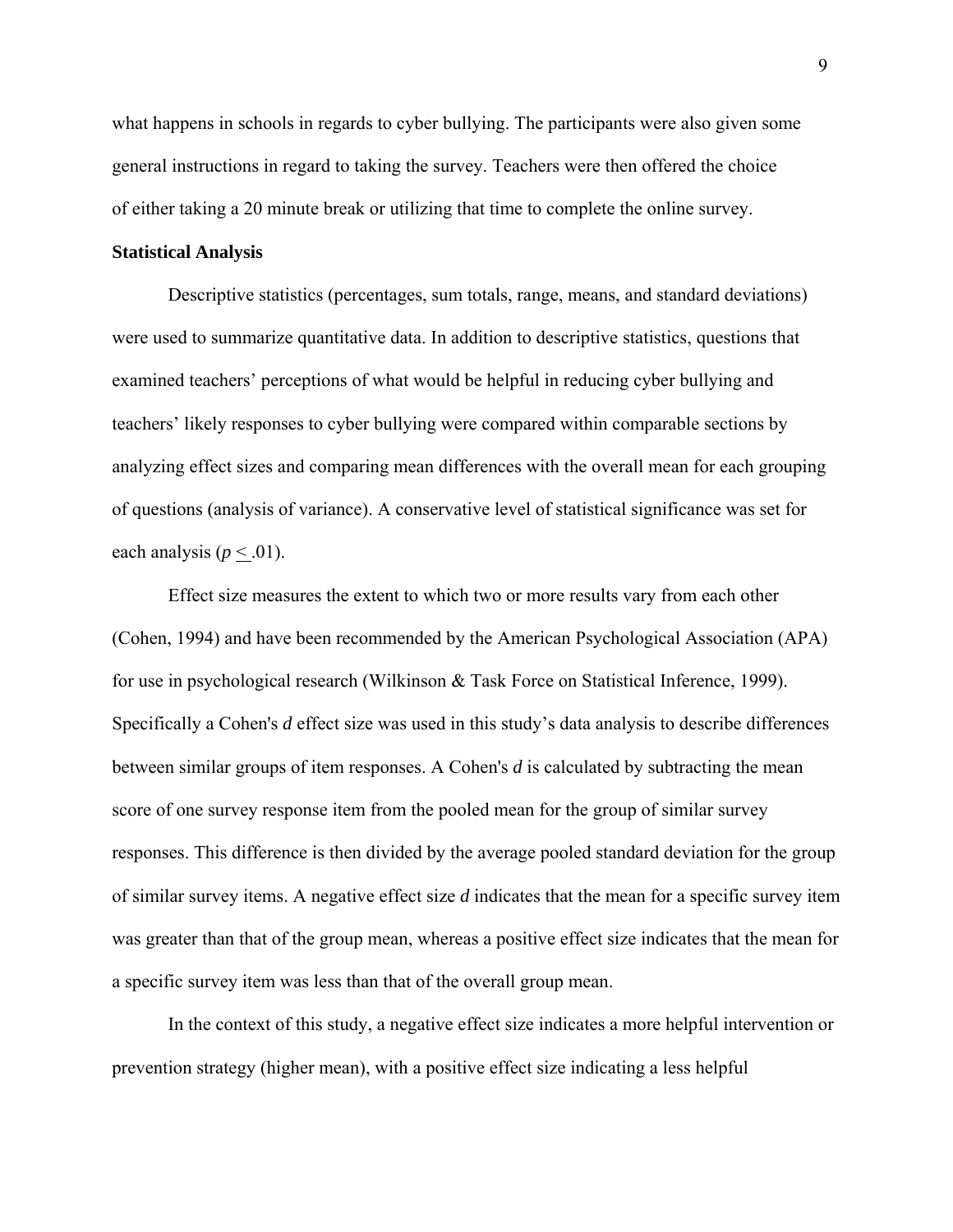what happens in schools in regards to cyber bullying. The participants were also given some general instructions in regard to taking the survey. Teachers were then offered the choice of either taking a 20 minute break or utilizing that time to complete the online survey.

### **Statistical Analysis**

Descriptive statistics (percentages, sum totals, range, means, and standard deviations) were used to summarize quantitative data. In addition to descriptive statistics, questions that examined teachers' perceptions of what would be helpful in reducing cyber bullying and teachers' likely responses to cyber bullying were compared within comparable sections by analyzing effect sizes and comparing mean differences with the overall mean for each grouping of questions (analysis of variance). A conservative level of statistical significance was set for each analysis  $(p < .01)$ .

 Effect size measures the extent to which two or more results vary from each other (Cohen, 1994) and have been recommended by the American Psychological Association (APA) for use in psychological research (Wilkinson & Task Force on Statistical Inference, 1999). Specifically a Cohen's *d* effect size was used in this study's data analysis to describe differences between similar groups of item responses. A Cohen's *d* is calculated by subtracting the mean score of one survey response item from the pooled mean for the group of similar survey responses. This difference is then divided by the average pooled standard deviation for the group of similar survey items. A negative effect size *d* indicates that the mean for a specific survey item was greater than that of the group mean, whereas a positive effect size indicates that the mean for a specific survey item was less than that of the overall group mean.

In the context of this study, a negative effect size indicates a more helpful intervention or prevention strategy (higher mean), with a positive effect size indicating a less helpful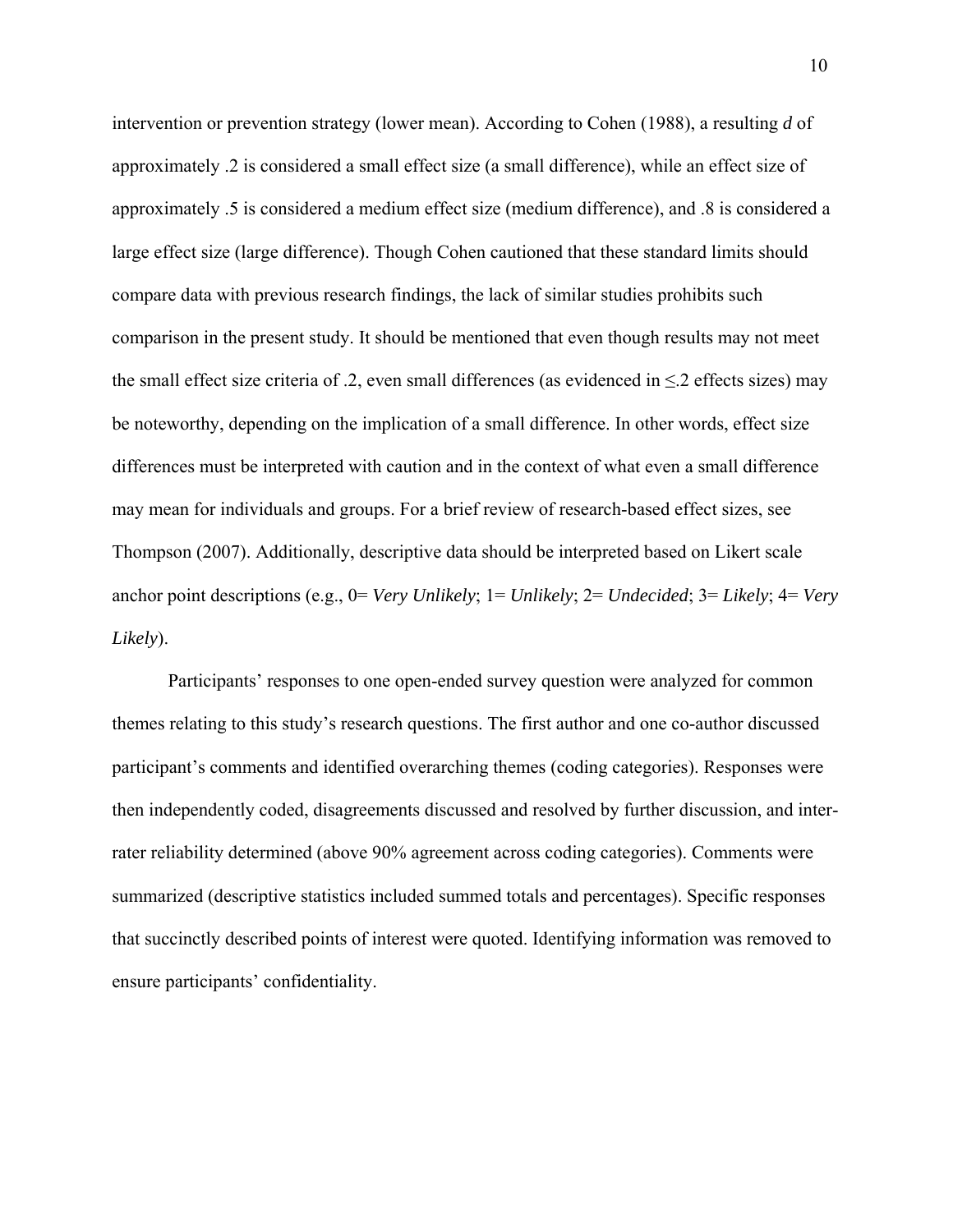intervention or prevention strategy (lower mean). According to Cohen (1988), a resulting *d* of approximately .2 is considered a small effect size (a small difference), while an effect size of approximately .5 is considered a medium effect size (medium difference), and .8 is considered a large effect size (large difference). Though Cohen cautioned that these standard limits should compare data with previous research findings, the lack of similar studies prohibits such comparison in the present study. It should be mentioned that even though results may not meet the small effect size criteria of .2, even small differences (as evidenced in  $\leq$ .2 effects sizes) may be noteworthy, depending on the implication of a small difference. In other words, effect size differences must be interpreted with caution and in the context of what even a small difference may mean for individuals and groups. For a brief review of research-based effect sizes, see Thompson (2007). Additionally, descriptive data should be interpreted based on Likert scale anchor point descriptions (e.g., 0= *Very Unlikely*; 1= *Unlikely*; 2= *Undecided*; 3= *Likely*; 4= *Very Likely*).

Participants' responses to one open-ended survey question were analyzed for common themes relating to this study's research questions. The first author and one co-author discussed participant's comments and identified overarching themes (coding categories). Responses were then independently coded, disagreements discussed and resolved by further discussion, and interrater reliability determined (above 90% agreement across coding categories). Comments were summarized (descriptive statistics included summed totals and percentages). Specific responses that succinctly described points of interest were quoted. Identifying information was removed to ensure participants' confidentiality.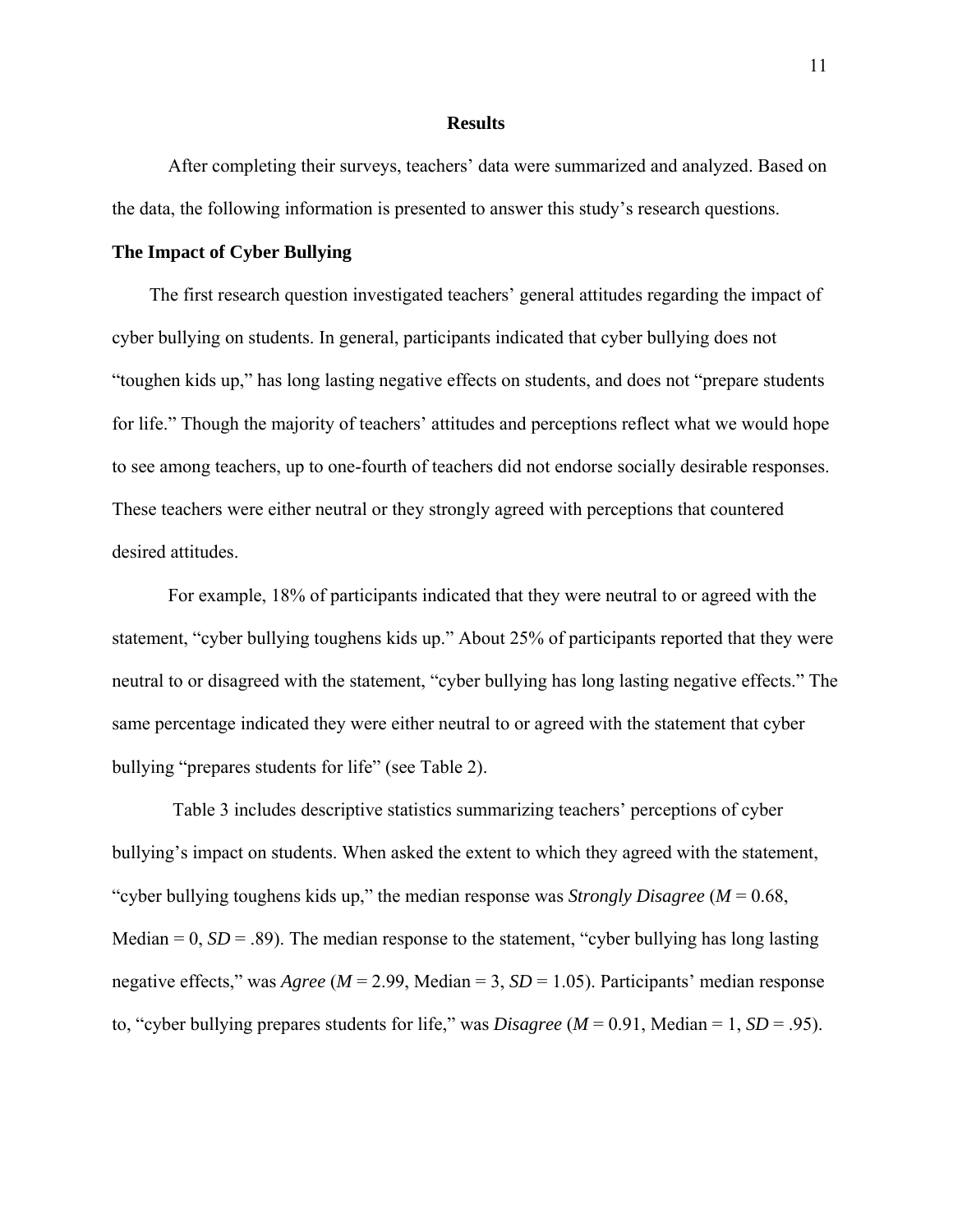#### **Results**

After completing their surveys, teachers' data were summarized and analyzed. Based on the data, the following information is presented to answer this study's research questions.

### **The Impact of Cyber Bullying**

The first research question investigated teachers' general attitudes regarding the impact of cyber bullying on students. In general, participants indicated that cyber bullying does not "toughen kids up," has long lasting negative effects on students, and does not "prepare students for life." Though the majority of teachers' attitudes and perceptions reflect what we would hope to see among teachers, up to one-fourth of teachers did not endorse socially desirable responses. These teachers were either neutral or they strongly agreed with perceptions that countered desired attitudes.

 For example, 18% of participants indicated that they were neutral to or agreed with the statement, "cyber bullying toughens kids up." About 25% of participants reported that they were neutral to or disagreed with the statement, "cyber bullying has long lasting negative effects." The same percentage indicated they were either neutral to or agreed with the statement that cyber bullying "prepares students for life" (see Table 2).

 Table 3 includes descriptive statistics summarizing teachers' perceptions of cyber bullying's impact on students. When asked the extent to which they agreed with the statement, "cyber bullying toughens kids up," the median response was *Strongly Disagree* (*M* = 0.68, Median  $= 0$ ,  $SD = .89$ ). The median response to the statement, "cyber bullying has long lasting negative effects," was *Agree* (*M* = 2.99, Median = 3, *SD* = 1.05). Participants' median response to, "cyber bullying prepares students for life," was *Disagree* (*M* = 0.91, Median = 1, *SD* = .95).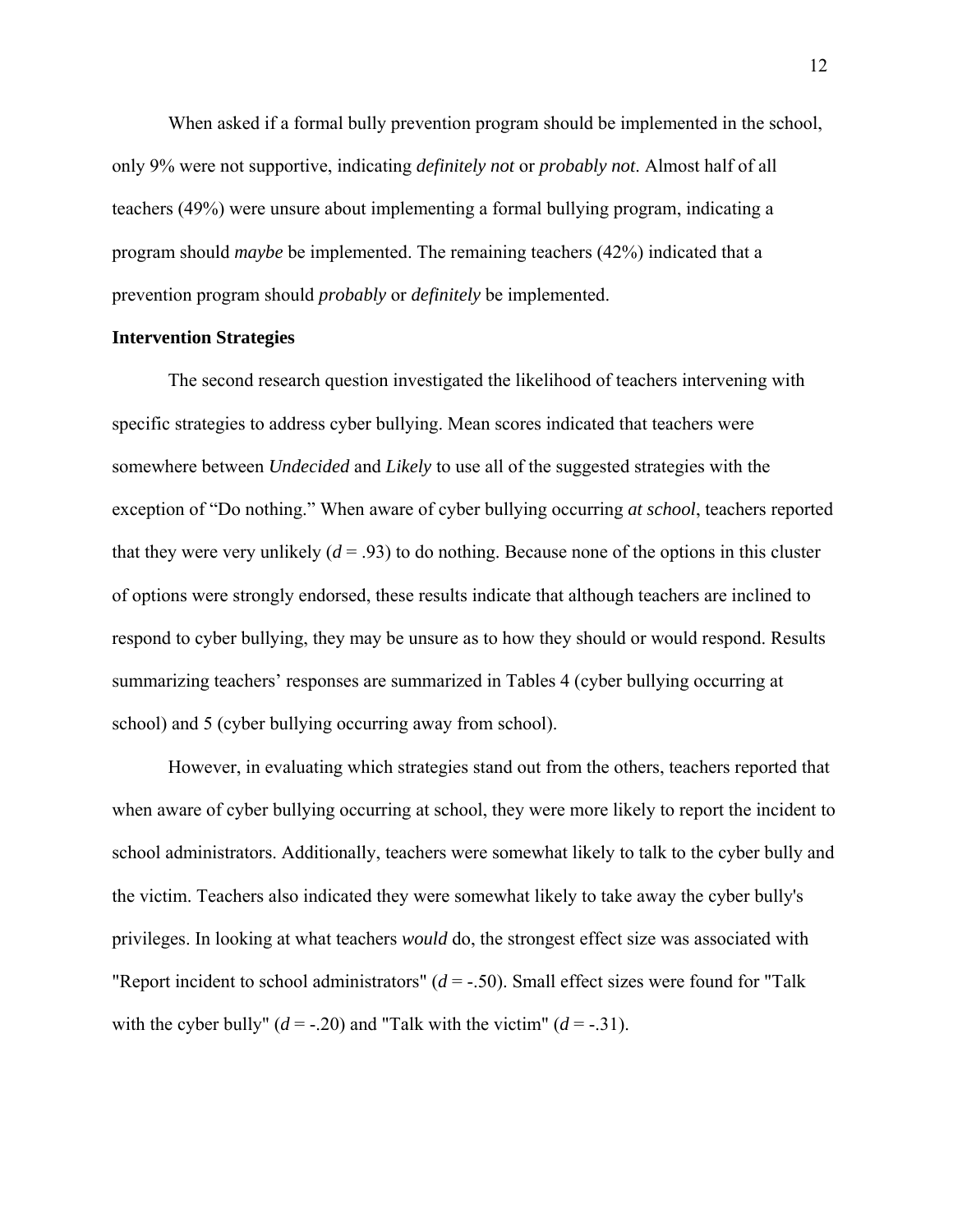When asked if a formal bully prevention program should be implemented in the school, only 9% were not supportive, indicating *definitely not* or *probably not*. Almost half of all teachers (49%) were unsure about implementing a formal bullying program, indicating a program should *maybe* be implemented. The remaining teachers (42%) indicated that a prevention program should *probably* or *definitely* be implemented.

#### **Intervention Strategies**

The second research question investigated the likelihood of teachers intervening with specific strategies to address cyber bullying. Mean scores indicated that teachers were somewhere between *Undecided* and *Likely* to use all of the suggested strategies with the exception of "Do nothing." When aware of cyber bullying occurring *at school*, teachers reported that they were very unlikely  $(d = .93)$  to do nothing. Because none of the options in this cluster of options were strongly endorsed, these results indicate that although teachers are inclined to respond to cyber bullying, they may be unsure as to how they should or would respond. Results summarizing teachers' responses are summarized in Tables 4 (cyber bullying occurring at school) and 5 (cyber bullying occurring away from school).

However, in evaluating which strategies stand out from the others, teachers reported that when aware of cyber bullying occurring at school, they were more likely to report the incident to school administrators. Additionally, teachers were somewhat likely to talk to the cyber bully and the victim. Teachers also indicated they were somewhat likely to take away the cyber bully's privileges. In looking at what teachers *would* do, the strongest effect size was associated with "Report incident to school administrators"  $(d = -0.50)$ . Small effect sizes were found for "Talk" with the cyber bully"  $(d = -0.20)$  and "Talk with the victim"  $(d = -0.31)$ .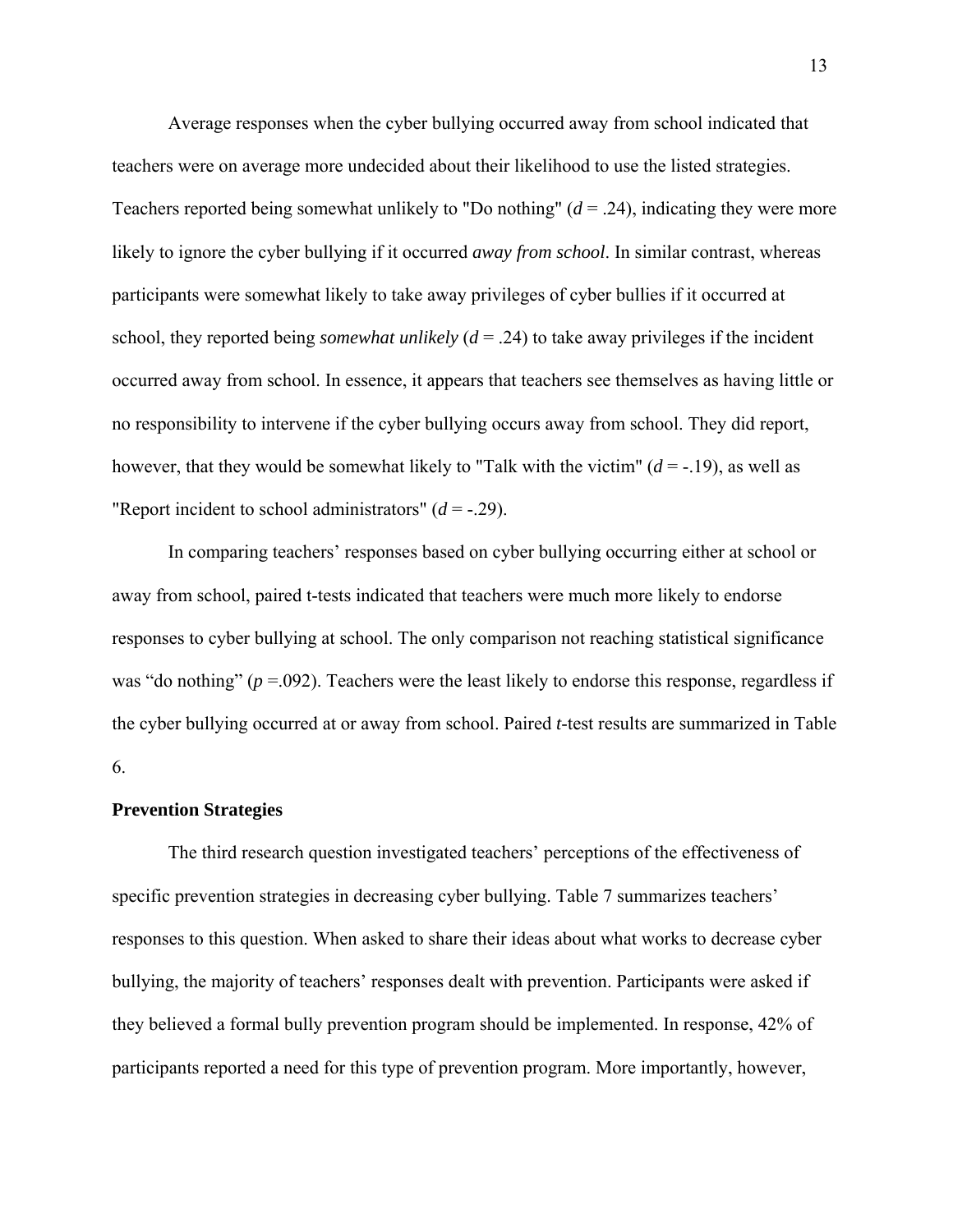Average responses when the cyber bullying occurred away from school indicated that teachers were on average more undecided about their likelihood to use the listed strategies. Teachers reported being somewhat unlikely to "Do nothing"  $(d = .24)$ , indicating they were more likely to ignore the cyber bullying if it occurred *away from school*. In similar contrast, whereas participants were somewhat likely to take away privileges of cyber bullies if it occurred at school, they reported being *somewhat unlikely*  $(d = .24)$  to take away privileges if the incident occurred away from school. In essence, it appears that teachers see themselves as having little or no responsibility to intervene if the cyber bullying occurs away from school. They did report, however, that they would be somewhat likely to "Talk with the victim"  $(d = -19)$ , as well as "Report incident to school administrators"  $(d = -0.29)$ .

In comparing teachers' responses based on cyber bullying occurring either at school or away from school, paired t-tests indicated that teachers were much more likely to endorse responses to cyber bullying at school. The only comparison not reaching statistical significance was "do nothing" ( $p = 0.092$ ). Teachers were the least likely to endorse this response, regardless if the cyber bullying occurred at or away from school. Paired *t*-test results are summarized in Table 6.

#### **Prevention Strategies**

The third research question investigated teachers' perceptions of the effectiveness of specific prevention strategies in decreasing cyber bullying. Table 7 summarizes teachers' responses to this question. When asked to share their ideas about what works to decrease cyber bullying, the majority of teachers' responses dealt with prevention. Participants were asked if they believed a formal bully prevention program should be implemented. In response, 42% of participants reported a need for this type of prevention program. More importantly, however,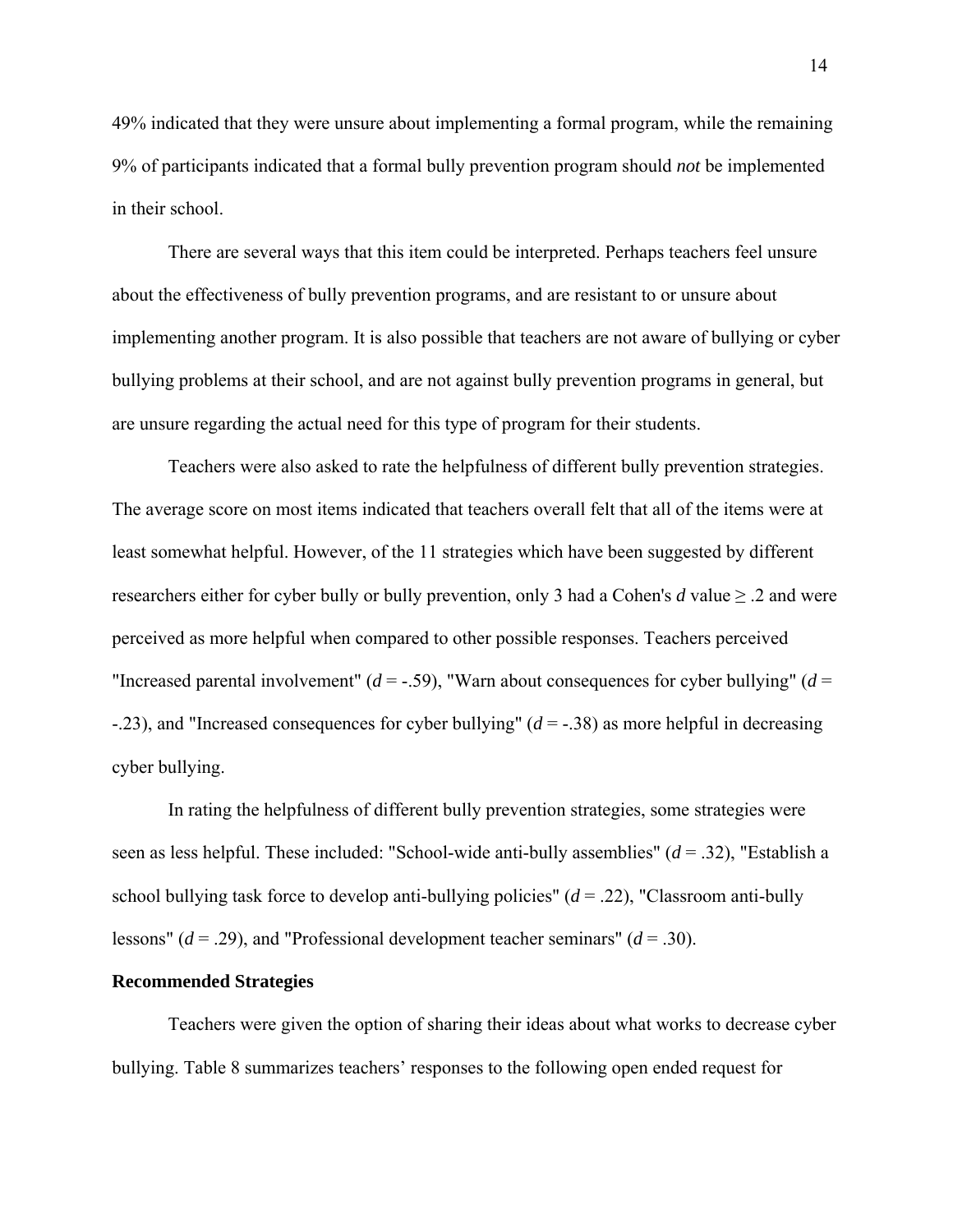49% indicated that they were unsure about implementing a formal program, while the remaining 9% of participants indicated that a formal bully prevention program should *not* be implemented in their school.

There are several ways that this item could be interpreted. Perhaps teachers feel unsure about the effectiveness of bully prevention programs, and are resistant to or unsure about implementing another program. It is also possible that teachers are not aware of bullying or cyber bullying problems at their school, and are not against bully prevention programs in general, but are unsure regarding the actual need for this type of program for their students.

 Teachers were also asked to rate the helpfulness of different bully prevention strategies. The average score on most items indicated that teachers overall felt that all of the items were at least somewhat helpful. However, of the 11 strategies which have been suggested by different researchers either for cyber bully or bully prevention, only 3 had a Cohen's *d* value  $\geq$  2 and were perceived as more helpful when compared to other possible responses. Teachers perceived "Increased parental involvement"  $(d = -.59)$ , "Warn about consequences for cyber bullying"  $(d =$ -.23), and "Increased consequences for cyber bullying" (*d* = -.38) as more helpful in decreasing cyber bullying.

 In rating the helpfulness of different bully prevention strategies, some strategies were seen as less helpful. These included: "School-wide anti-bully assemblies" (*d* = .32), "Establish a school bullying task force to develop anti-bullying policies" (*d* = .22), "Classroom anti-bully lessons" (*d* = .29), and "Professional development teacher seminars" (*d* = .30).

### **Recommended Strategies**

Teachers were given the option of sharing their ideas about what works to decrease cyber bullying. Table 8 summarizes teachers' responses to the following open ended request for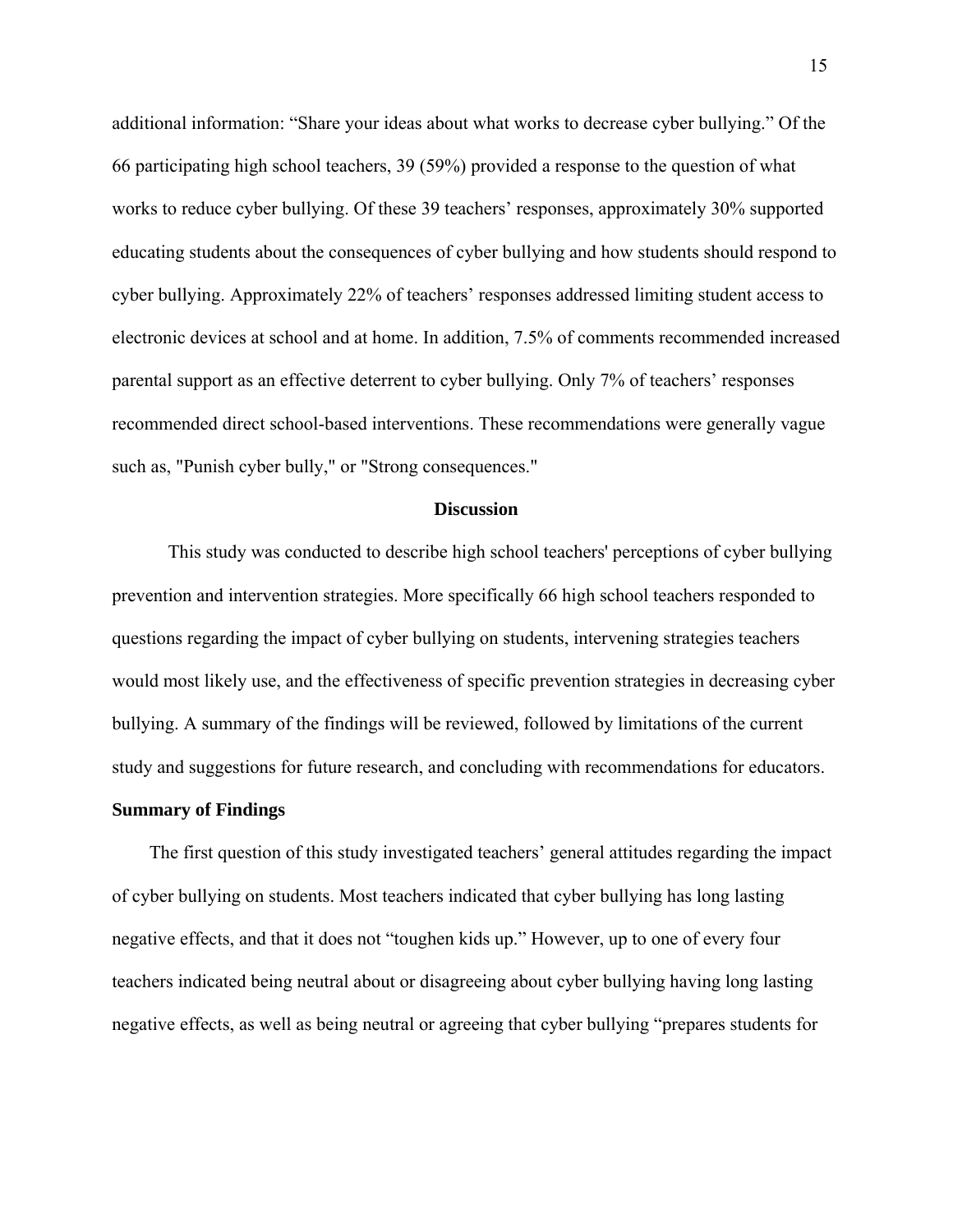additional information: "Share your ideas about what works to decrease cyber bullying." Of the 66 participating high school teachers, 39 (59%) provided a response to the question of what works to reduce cyber bullying. Of these 39 teachers' responses, approximately 30% supported educating students about the consequences of cyber bullying and how students should respond to cyber bullying. Approximately 22% of teachers' responses addressed limiting student access to electronic devices at school and at home. In addition, 7.5% of comments recommended increased parental support as an effective deterrent to cyber bullying. Only 7% of teachers' responses recommended direct school-based interventions. These recommendations were generally vague such as, "Punish cyber bully," or "Strong consequences."

#### **Discussion**

 This study was conducted to describe high school teachers' perceptions of cyber bullying prevention and intervention strategies. More specifically 66 high school teachers responded to questions regarding the impact of cyber bullying on students, intervening strategies teachers would most likely use, and the effectiveness of specific prevention strategies in decreasing cyber bullying. A summary of the findings will be reviewed, followed by limitations of the current study and suggestions for future research, and concluding with recommendations for educators.

#### **Summary of Findings**

The first question of this study investigated teachers' general attitudes regarding the impact of cyber bullying on students. Most teachers indicated that cyber bullying has long lasting negative effects, and that it does not "toughen kids up." However, up to one of every four teachers indicated being neutral about or disagreeing about cyber bullying having long lasting negative effects, as well as being neutral or agreeing that cyber bullying "prepares students for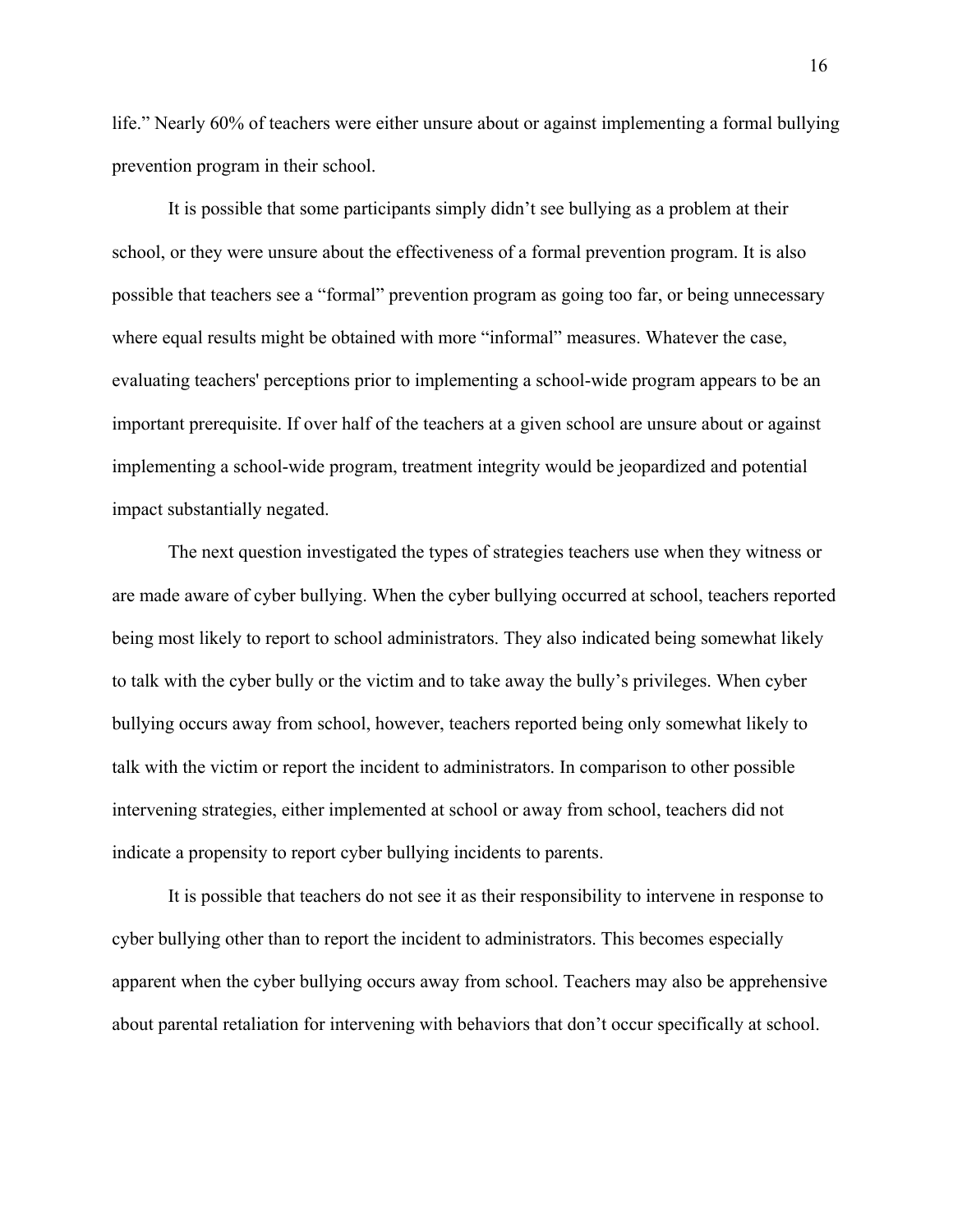life." Nearly 60% of teachers were either unsure about or against implementing a formal bullying prevention program in their school.

 It is possible that some participants simply didn't see bullying as a problem at their school, or they were unsure about the effectiveness of a formal prevention program. It is also possible that teachers see a "formal" prevention program as going too far, or being unnecessary where equal results might be obtained with more "informal" measures. Whatever the case, evaluating teachers' perceptions prior to implementing a school-wide program appears to be an important prerequisite. If over half of the teachers at a given school are unsure about or against implementing a school-wide program, treatment integrity would be jeopardized and potential impact substantially negated.

 The next question investigated the types of strategies teachers use when they witness or are made aware of cyber bullying. When the cyber bullying occurred at school, teachers reported being most likely to report to school administrators. They also indicated being somewhat likely to talk with the cyber bully or the victim and to take away the bully's privileges. When cyber bullying occurs away from school, however, teachers reported being only somewhat likely to talk with the victim or report the incident to administrators. In comparison to other possible intervening strategies, either implemented at school or away from school, teachers did not indicate a propensity to report cyber bullying incidents to parents.

 It is possible that teachers do not see it as their responsibility to intervene in response to cyber bullying other than to report the incident to administrators. This becomes especially apparent when the cyber bullying occurs away from school. Teachers may also be apprehensive about parental retaliation for intervening with behaviors that don't occur specifically at school.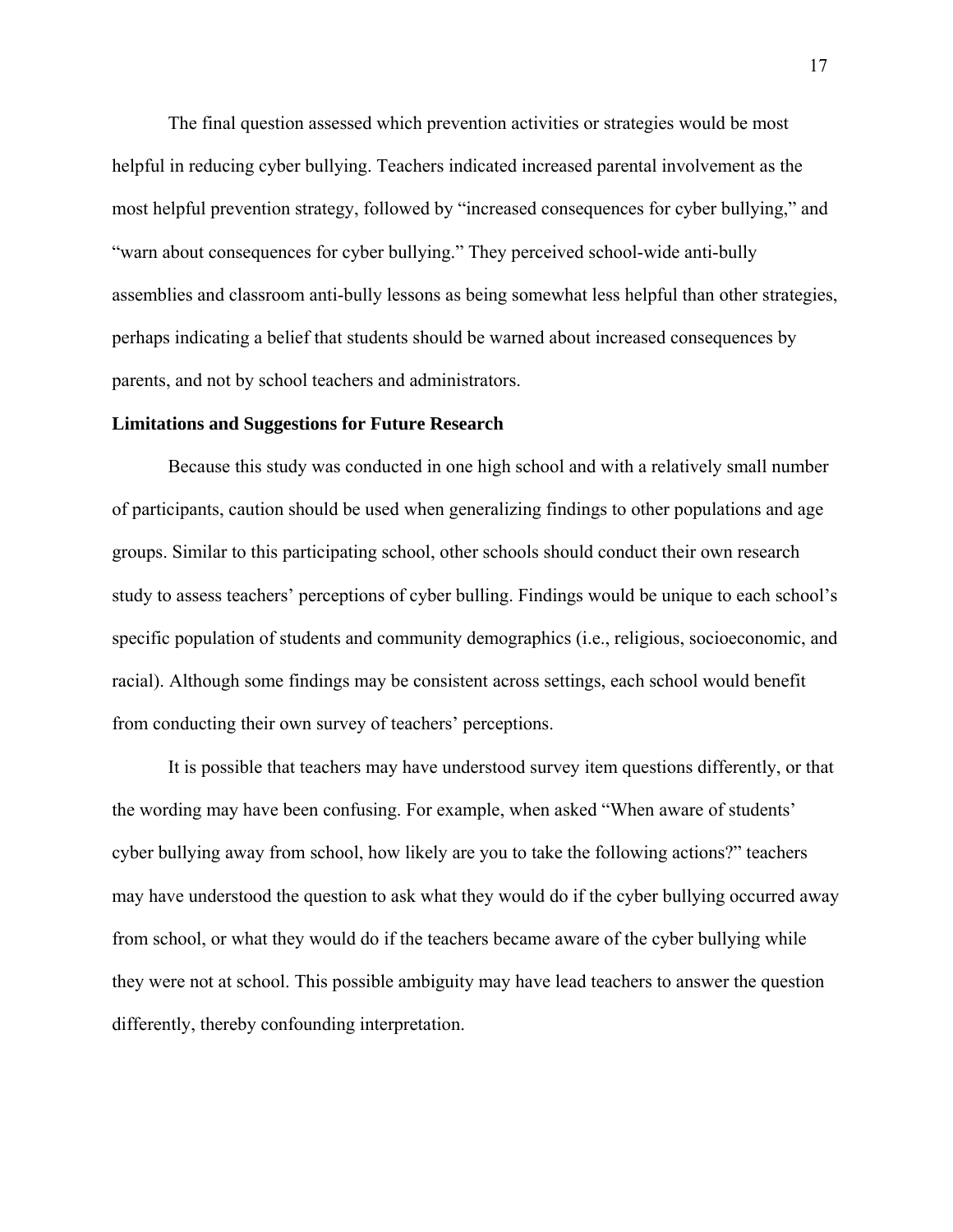The final question assessed which prevention activities or strategies would be most helpful in reducing cyber bullying. Teachers indicated increased parental involvement as the most helpful prevention strategy, followed by "increased consequences for cyber bullying," and "warn about consequences for cyber bullying." They perceived school-wide anti-bully assemblies and classroom anti-bully lessons as being somewhat less helpful than other strategies, perhaps indicating a belief that students should be warned about increased consequences by parents, and not by school teachers and administrators.

### **Limitations and Suggestions for Future Research**

 Because this study was conducted in one high school and with a relatively small number of participants, caution should be used when generalizing findings to other populations and age groups. Similar to this participating school, other schools should conduct their own research study to assess teachers' perceptions of cyber bulling. Findings would be unique to each school's specific population of students and community demographics (i.e., religious, socioeconomic, and racial). Although some findings may be consistent across settings, each school would benefit from conducting their own survey of teachers' perceptions.

 It is possible that teachers may have understood survey item questions differently, or that the wording may have been confusing. For example, when asked "When aware of students' cyber bullying away from school, how likely are you to take the following actions?" teachers may have understood the question to ask what they would do if the cyber bullying occurred away from school, or what they would do if the teachers became aware of the cyber bullying while they were not at school. This possible ambiguity may have lead teachers to answer the question differently, thereby confounding interpretation.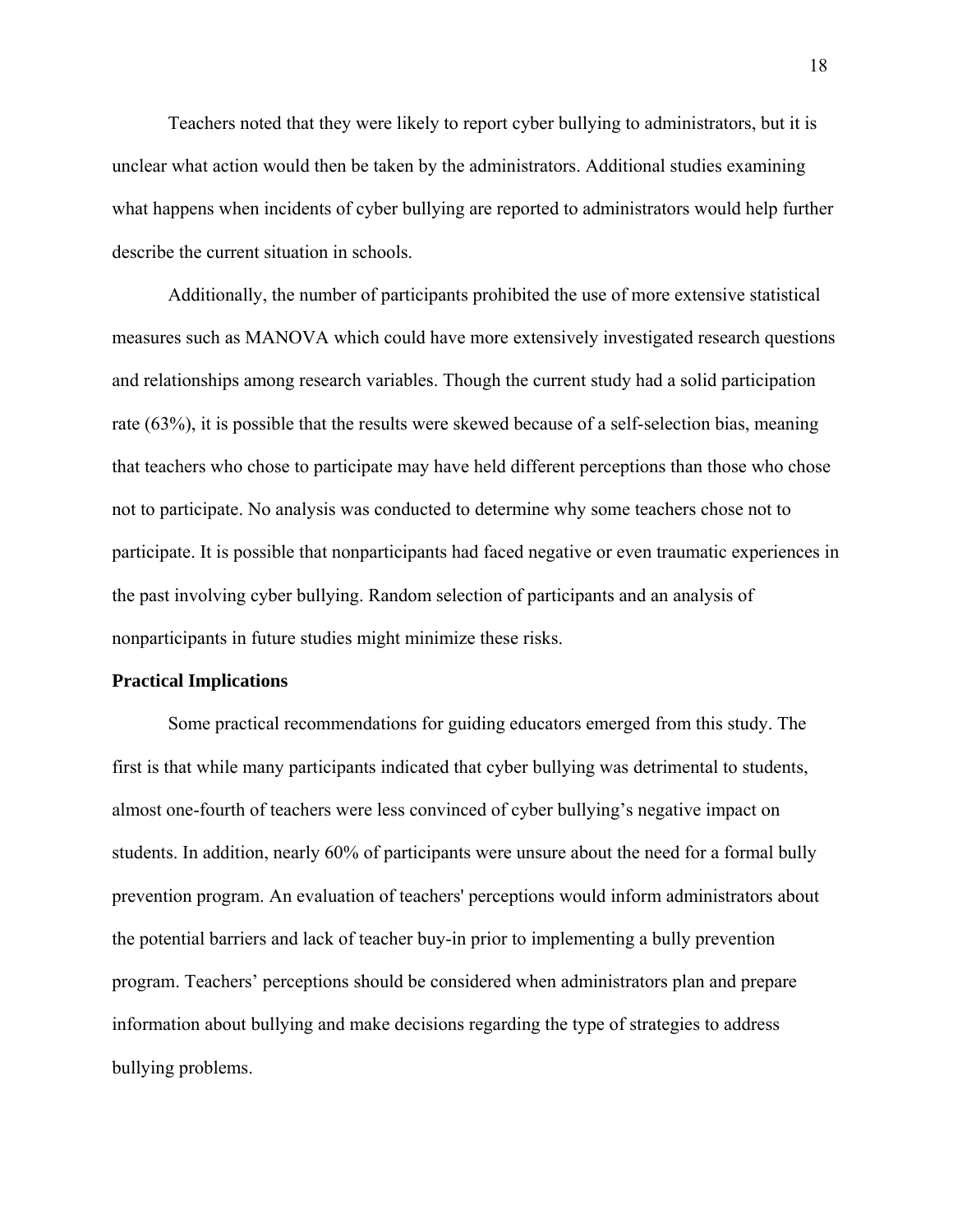Teachers noted that they were likely to report cyber bullying to administrators, but it is unclear what action would then be taken by the administrators. Additional studies examining what happens when incidents of cyber bullying are reported to administrators would help further describe the current situation in schools.

 Additionally, the number of participants prohibited the use of more extensive statistical measures such as MANOVA which could have more extensively investigated research questions and relationships among research variables. Though the current study had a solid participation rate (63%), it is possible that the results were skewed because of a self-selection bias, meaning that teachers who chose to participate may have held different perceptions than those who chose not to participate. No analysis was conducted to determine why some teachers chose not to participate. It is possible that nonparticipants had faced negative or even traumatic experiences in the past involving cyber bullying. Random selection of participants and an analysis of nonparticipants in future studies might minimize these risks.

### **Practical Implications**

Some practical recommendations for guiding educators emerged from this study. The first is that while many participants indicated that cyber bullying was detrimental to students, almost one-fourth of teachers were less convinced of cyber bullying's negative impact on students. In addition, nearly 60% of participants were unsure about the need for a formal bully prevention program. An evaluation of teachers' perceptions would inform administrators about the potential barriers and lack of teacher buy-in prior to implementing a bully prevention program. Teachers' perceptions should be considered when administrators plan and prepare information about bullying and make decisions regarding the type of strategies to address bullying problems.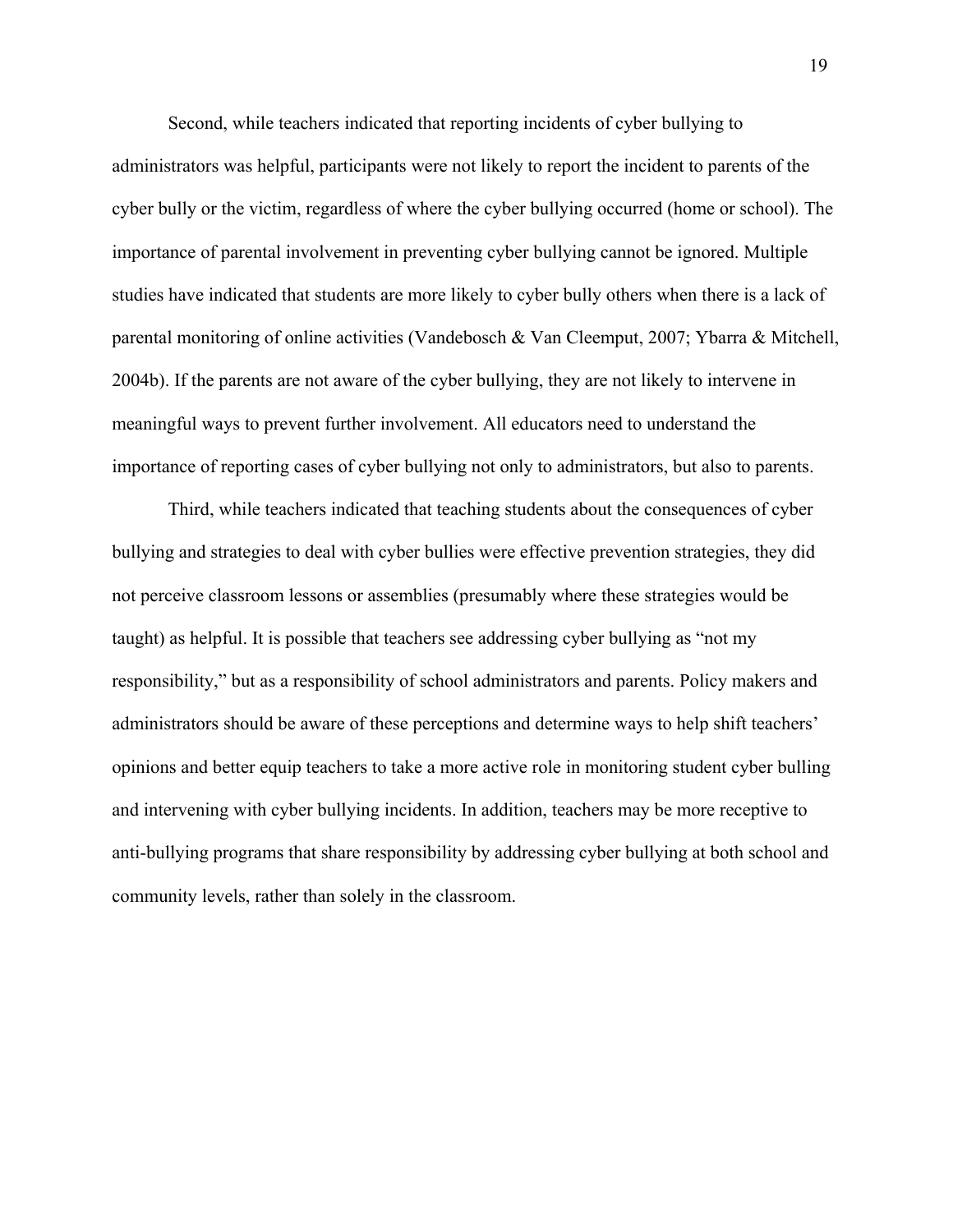Second, while teachers indicated that reporting incidents of cyber bullying to administrators was helpful, participants were not likely to report the incident to parents of the cyber bully or the victim, regardless of where the cyber bullying occurred (home or school). The importance of parental involvement in preventing cyber bullying cannot be ignored. Multiple studies have indicated that students are more likely to cyber bully others when there is a lack of parental monitoring of online activities (Vandebosch & Van Cleemput, 2007; Ybarra & Mitchell, 2004b). If the parents are not aware of the cyber bullying, they are not likely to intervene in meaningful ways to prevent further involvement. All educators need to understand the importance of reporting cases of cyber bullying not only to administrators, but also to parents.

 Third, while teachers indicated that teaching students about the consequences of cyber bullying and strategies to deal with cyber bullies were effective prevention strategies, they did not perceive classroom lessons or assemblies (presumably where these strategies would be taught) as helpful. It is possible that teachers see addressing cyber bullying as "not my responsibility," but as a responsibility of school administrators and parents. Policy makers and administrators should be aware of these perceptions and determine ways to help shift teachers' opinions and better equip teachers to take a more active role in monitoring student cyber bulling and intervening with cyber bullying incidents. In addition, teachers may be more receptive to anti-bullying programs that share responsibility by addressing cyber bullying at both school and community levels, rather than solely in the classroom.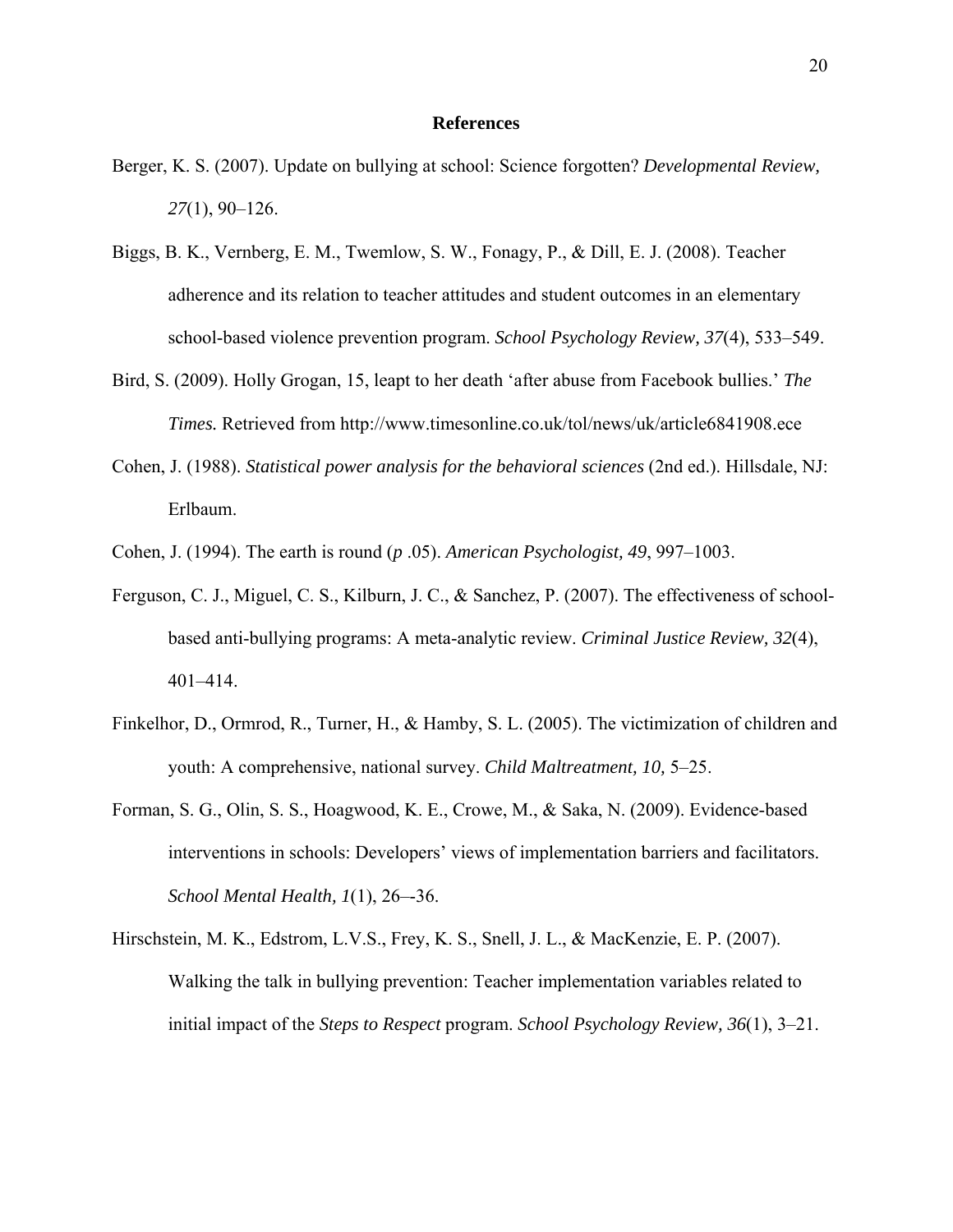### **References**

- Berger, K. S. (2007). Update on bullying at school: Science forgotten? *Developmental Review, 27*(1), 90–126.
- Biggs, B. K., Vernberg, E. M., Twemlow, S. W., Fonagy, P., & Dill, E. J. (2008). Teacher adherence and its relation to teacher attitudes and student outcomes in an elementary school-based violence prevention program. *School Psychology Review, 37*(4), 533–549.
- Bird, S. (2009). Holly Grogan, 15, leapt to her death 'after abuse from Facebook bullies.' *The Times.* Retrieved from http://www.timesonline.co.uk/tol/news/uk/article6841908.ece
- Cohen, J. (1988). *Statistical power analysis for the behavioral sciences* (2nd ed.). Hillsdale, NJ: Erlbaum.
- Cohen, J. (1994). The earth is round (*p* .05). *American Psychologist, 49*, 997–1003.
- Ferguson, C. J., Miguel, C. S., Kilburn, J. C., & Sanchez, P. (2007). The effectiveness of schoolbased anti-bullying programs: A meta-analytic review. *Criminal Justice Review, 32*(4), 401–414.
- Finkelhor, D., Ormrod, R., Turner, H., & Hamby, S. L. (2005). The victimization of children and youth: A comprehensive, national survey. *Child Maltreatment, 10,* 5–25.
- Forman, S. G., Olin, S. S., Hoagwood, K. E., Crowe, M., & Saka, N. (2009). Evidence-based interventions in schools: Developers' views of implementation barriers and facilitators. *School Mental Health, 1*(1), 26–-36.
- Hirschstein, M. K., Edstrom, L.V.S., Frey, K. S., Snell, J. L., & MacKenzie, E. P. (2007). Walking the talk in bullying prevention: Teacher implementation variables related to initial impact of the *Steps to Respect* program. *School Psychology Review, 36*(1), 3–21.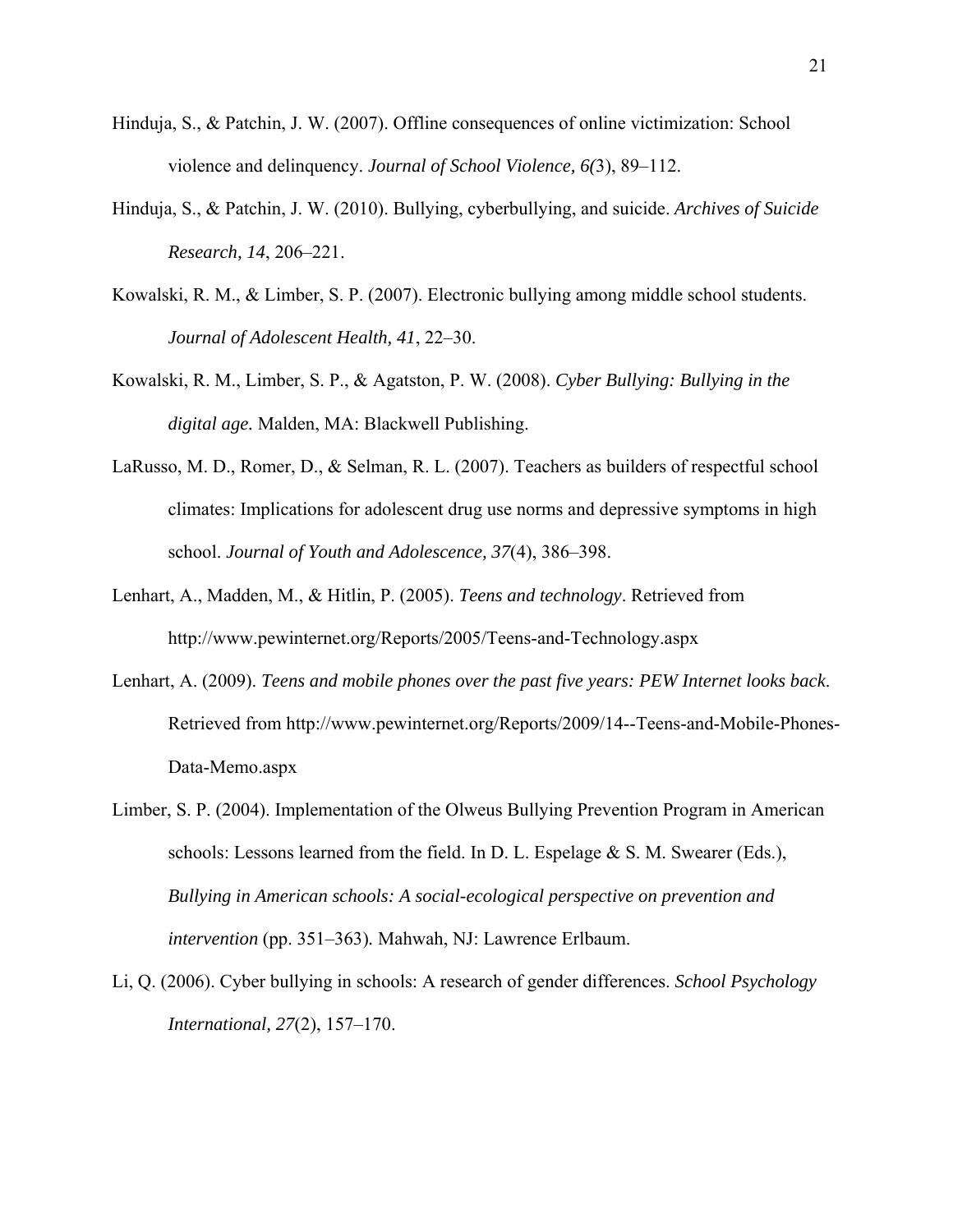- Hinduja, S., & Patchin, J. W. (2007). Offline consequences of online victimization: School violence and delinquency. *Journal of School Violence, 6(*3), 89–112.
- Hinduja, S., & Patchin, J. W. (2010). Bullying, cyberbullying, and suicide. *Archives of Suicide Research, 14*, 206–221.
- Kowalski, R. M., & Limber, S. P. (2007). Electronic bullying among middle school students. *Journal of Adolescent Health, 41*, 22–30.
- Kowalski, R. M., Limber, S. P., & Agatston, P. W. (2008). *Cyber Bullying: Bullying in the digital age.* Malden, MA: Blackwell Publishing.
- LaRusso, M. D., Romer, D., & Selman, R. L. (2007). Teachers as builders of respectful school climates: Implications for adolescent drug use norms and depressive symptoms in high school. *Journal of Youth and Adolescence, 37*(4), 386–398.
- Lenhart, A., Madden, M., & Hitlin, P. (2005). *Teens and technology*. Retrieved from http://www.pewinternet.org/Reports/2005/Teens-and-Technology.aspx
- Lenhart, A. (2009). *Teens and mobile phones over the past five years: PEW Internet looks back*. Retrieved from http://www.pewinternet.org/Reports/2009/14--Teens-and-Mobile-Phones-Data-Memo.aspx
- Limber, S. P. (2004). Implementation of the Olweus Bullying Prevention Program in American schools: Lessons learned from the field. In D. L. Espelage  $\&$  S. M. Swearer (Eds.), *Bullying in American schools: A social-ecological perspective on prevention and intervention* (pp. 351–363)*.* Mahwah, NJ: Lawrence Erlbaum.
- Li, Q. (2006). Cyber bullying in schools: A research of gender differences. *School Psychology International, 27*(2), 157–170.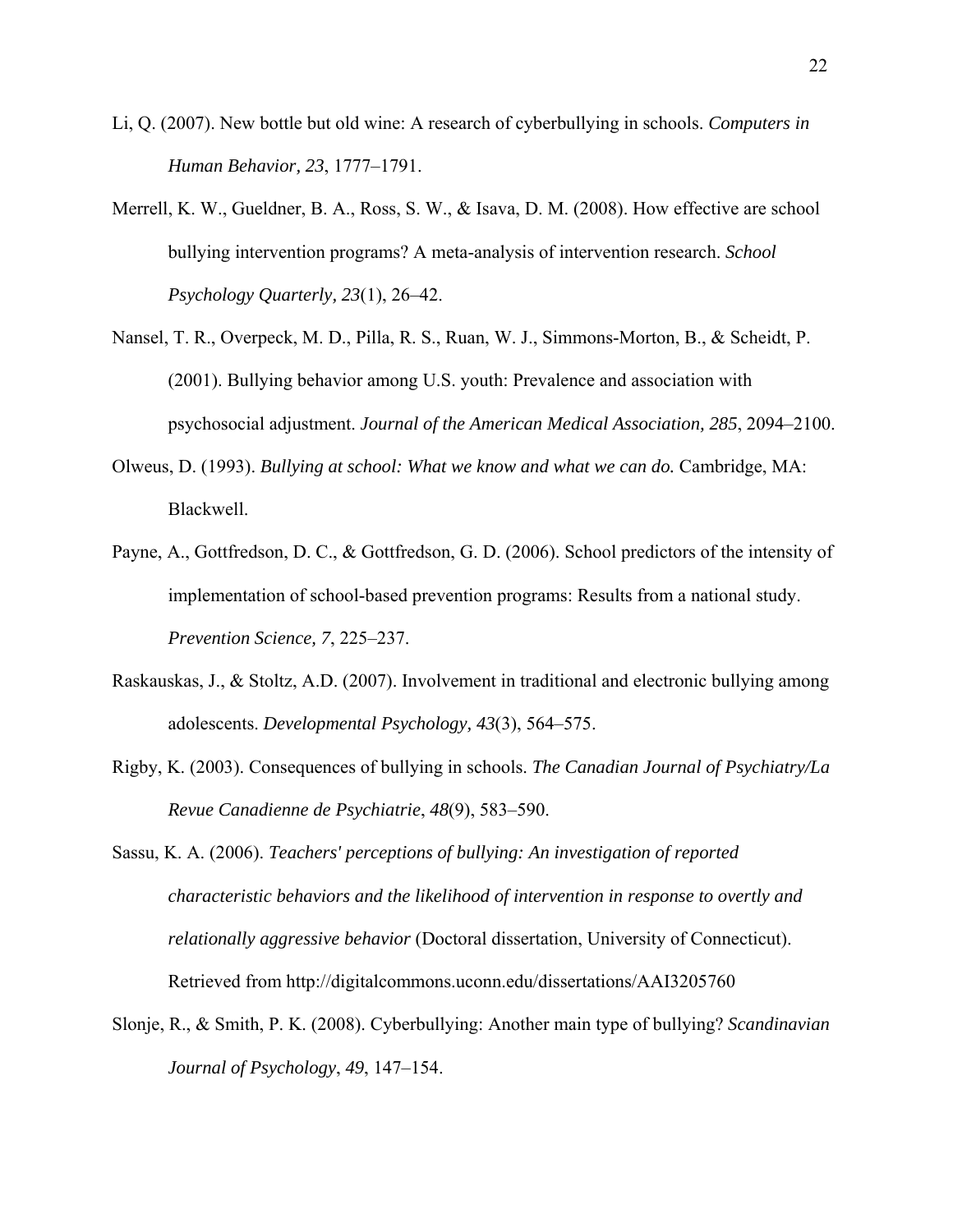- Li, Q. (2007). New bottle but old wine: A research of cyberbullying in schools. *Computers in Human Behavior, 23*, 1777–1791.
- Merrell, K. W., Gueldner, B. A., Ross, S. W., & Isava, D. M. (2008). How effective are school bullying intervention programs? A meta-analysis of intervention research. *School Psychology Quarterly, 23*(1), 26–42.
- Nansel, T. R., Overpeck, M. D., Pilla, R. S., Ruan, W. J., Simmons-Morton, B., & Scheidt, P. (2001). Bullying behavior among U.S. youth: Prevalence and association with psychosocial adjustment. *Journal of the American Medical Association, 285*, 2094–2100.
- Olweus, D. (1993). *Bullying at school: What we know and what we can do.* Cambridge, MA: Blackwell.
- Payne, A., Gottfredson, D. C., & Gottfredson, G. D. (2006). School predictors of the intensity of implementation of school-based prevention programs: Results from a national study. *Prevention Science, 7*, 225–237.
- Raskauskas, J., & Stoltz, A.D. (2007). Involvement in traditional and electronic bullying among adolescents. *Developmental Psychology, 43*(3), 564–575.
- Rigby, K. (2003). Consequences of bullying in schools. *The Canadian Journal of Psychiatry/La Revue Canadienne de Psychiatrie*, *48*(9), 583–590.
- Sassu, K. A. (2006). *Teachers' perceptions of bullying: An investigation of reported characteristic behaviors and the likelihood of intervention in response to overtly and relationally aggressive behavior* (Doctoral dissertation, University of Connecticut). Retrieved from http://digitalcommons.uconn.edu/dissertations/AAI3205760
- Slonje, R., & Smith, P. K. (2008). Cyberbullying: Another main type of bullying? *Scandinavian Journal of Psychology*, *49*, 147–154.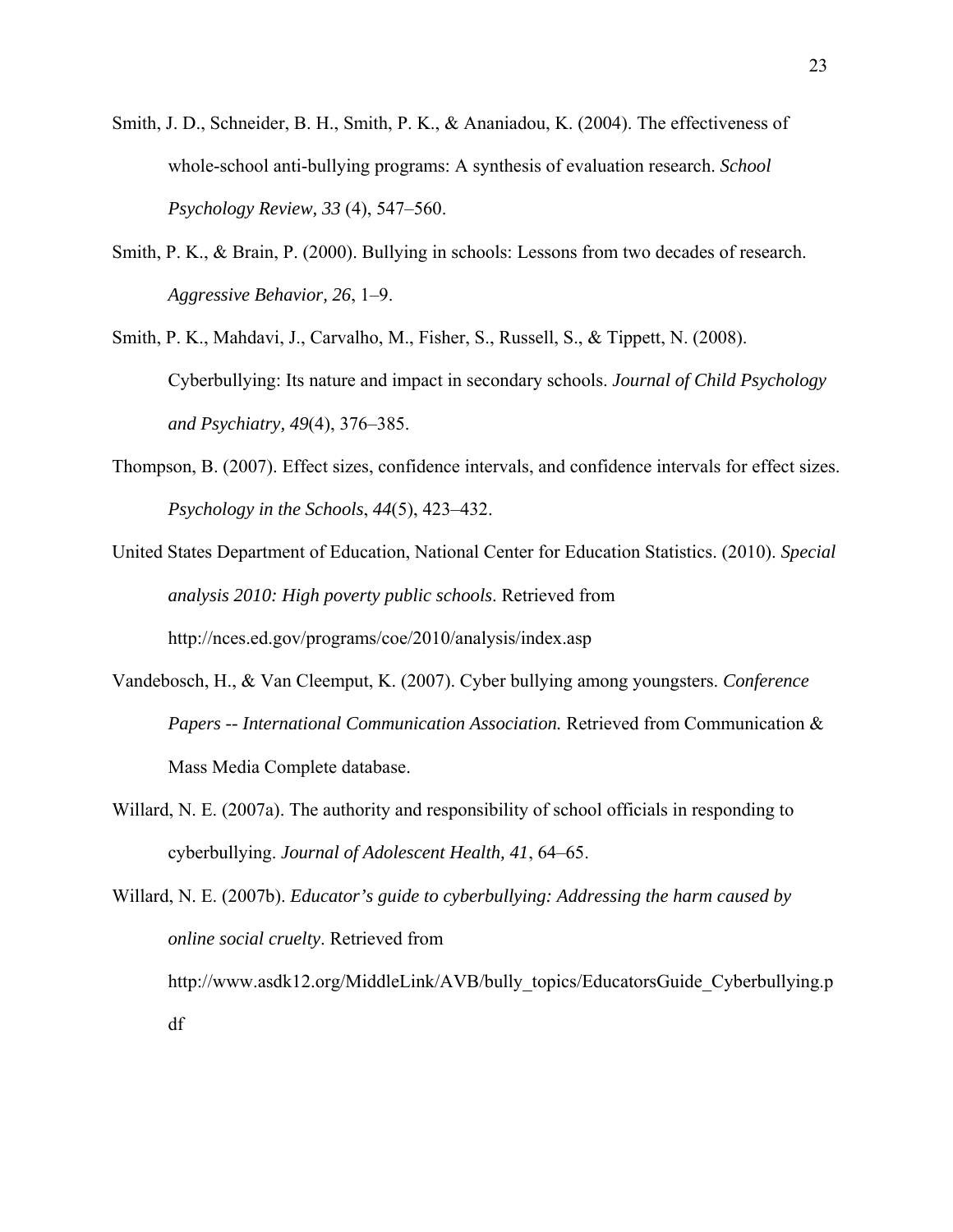- Smith, J. D., Schneider, B. H., Smith, P. K., & Ananiadou, K. (2004). The effectiveness of whole-school anti-bullying programs: A synthesis of evaluation research. *School Psychology Review, 33* (4), 547–560.
- Smith, P. K., & Brain, P. (2000). Bullying in schools: Lessons from two decades of research. *Aggressive Behavior, 26*, 1–9.
- Smith, P. K., Mahdavi, J., Carvalho, M., Fisher, S., Russell, S., & Tippett, N. (2008). Cyberbullying: Its nature and impact in secondary schools. *Journal of Child Psychology and Psychiatry, 49*(4), 376–385.
- Thompson, B. (2007). Effect sizes, confidence intervals, and confidence intervals for effect sizes. *Psychology in the Schools*, *44*(5), 423–432.
- United States Department of Education, National Center for Education Statistics. (2010). *Special analysis 2010: High poverty public schools*. Retrieved from http://nces.ed.gov/programs/coe/2010/analysis/index.asp
- Vandebosch, H., & Van Cleemput, K. (2007). Cyber bullying among youngsters. *Conference Papers -- International Communication Association.* Retrieved from Communication & Mass Media Complete database.
- Willard, N. E. (2007a). The authority and responsibility of school officials in responding to cyberbullying. *Journal of Adolescent Health, 41*, 64–65.

Willard, N. E. (2007b). *Educator's guide to cyberbullying: Addressing the harm caused by online social cruelty*. Retrieved from http://www.asdk12.org/MiddleLink/AVB/bully\_topics/EducatorsGuide\_Cyberbullying.p df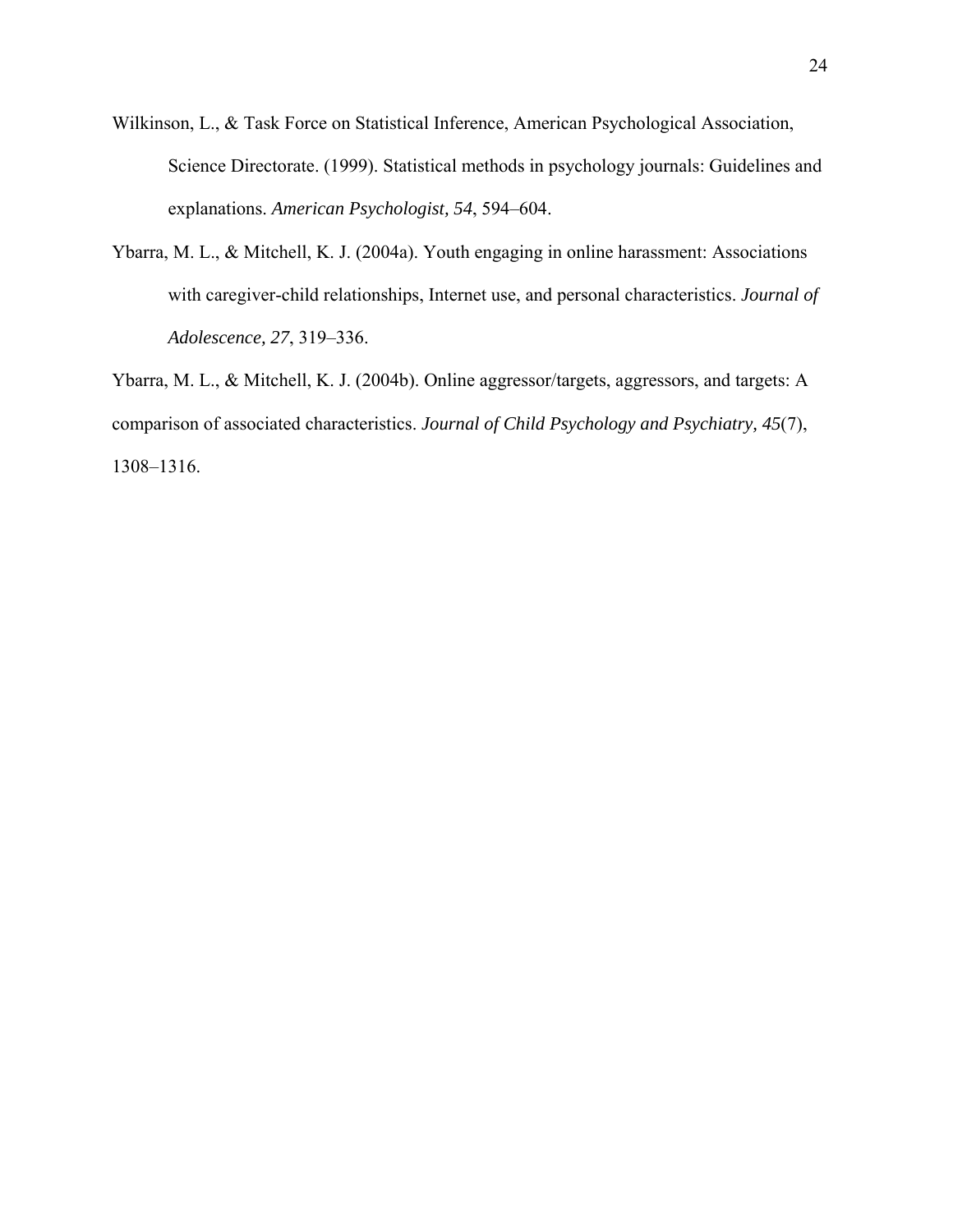- Wilkinson, L., & Task Force on Statistical Inference, American Psychological Association, Science Directorate. (1999). Statistical methods in psychology journals: Guidelines and explanations. *American Psychologist, 54*, 594–604.
- Ybarra, M. L., & Mitchell, K. J. (2004a). Youth engaging in online harassment: Associations with caregiver-child relationships, Internet use, and personal characteristics. *Journal of Adolescence, 27*, 319–336.

Ybarra, M. L., & Mitchell, K. J. (2004b). Online aggressor/targets, aggressors, and targets: A comparison of associated characteristics. *Journal of Child Psychology and Psychiatry, 45*(7), 1308–1316.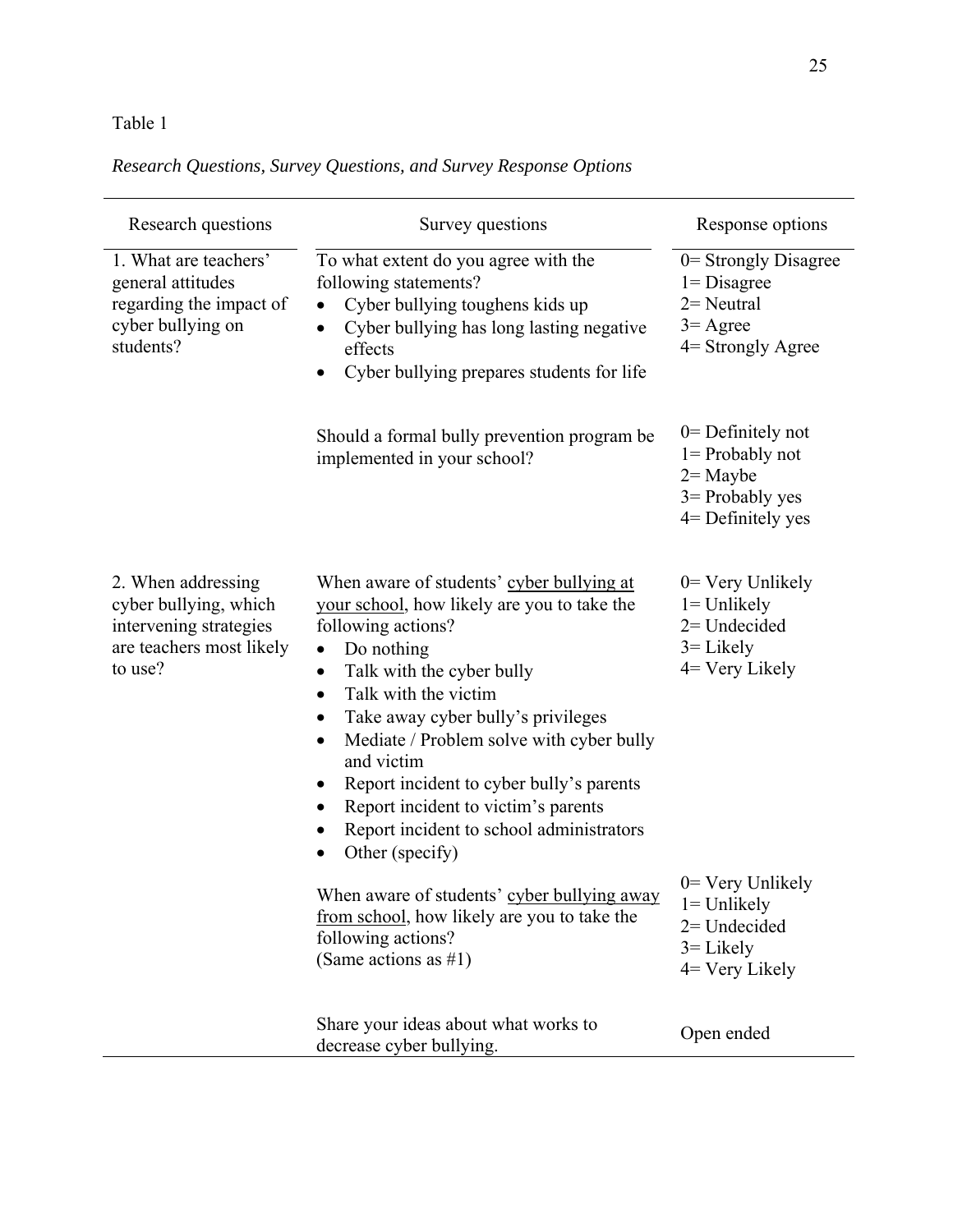## *Research Questions, Survey Questions, and Survey Response Options*

| Research questions                                                                                           | Survey questions                                                                                                                                                                                                                                                                                                                                                                                                                                                                                                                                                                                  | Response options                                                                                                                                                       |
|--------------------------------------------------------------------------------------------------------------|---------------------------------------------------------------------------------------------------------------------------------------------------------------------------------------------------------------------------------------------------------------------------------------------------------------------------------------------------------------------------------------------------------------------------------------------------------------------------------------------------------------------------------------------------------------------------------------------------|------------------------------------------------------------------------------------------------------------------------------------------------------------------------|
| 1. What are teachers'<br>general attitudes<br>regarding the impact of<br>cyber bullying on<br>students?      | To what extent do you agree with the<br>following statements?<br>Cyber bullying toughens kids up<br>٠<br>Cyber bullying has long lasting negative<br>$\bullet$<br>effects<br>Cyber bullying prepares students for life                                                                                                                                                                                                                                                                                                                                                                            | $0$ = Strongly Disagree<br>$1 = Disagree$<br>$2$ = Neutral<br>$3 = \text{Agree}$<br>4= Strongly Agree                                                                  |
|                                                                                                              | Should a formal bully prevention program be<br>implemented in your school?                                                                                                                                                                                                                                                                                                                                                                                                                                                                                                                        | $0$ = Definitely not<br>$l =$ Probably not<br>$2 =$ Maybe<br>$3$ = Probably yes<br>$4$ = Definitely yes                                                                |
| 2. When addressing<br>cyber bullying, which<br>intervening strategies<br>are teachers most likely<br>to use? | When aware of students' cyber bullying at<br>your school, how likely are you to take the<br>following actions?<br>Do nothing<br>Talk with the cyber bully<br>٠<br>Talk with the victim<br>$\bullet$<br>Take away cyber bully's privileges<br>Mediate / Problem solve with cyber bully<br>and victim<br>Report incident to cyber bully's parents<br>Report incident to victim's parents<br>Report incident to school administrators<br>Other (specify)<br>When aware of students' cyber bullying away<br>from school, how likely are you to take the<br>following actions?<br>(Same actions as #1) | $0=$ Very Unlikely<br>$l =$ Unlikely<br>$2=$ Undecided<br>$3 =$ Likely<br>$4 = V$ ery Likely<br>$0=$ Very Unlikely<br>$l =$ Unlikely<br>$2=$ Undecided<br>$3 =$ Likely |
|                                                                                                              | Share your ideas about what works to<br>decrease cyber bullying.                                                                                                                                                                                                                                                                                                                                                                                                                                                                                                                                  | 4 Very Likely<br>Open ended                                                                                                                                            |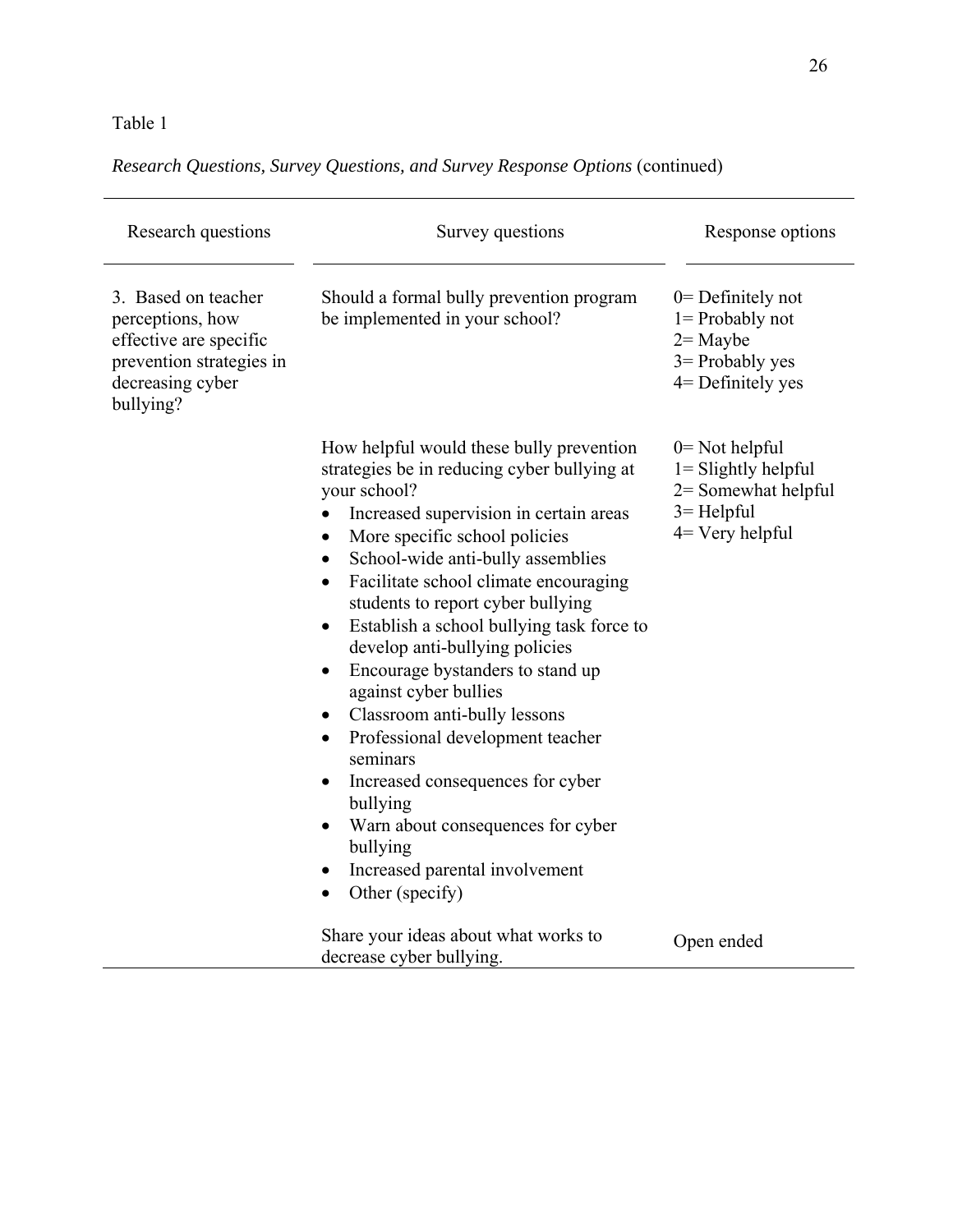*Research Questions, Survey Questions, and Survey Response Options* (continued)

| Research questions                                                                                                             | Survey questions                                                                                                                                                                                                                                                                                                                                                                                                                                                                                                                                                                                                                                                                                                                                                                                     | Response options                                                                                             |
|--------------------------------------------------------------------------------------------------------------------------------|------------------------------------------------------------------------------------------------------------------------------------------------------------------------------------------------------------------------------------------------------------------------------------------------------------------------------------------------------------------------------------------------------------------------------------------------------------------------------------------------------------------------------------------------------------------------------------------------------------------------------------------------------------------------------------------------------------------------------------------------------------------------------------------------------|--------------------------------------------------------------------------------------------------------------|
| 3. Based on teacher<br>perceptions, how<br>effective are specific<br>prevention strategies in<br>decreasing cyber<br>bullying? | Should a formal bully prevention program<br>be implemented in your school?                                                                                                                                                                                                                                                                                                                                                                                                                                                                                                                                                                                                                                                                                                                           | $0$ = Definitely not<br>$1 =$ Probably not<br>$2 =$ Maybe<br>$3$ = Probably yes<br>4= Definitely yes         |
|                                                                                                                                | How helpful would these bully prevention<br>strategies be in reducing cyber bullying at<br>your school?<br>Increased supervision in certain areas<br>More specific school policies<br>٠<br>School-wide anti-bully assemblies<br>$\bullet$<br>Facilitate school climate encouraging<br>$\bullet$<br>students to report cyber bullying<br>Establish a school bullying task force to<br>$\bullet$<br>develop anti-bullying policies<br>Encourage bystanders to stand up<br>$\bullet$<br>against cyber bullies<br>Classroom anti-bully lessons<br>$\bullet$<br>Professional development teacher<br>$\bullet$<br>seminars<br>Increased consequences for cyber<br>$\bullet$<br>bullying<br>Warn about consequences for cyber<br>bullying<br>Increased parental involvement<br>Other (specify)<br>$\bullet$ | $0 = Not helpful$<br>$l =$ Slightly helpful<br>$2$ = Somewhat helpful<br>$3 = Helpful$<br>$4 =$ Very helpful |
|                                                                                                                                | Share your ideas about what works to<br>decrease cyber bullying.                                                                                                                                                                                                                                                                                                                                                                                                                                                                                                                                                                                                                                                                                                                                     | Open ended                                                                                                   |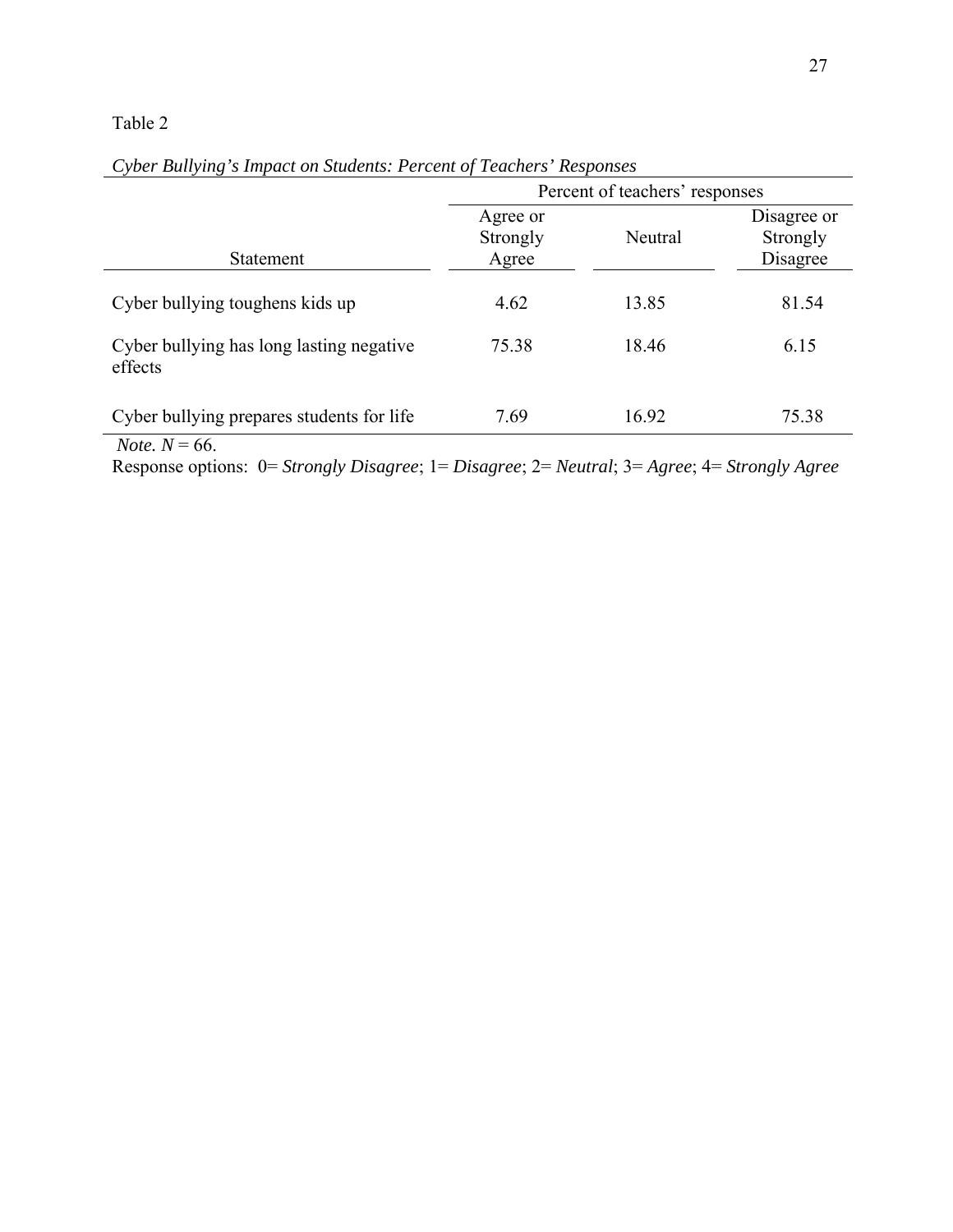|                                                     | Percent of teachers' responses |         |                                     |
|-----------------------------------------------------|--------------------------------|---------|-------------------------------------|
| <b>Statement</b>                                    | Agree or<br>Strongly<br>Agree  | Neutral | Disagree or<br>Strongly<br>Disagree |
| Cyber bullying toughens kids up                     | 4.62                           | 13.85   | 81.54                               |
| Cyber bullying has long lasting negative<br>effects | 75.38                          | 18.46   | 6.15                                |
| Cyber bullying prepares students for life           | 7.69                           | 16.92   | 75.38                               |

| Cyber Bullying's Impact on Students: Percent of Teachers' Responses |  |  |
|---------------------------------------------------------------------|--|--|
|                                                                     |  |  |

*Note.*  $N = 66$ .

Response options: 0= *Strongly Disagree*; 1= *Disagree*; 2= *Neutral*; 3= *Agree*; 4= *Strongly Agree*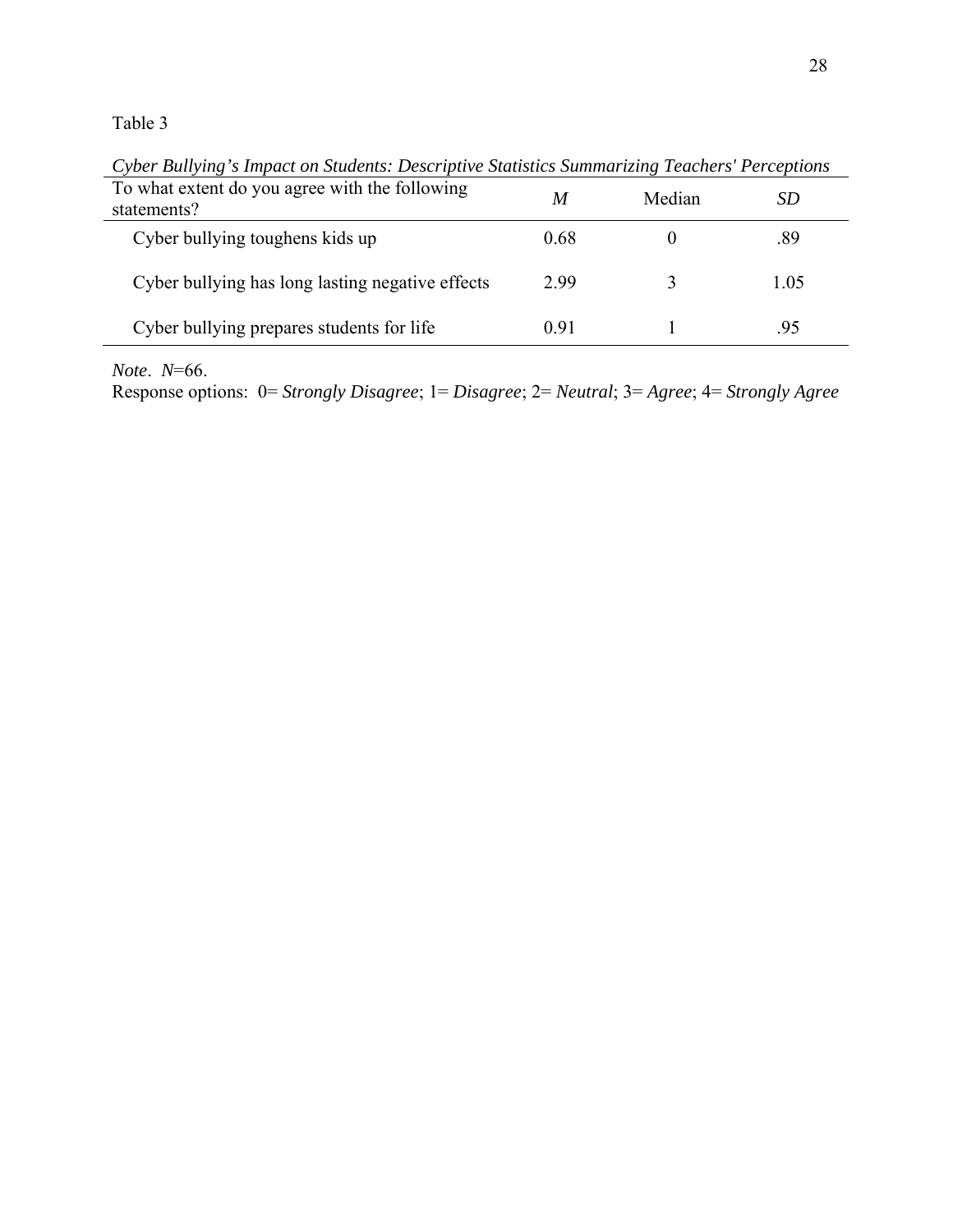To what extent do you agree with the following *M* Median *SD*<br>statements? Cyber bullying toughens kids up 0.68 0 .89 Cyber bullying has long lasting negative effects 2.99 3 1.05 Cyber bullying prepares students for life 0.91 1 .95

*Cyber Bullying's Impact on Students: Descriptive Statistics Summarizing Teachers' Perceptions* 

*Note*. *N*=66.

Response options: 0= *Strongly Disagree*; 1= *Disagree*; 2= *Neutral*; 3= *Agree*; 4= *Strongly Agree*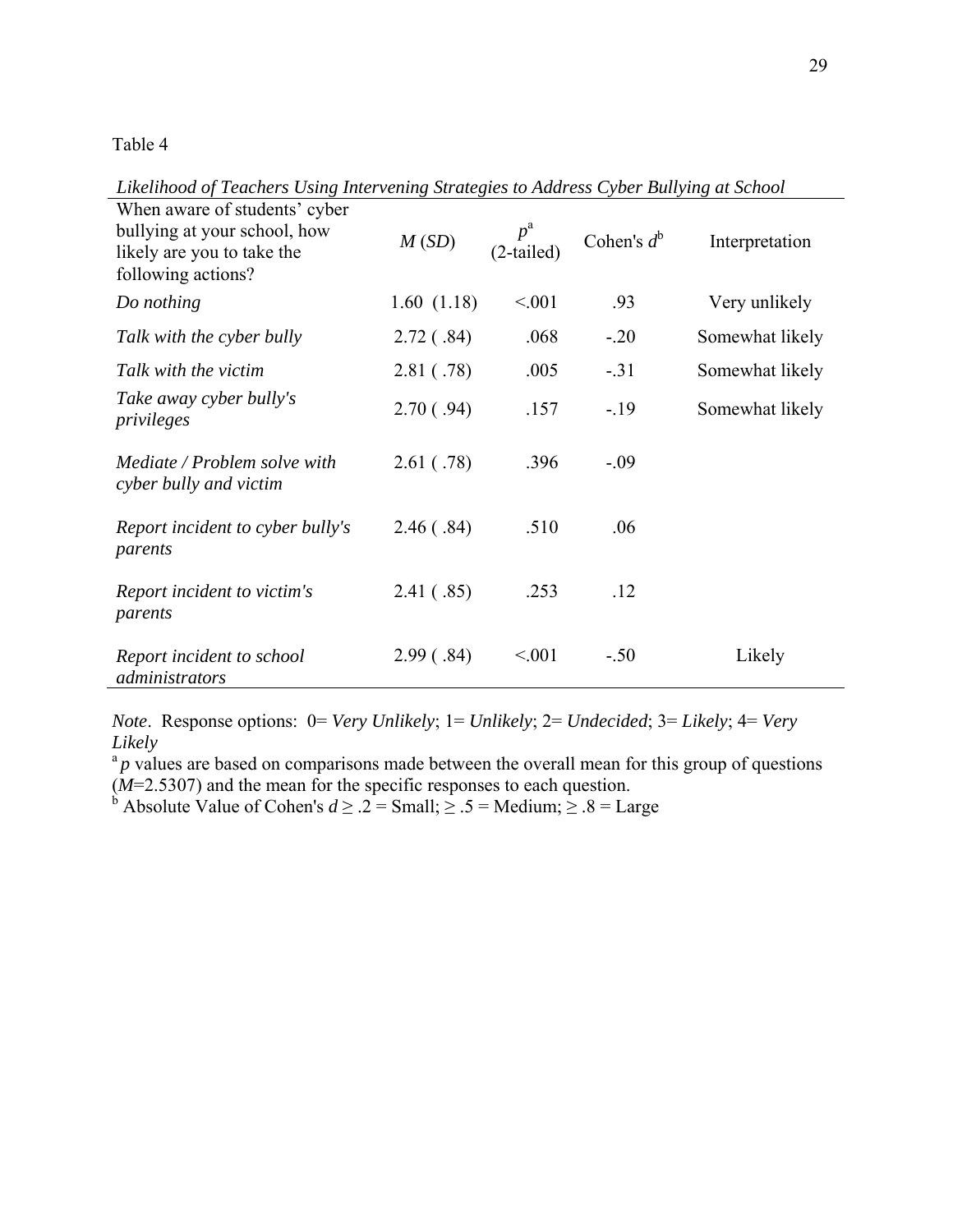*Likelihood of Teachers Using Intervening Strategies to Address Cyber Bullying at School* 

| When aware of students' cyber<br>bullying at your school, how<br>likely are you to take the<br>following actions? | M(SD)      | $p^{\rm a}$<br>(2-tailed) | Cohen's $d^b$ | Interpretation  |
|-------------------------------------------------------------------------------------------------------------------|------------|---------------------------|---------------|-----------------|
| Do nothing                                                                                                        | 1.60(1.18) | < 0.01                    | .93           | Very unlikely   |
| Talk with the cyber bully                                                                                         | 2.72(.84)  | .068                      | $-.20$        | Somewhat likely |
| Talk with the victim                                                                                              | 2.81(.78)  | .005                      | $-.31$        | Somewhat likely |
| Take away cyber bully's<br>privileges                                                                             | 2.70(.94)  | .157                      | $-19$         | Somewhat likely |
| Mediate / Problem solve with<br>cyber bully and victim                                                            | 2.61( .78) | .396                      | $-0.09$       |                 |
| Report incident to cyber bully's<br>parents                                                                       | 2.46(.84)  | .510                      | .06           |                 |
| Report incident to victim's<br>parents                                                                            | 2.41(.85)  | .253                      | .12           |                 |
| Report incident to school<br>administrators                                                                       | 2.99(.84)  | < 0.01                    | $-.50$        | Likely          |

*Note*. Response options: 0= *Very Unlikely*; 1= *Unlikely*; 2= *Undecided*; 3= *Likely*; 4= *Very Likely* 

 $a<sup>a</sup>p$  values are based on comparisons made between the overall mean for this group of questions (*M*=2.5307) and the mean for the specific responses to each question.<br><sup>b</sup> Absolute Value of Cohen's *d*  $\ge$  .2 = Small;  $\ge$  .5 = Medium;  $\ge$  .8 = Large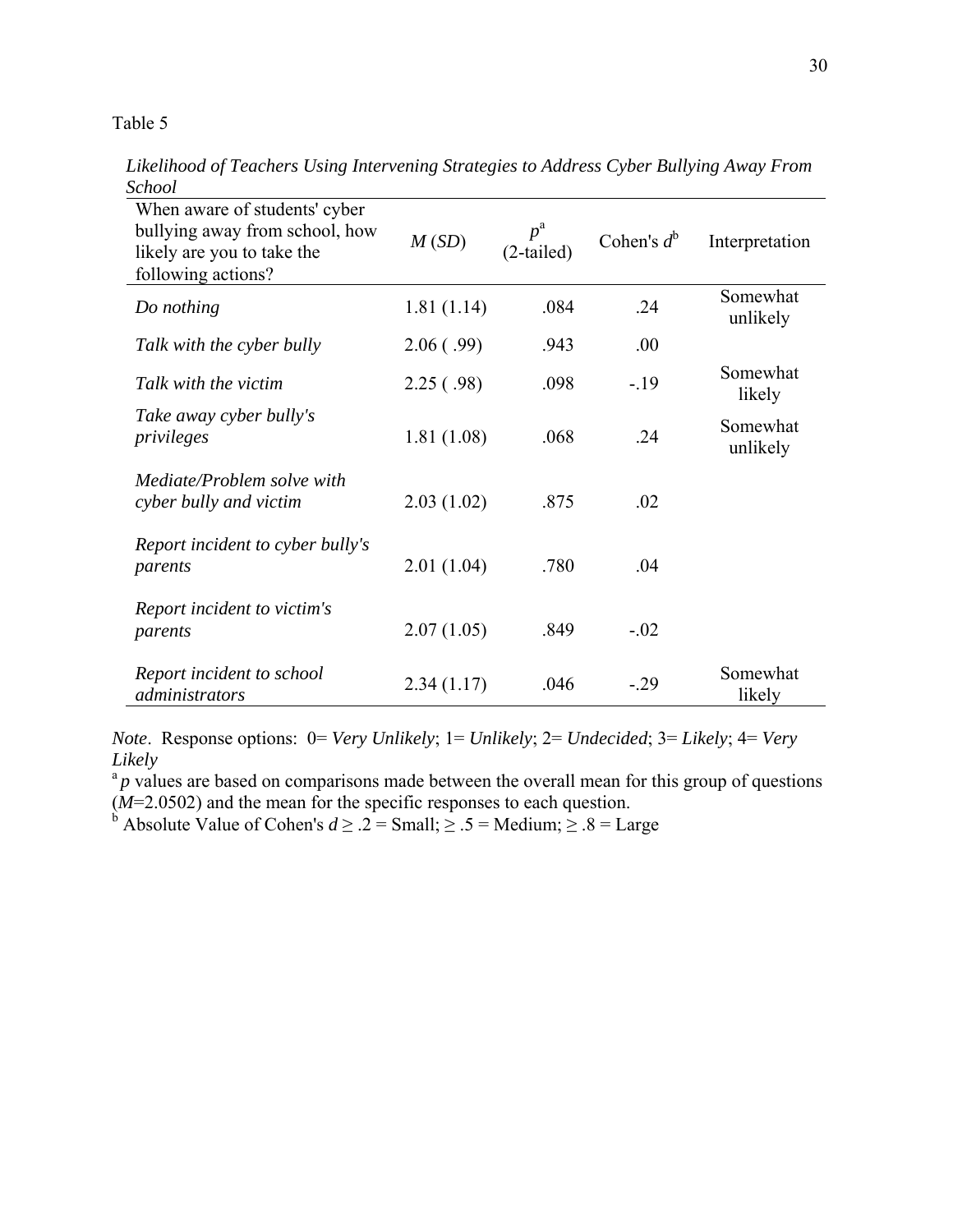*Likelihood of Teachers Using Intervening Strategies to Address Cyber Bullying Away From School* 

| When aware of students' cyber<br>bullying away from school, how<br>likely are you to take the<br>following actions? | M(SD)      | $p^{\rm a}$<br>$(2-tailed)$ | Cohen's $d^b$ | Interpretation       |
|---------------------------------------------------------------------------------------------------------------------|------------|-----------------------------|---------------|----------------------|
| Do nothing                                                                                                          | 1.81(1.14) | .084                        | .24           | Somewhat<br>unlikely |
| Talk with the cyber bully                                                                                           | 2.06(.99)  | .943                        | .00           |                      |
| Talk with the victim                                                                                                | 2.25(.98)  | .098                        | $-19$         | Somewhat<br>likely   |
| Take away cyber bully's<br>privileges                                                                               | 1.81(1.08) | .068                        | .24           | Somewhat<br>unlikely |
| Mediate/Problem solve with<br>cyber bully and victim                                                                | 2.03(1.02) | .875                        | .02           |                      |
| Report incident to cyber bully's<br>parents                                                                         | 2.01(1.04) | .780                        | .04           |                      |
| Report incident to victim's<br>parents                                                                              | 2.07(1.05) | .849                        | $-.02$        |                      |
| Report incident to school<br>administrators                                                                         | 2.34(1.17) | .046                        | $-.29$        | Somewhat<br>likely   |

*Note*. Response options: 0= *Very Unlikely*; 1= *Unlikely*; 2= *Undecided*; 3= *Likely*; 4= *Very Likely* 

 ${}^{a}p$  values are based on comparisons made between the overall mean for this group of questions (*M*=2.0502) and the mean for the specific responses to each question.<br><sup>b</sup> Absolute Value of Cohen's *d*  $\ge$  .2 = Small;  $\ge$  .5 = Medium;  $\ge$  .8 = Large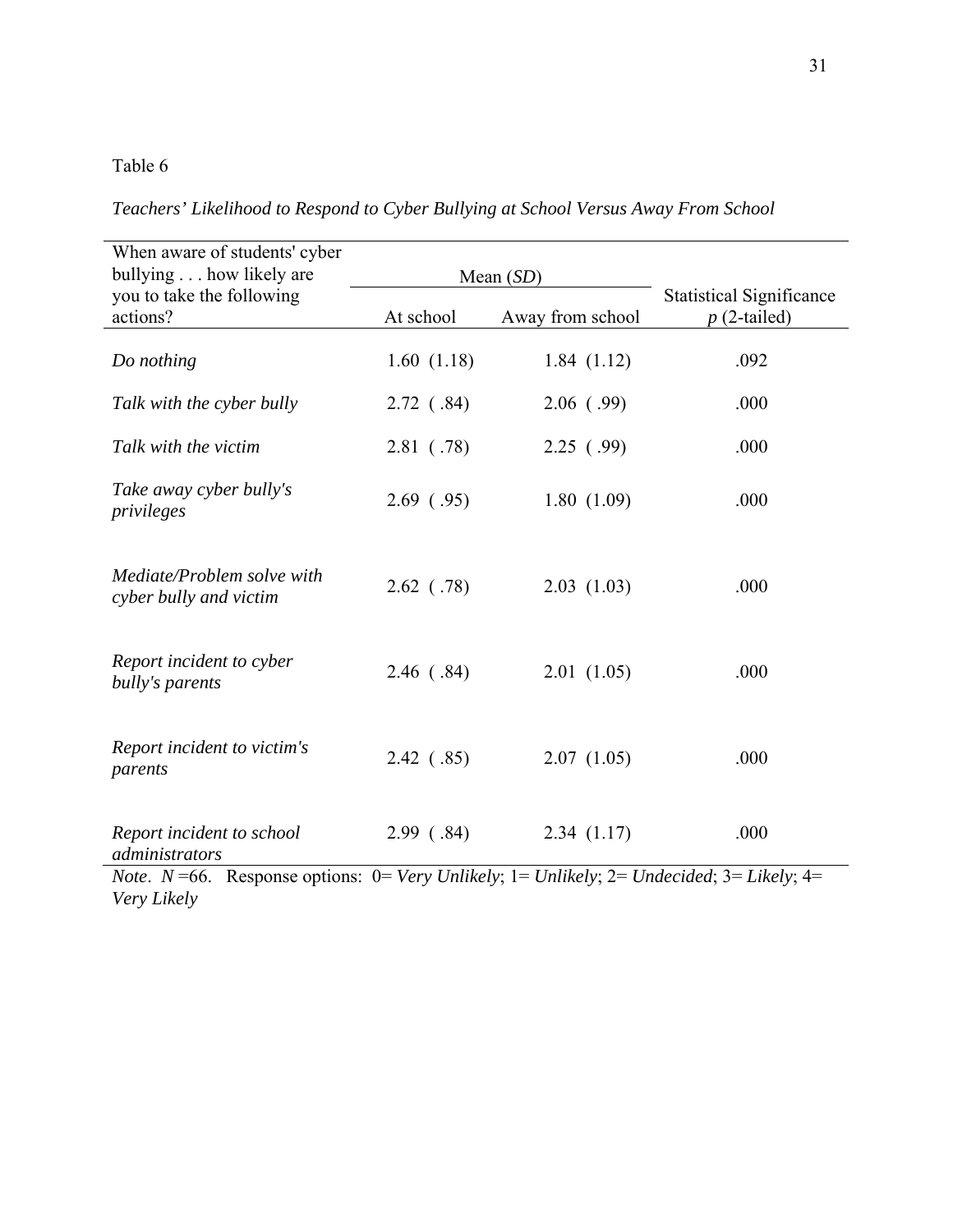*Teachers' Likelihood to Respond to Cyber Bullying at School Versus Away From School* 

| When aware of students' cyber<br>bullying how likely are |              | Mean $(SD)$                                       |      |
|----------------------------------------------------------|--------------|---------------------------------------------------|------|
| you to take the following<br>actions?                    | At school    | <b>Statistical Significance</b><br>$p(2$ -tailed) |      |
| Do nothing                                               | 1.60(1.18)   | 1.84(1.12)                                        | .092 |
| Talk with the cyber bully                                | $2.72$ (.84) | $2.06$ (.99)                                      | .000 |
| Talk with the victim                                     | 2.81( .78)   | 2.25(99)                                          | .000 |
| Take away cyber bully's<br>privileges                    | 2.69(0.95)   | 1.80(1.09)                                        | .000 |
| Mediate/Problem solve with<br>cyber bully and victim     | $2.62$ (.78) | 2.03(1.03)                                        | .000 |
| Report incident to cyber<br>bully's parents              | 2.46 (.84)   | 2.01(1.05)                                        | .000 |
| Report incident to victim's<br>parents                   | 2.42 (.85)   | 2.07(1.05)                                        | .000 |
| Report incident to school<br>administrators              | 2.99(0.84)   | 2.34(1.17)                                        | .000 |

*Note*. *N* =66. Response options: 0= *Very Unlikely*; 1= *Unlikely*; 2= *Undecided*; 3= *Likely*; 4= *Very Likely*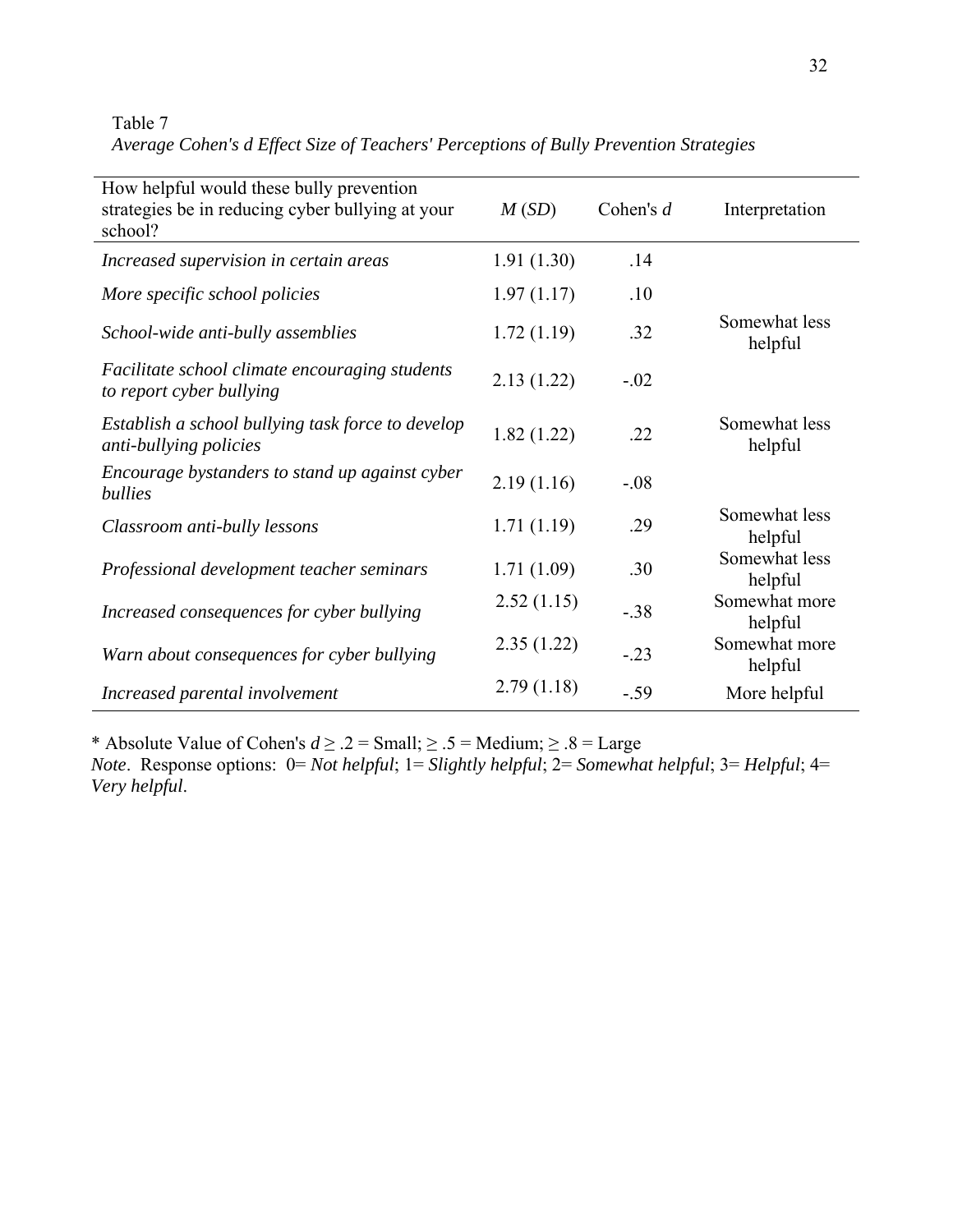Table 7 *Average Cohen's d Effect Size of Teachers' Perceptions of Bully Prevention Strategies* 

| How helpful would these bully prevention<br>strategies be in reducing cyber bullying at your<br>school? | M(SD)      | Cohen's $d$ | Interpretation           |
|---------------------------------------------------------------------------------------------------------|------------|-------------|--------------------------|
| Increased supervision in certain areas                                                                  | 1.91(1.30) | .14         |                          |
| More specific school policies                                                                           | 1.97(1.17) | .10         |                          |
| School-wide anti-bully assemblies                                                                       | 1.72(1.19) | .32         | Somewhat less<br>helpful |
| Facilitate school climate encouraging students<br>to report cyber bullying                              | 2.13(1.22) | $-.02$      |                          |
| Establish a school bullying task force to develop<br>anti-bullying policies                             | 1.82(1.22) | .22         | Somewhat less<br>helpful |
| Encourage bystanders to stand up against cyber<br>bullies                                               | 2.19(1.16) | $-.08$      |                          |
| Classroom anti-bully lessons                                                                            | 1.71(1.19) | .29         | Somewhat less<br>helpful |
| Professional development teacher seminars                                                               | 1.71(1.09) | .30         | Somewhat less<br>helpful |
| Increased consequences for cyber bullying                                                               | 2.52(1.15) | $-.38$      | Somewhat more<br>helpful |
| Warn about consequences for cyber bullying                                                              | 2.35(1.22) | $-.23$      | Somewhat more<br>helpful |
| Increased parental involvement                                                                          | 2.79(1.18) | $-59$       | More helpful             |

\* Absolute Value of Cohen's  $d \ge 0.2 = \text{Small}; 2 \le 5 = \text{Median}; 2 \le 8 = \text{Large}$ *Note*. Response options: 0= *Not helpful*; 1= *Slightly helpful*; 2= *Somewhat helpful*; 3= *Helpful*; 4= *Very helpful*.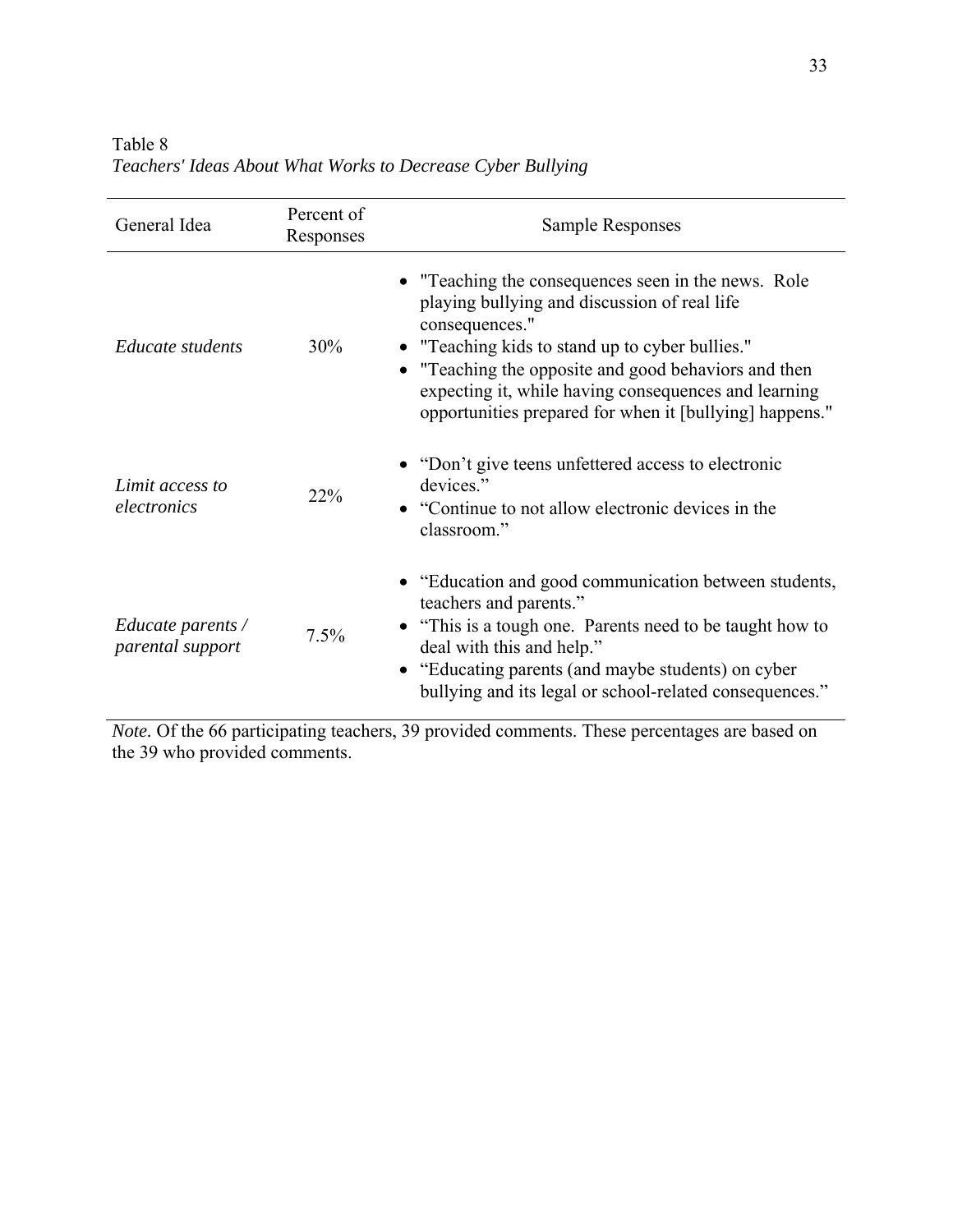| General Idea                                 | Percent of<br>Responses | <b>Sample Responses</b>                                                                                                                                                                                                                                                                                                                              |
|----------------------------------------------|-------------------------|------------------------------------------------------------------------------------------------------------------------------------------------------------------------------------------------------------------------------------------------------------------------------------------------------------------------------------------------------|
| Educate students                             | 30%                     | • "Teaching the consequences seen in the news. Role"<br>playing bullying and discussion of real life<br>consequences."<br>• "Teaching kids to stand up to cyber bullies."<br>• "Teaching the opposite and good behaviors and then<br>expecting it, while having consequences and learning<br>opportunities prepared for when it [bullying] happens." |
| Limit access to<br>electronics               | 22%                     | • "Don't give teens unfettered access to electronic<br>devices."<br>"Continue to not allow electronic devices in the<br>classroom."                                                                                                                                                                                                                  |
| <i>Educate parents</i> /<br>parental support | 7.5%                    | • "Education and good communication between students,<br>teachers and parents."<br>"This is a tough one. Parents need to be taught how to<br>deal with this and help."<br>"Educating parents (and maybe students) on cyber<br>bullying and its legal or school-related consequences."                                                                |

Table 8 *Teachers' Ideas About What Works to Decrease Cyber Bullying* 

*Note.* Of the 66 participating teachers, 39 provided comments. These percentages are based on the 39 who provided comments.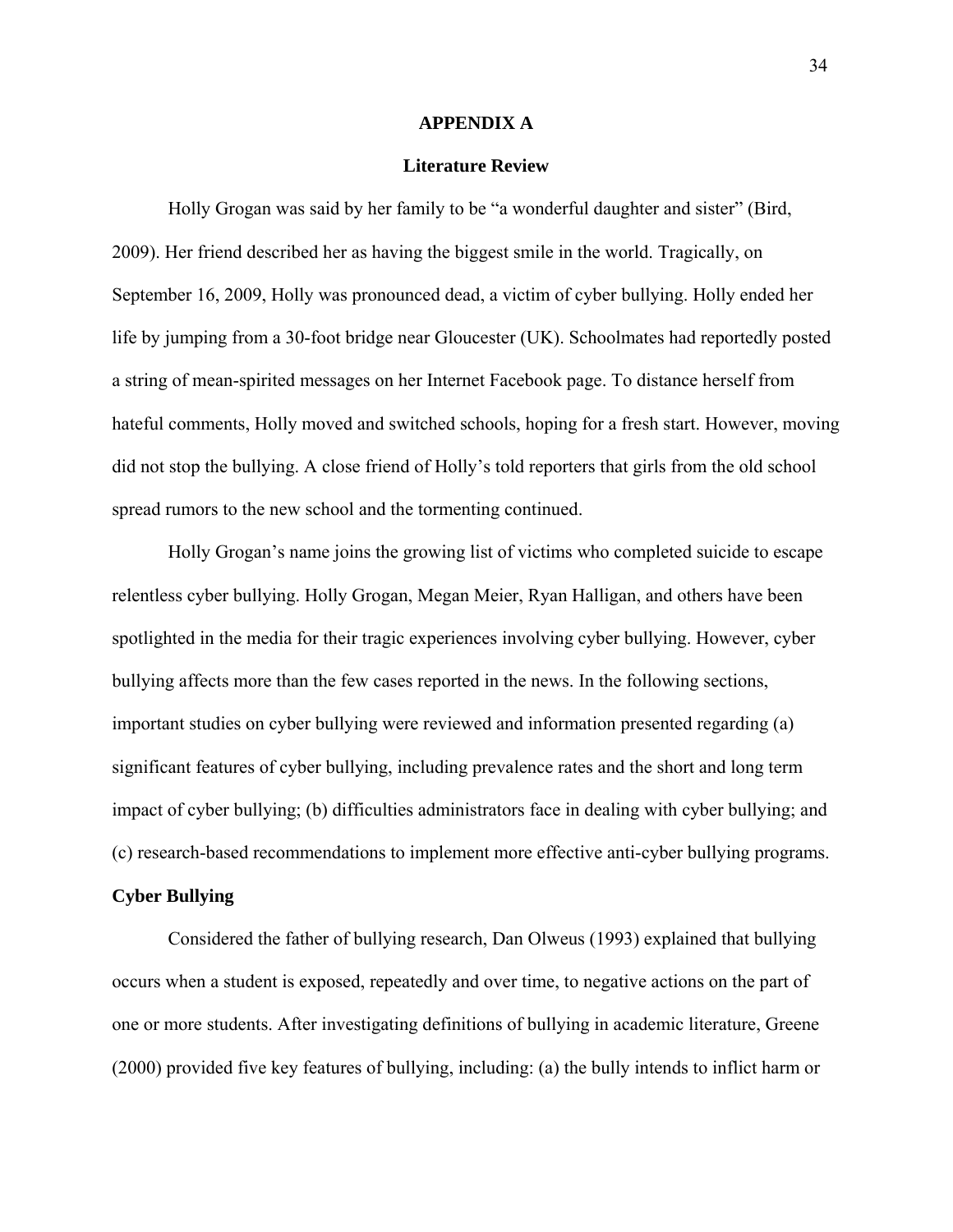#### **APPENDIX A**

#### **Literature Review**

 Holly Grogan was said by her family to be "a wonderful daughter and sister" (Bird, 2009). Her friend described her as having the biggest smile in the world. Tragically, on September 16, 2009, Holly was pronounced dead, a victim of cyber bullying. Holly ended her life by jumping from a 30-foot bridge near Gloucester (UK). Schoolmates had reportedly posted a string of mean-spirited messages on her Internet Facebook page. To distance herself from hateful comments, Holly moved and switched schools, hoping for a fresh start. However, moving did not stop the bullying. A close friend of Holly's told reporters that girls from the old school spread rumors to the new school and the tormenting continued.

Holly Grogan's name joins the growing list of victims who completed suicide to escape relentless cyber bullying. Holly Grogan, Megan Meier, Ryan Halligan, and others have been spotlighted in the media for their tragic experiences involving cyber bullying. However, cyber bullying affects more than the few cases reported in the news. In the following sections, important studies on cyber bullying were reviewed and information presented regarding (a) significant features of cyber bullying, including prevalence rates and the short and long term impact of cyber bullying; (b) difficulties administrators face in dealing with cyber bullying; and (c) research-based recommendations to implement more effective anti-cyber bullying programs.

### **Cyber Bullying**

 Considered the father of bullying research, Dan Olweus (1993) explained that bullying occurs when a student is exposed, repeatedly and over time, to negative actions on the part of one or more students. After investigating definitions of bullying in academic literature, Greene (2000) provided five key features of bullying, including: (a) the bully intends to inflict harm or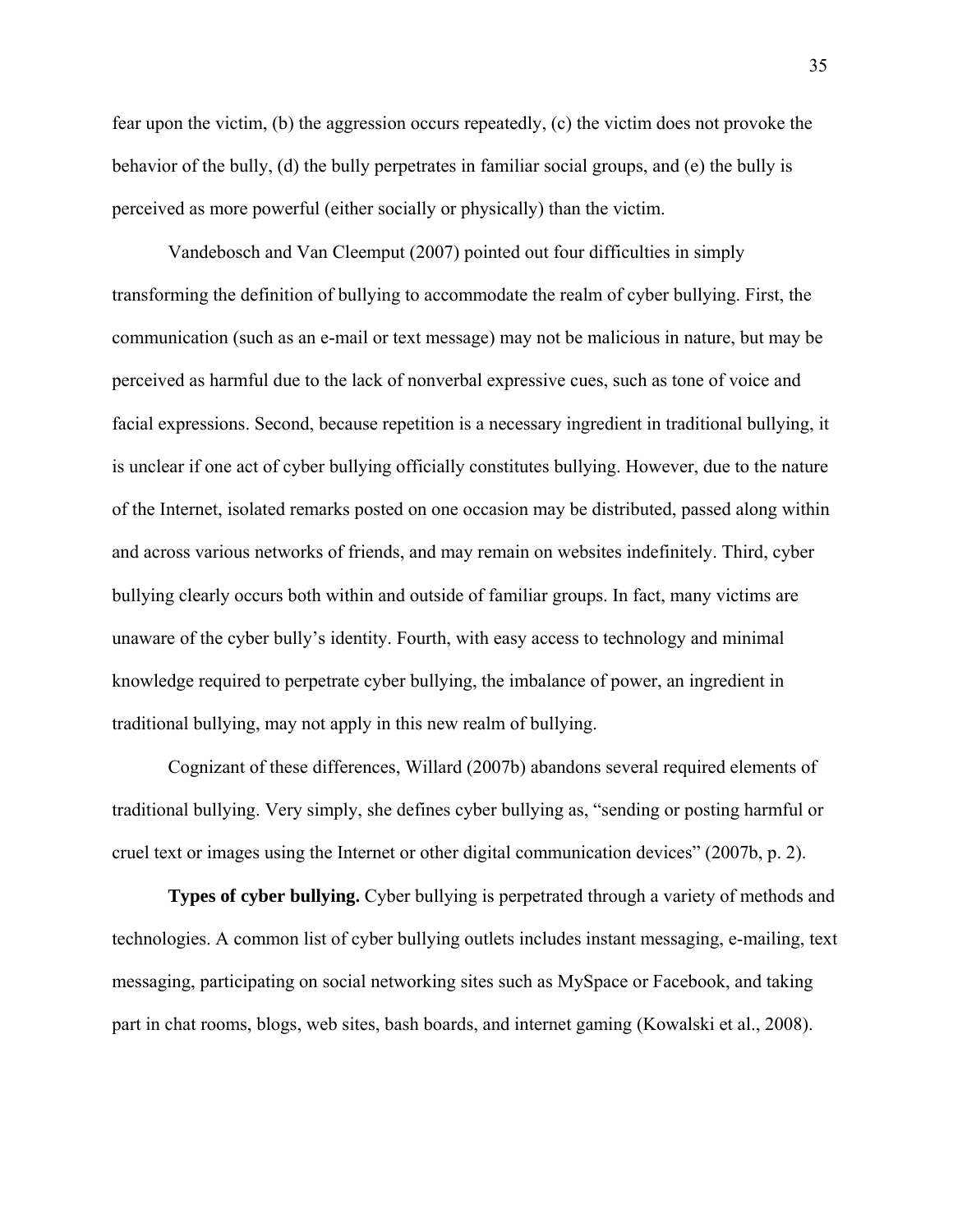fear upon the victim, (b) the aggression occurs repeatedly, (c) the victim does not provoke the behavior of the bully, (d) the bully perpetrates in familiar social groups, and (e) the bully is perceived as more powerful (either socially or physically) than the victim.

 Vandebosch and Van Cleemput (2007) pointed out four difficulties in simply transforming the definition of bullying to accommodate the realm of cyber bullying. First, the communication (such as an e-mail or text message) may not be malicious in nature, but may be perceived as harmful due to the lack of nonverbal expressive cues, such as tone of voice and facial expressions. Second, because repetition is a necessary ingredient in traditional bullying, it is unclear if one act of cyber bullying officially constitutes bullying. However, due to the nature of the Internet, isolated remarks posted on one occasion may be distributed, passed along within and across various networks of friends, and may remain on websites indefinitely. Third, cyber bullying clearly occurs both within and outside of familiar groups. In fact, many victims are unaware of the cyber bully's identity. Fourth, with easy access to technology and minimal knowledge required to perpetrate cyber bullying, the imbalance of power, an ingredient in traditional bullying, may not apply in this new realm of bullying.

 Cognizant of these differences, Willard (2007b) abandons several required elements of traditional bullying. Very simply, she defines cyber bullying as, "sending or posting harmful or cruel text or images using the Internet or other digital communication devices" (2007b, p. 2).

**Types of cyber bullying.** Cyber bullying is perpetrated through a variety of methods and technologies. A common list of cyber bullying outlets includes instant messaging, e-mailing, text messaging, participating on social networking sites such as MySpace or Facebook, and taking part in chat rooms, blogs, web sites, bash boards, and internet gaming (Kowalski et al., 2008).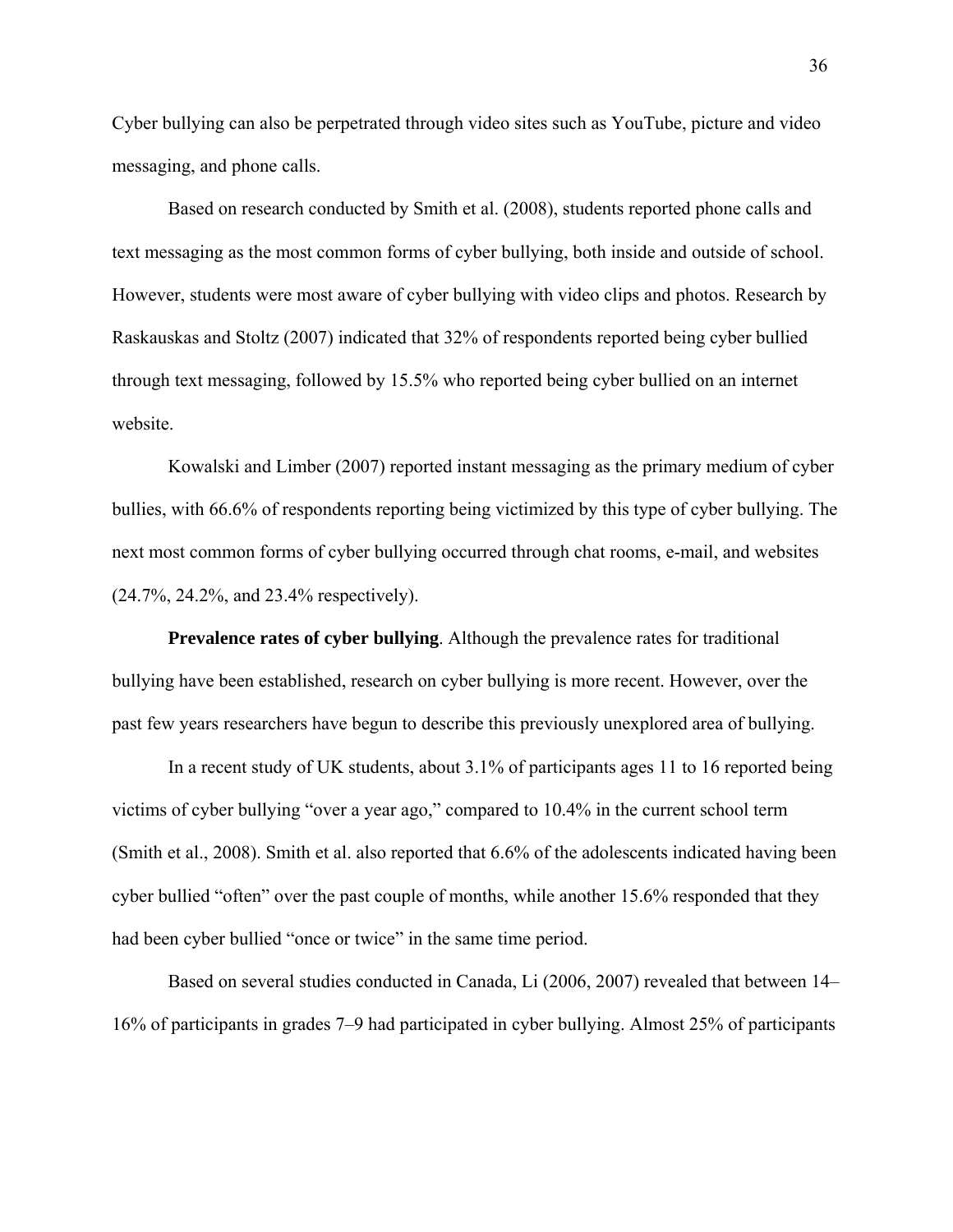Cyber bullying can also be perpetrated through video sites such as YouTube, picture and video messaging, and phone calls.

Based on research conducted by Smith et al. (2008), students reported phone calls and text messaging as the most common forms of cyber bullying, both inside and outside of school. However, students were most aware of cyber bullying with video clips and photos. Research by Raskauskas and Stoltz (2007) indicated that 32% of respondents reported being cyber bullied through text messaging, followed by 15.5% who reported being cyber bullied on an internet website.

Kowalski and Limber (2007) reported instant messaging as the primary medium of cyber bullies, with 66.6% of respondents reporting being victimized by this type of cyber bullying. The next most common forms of cyber bullying occurred through chat rooms, e-mail, and websites (24.7%, 24.2%, and 23.4% respectively).

**Prevalence rates of cyber bullying**. Although the prevalence rates for traditional bullying have been established, research on cyber bullying is more recent. However, over the past few years researchers have begun to describe this previously unexplored area of bullying.

In a recent study of UK students, about 3.1% of participants ages 11 to 16 reported being victims of cyber bullying "over a year ago," compared to 10.4% in the current school term (Smith et al., 2008). Smith et al. also reported that 6.6% of the adolescents indicated having been cyber bullied "often" over the past couple of months, while another 15.6% responded that they had been cyber bullied "once or twice" in the same time period.

 Based on several studies conducted in Canada, Li (2006, 2007) revealed that between 14– 16% of participants in grades 7–9 had participated in cyber bullying. Almost 25% of participants

36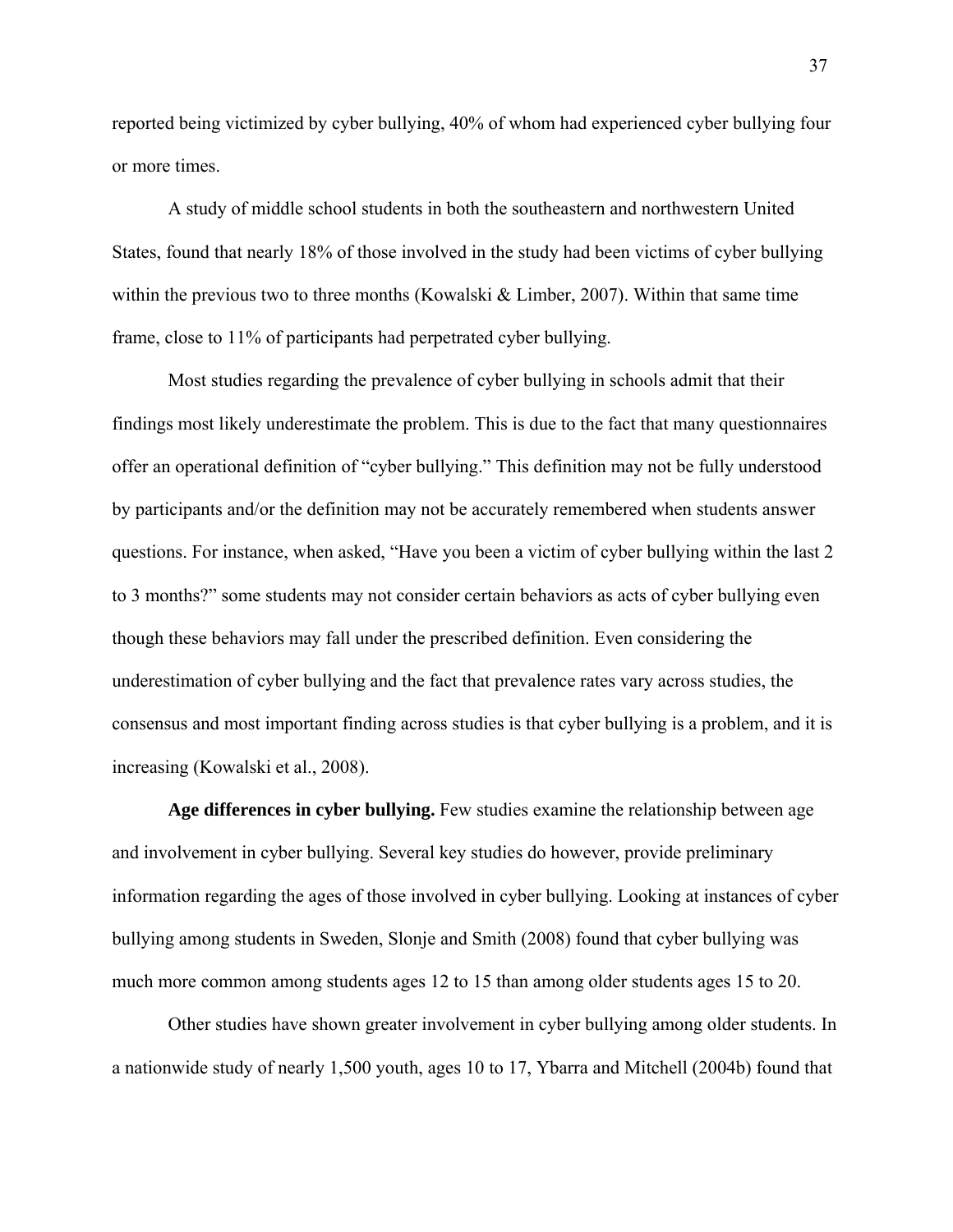reported being victimized by cyber bullying, 40% of whom had experienced cyber bullying four or more times.

 A study of middle school students in both the southeastern and northwestern United States, found that nearly 18% of those involved in the study had been victims of cyber bullying within the previous two to three months (Kowalski & Limber, 2007). Within that same time frame, close to 11% of participants had perpetrated cyber bullying.

 Most studies regarding the prevalence of cyber bullying in schools admit that their findings most likely underestimate the problem. This is due to the fact that many questionnaires offer an operational definition of "cyber bullying." This definition may not be fully understood by participants and/or the definition may not be accurately remembered when students answer questions. For instance, when asked, "Have you been a victim of cyber bullying within the last 2 to 3 months?" some students may not consider certain behaviors as acts of cyber bullying even though these behaviors may fall under the prescribed definition. Even considering the underestimation of cyber bullying and the fact that prevalence rates vary across studies, the consensus and most important finding across studies is that cyber bullying is a problem, and it is increasing (Kowalski et al., 2008).

**Age differences in cyber bullying.** Few studies examine the relationship between age and involvement in cyber bullying. Several key studies do however, provide preliminary information regarding the ages of those involved in cyber bullying. Looking at instances of cyber bullying among students in Sweden, Slonje and Smith (2008) found that cyber bullying was much more common among students ages 12 to 15 than among older students ages 15 to 20.

Other studies have shown greater involvement in cyber bullying among older students. In a nationwide study of nearly 1,500 youth, ages 10 to 17, Ybarra and Mitchell (2004b) found that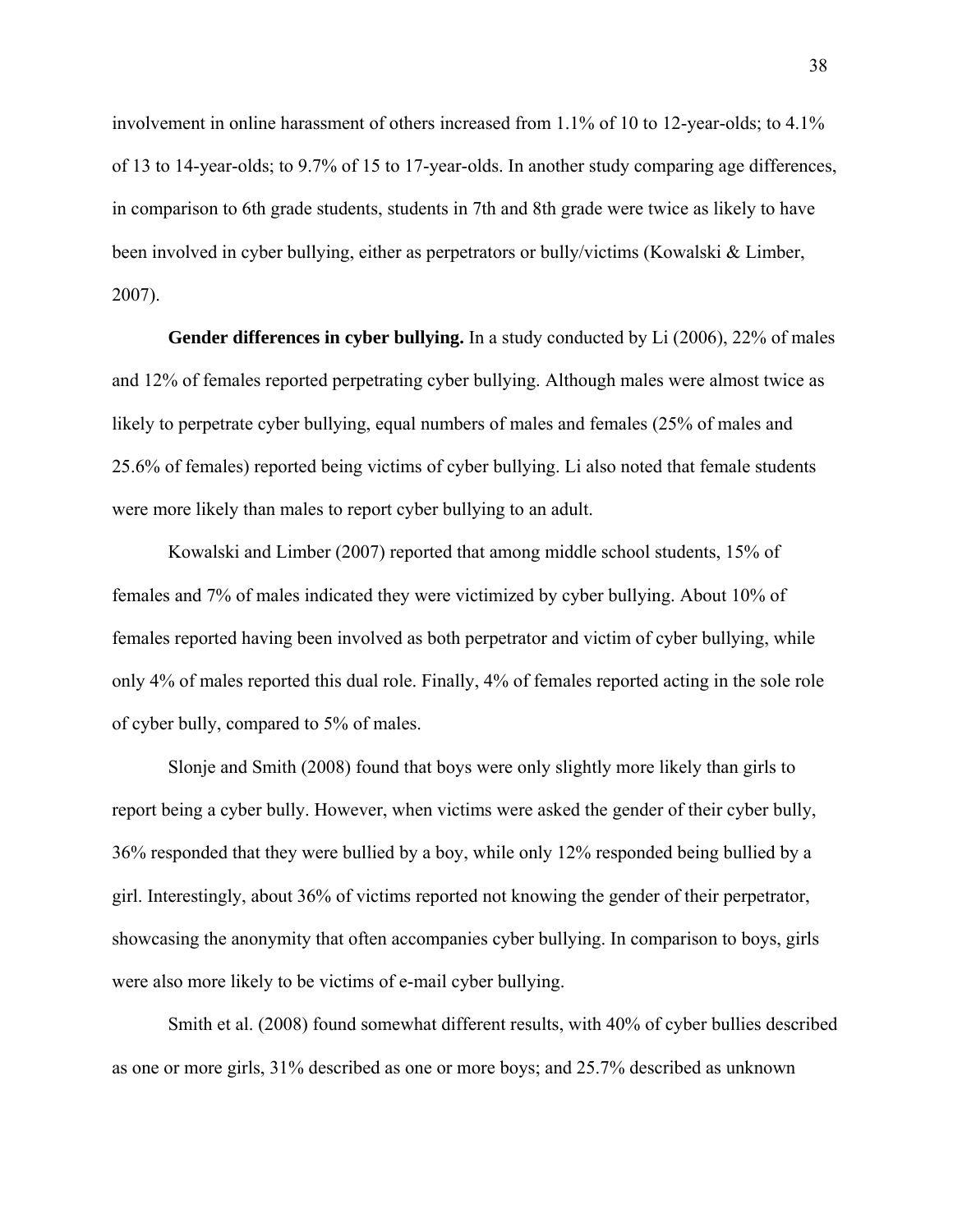involvement in online harassment of others increased from 1.1% of 10 to 12-year-olds; to 4.1% of 13 to 14-year-olds; to 9.7% of 15 to 17-year-olds. In another study comparing age differences, in comparison to 6th grade students, students in 7th and 8th grade were twice as likely to have been involved in cyber bullying, either as perpetrators or bully/victims (Kowalski & Limber, 2007).

 **Gender differences in cyber bullying.** In a study conducted by Li (2006), 22% of males and 12% of females reported perpetrating cyber bullying. Although males were almost twice as likely to perpetrate cyber bullying, equal numbers of males and females (25% of males and 25.6% of females) reported being victims of cyber bullying. Li also noted that female students were more likely than males to report cyber bullying to an adult.

 Kowalski and Limber (2007) reported that among middle school students, 15% of females and 7% of males indicated they were victimized by cyber bullying. About 10% of females reported having been involved as both perpetrator and victim of cyber bullying, while only 4% of males reported this dual role. Finally, 4% of females reported acting in the sole role of cyber bully, compared to 5% of males.

Slonje and Smith (2008) found that boys were only slightly more likely than girls to report being a cyber bully. However, when victims were asked the gender of their cyber bully, 36% responded that they were bullied by a boy, while only 12% responded being bullied by a girl. Interestingly, about 36% of victims reported not knowing the gender of their perpetrator, showcasing the anonymity that often accompanies cyber bullying. In comparison to boys, girls were also more likely to be victims of e-mail cyber bullying.

 Smith et al. (2008) found somewhat different results, with 40% of cyber bullies described as one or more girls, 31% described as one or more boys; and 25.7% described as unknown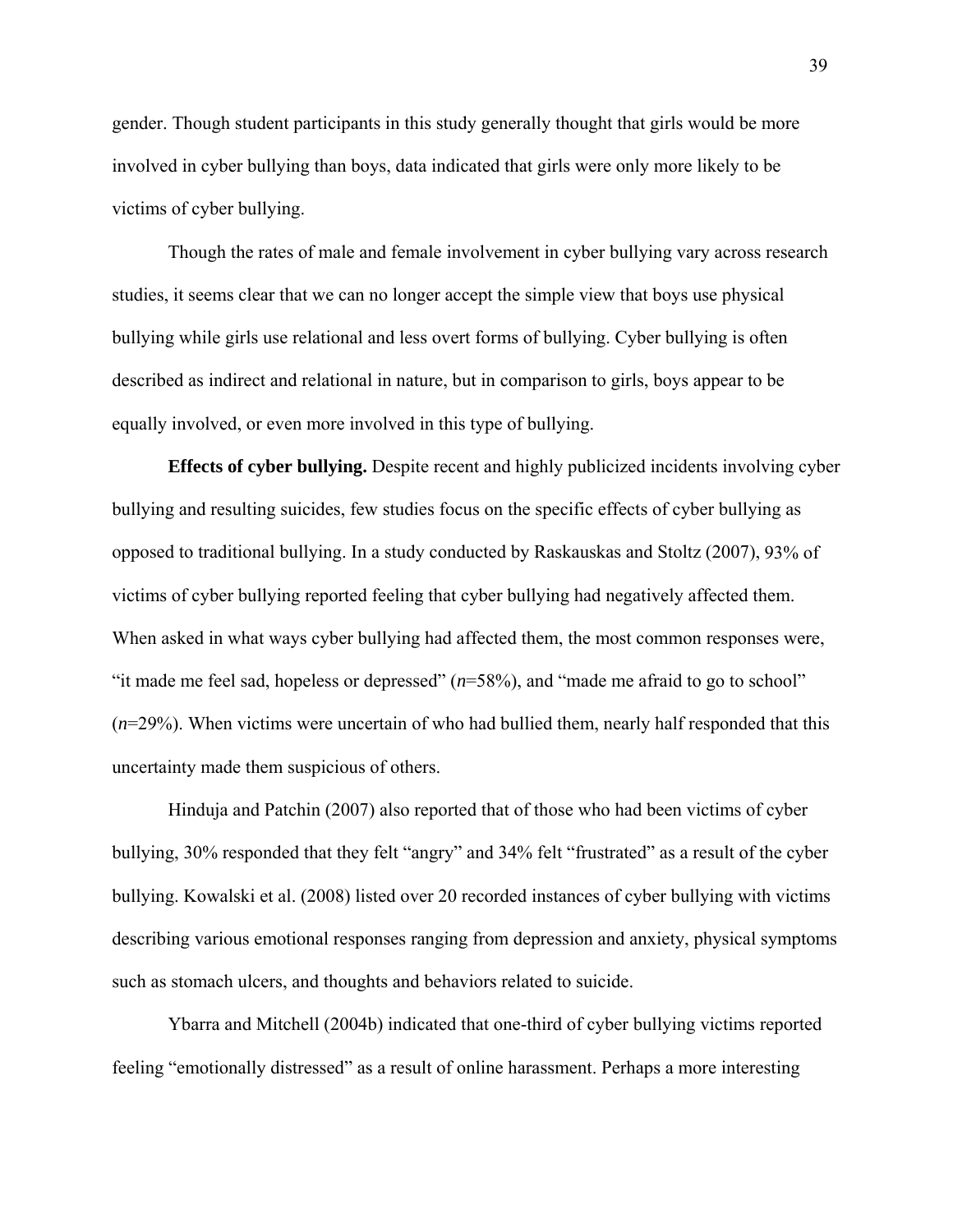gender. Though student participants in this study generally thought that girls would be more involved in cyber bullying than boys, data indicated that girls were only more likely to be victims of cyber bullying.

 Though the rates of male and female involvement in cyber bullying vary across research studies, it seems clear that we can no longer accept the simple view that boys use physical bullying while girls use relational and less overt forms of bullying. Cyber bullying is often described as indirect and relational in nature, but in comparison to girls, boys appear to be equally involved, or even more involved in this type of bullying.

 **Effects of cyber bullying.** Despite recent and highly publicized incidents involving cyber bullying and resulting suicides, few studies focus on the specific effects of cyber bullying as opposed to traditional bullying. In a study conducted by Raskauskas and Stoltz (2007), 93% of victims of cyber bullying reported feeling that cyber bullying had negatively affected them. When asked in what ways cyber bullying had affected them, the most common responses were, "it made me feel sad, hopeless or depressed" (*n*=58%), and "made me afraid to go to school" (*n*=29%). When victims were uncertain of who had bullied them, nearly half responded that this uncertainty made them suspicious of others.

 Hinduja and Patchin (2007) also reported that of those who had been victims of cyber bullying, 30% responded that they felt "angry" and 34% felt "frustrated" as a result of the cyber bullying. Kowalski et al. (2008) listed over 20 recorded instances of cyber bullying with victims describing various emotional responses ranging from depression and anxiety, physical symptoms such as stomach ulcers, and thoughts and behaviors related to suicide.

 Ybarra and Mitchell (2004b) indicated that one-third of cyber bullying victims reported feeling "emotionally distressed" as a result of online harassment. Perhaps a more interesting

39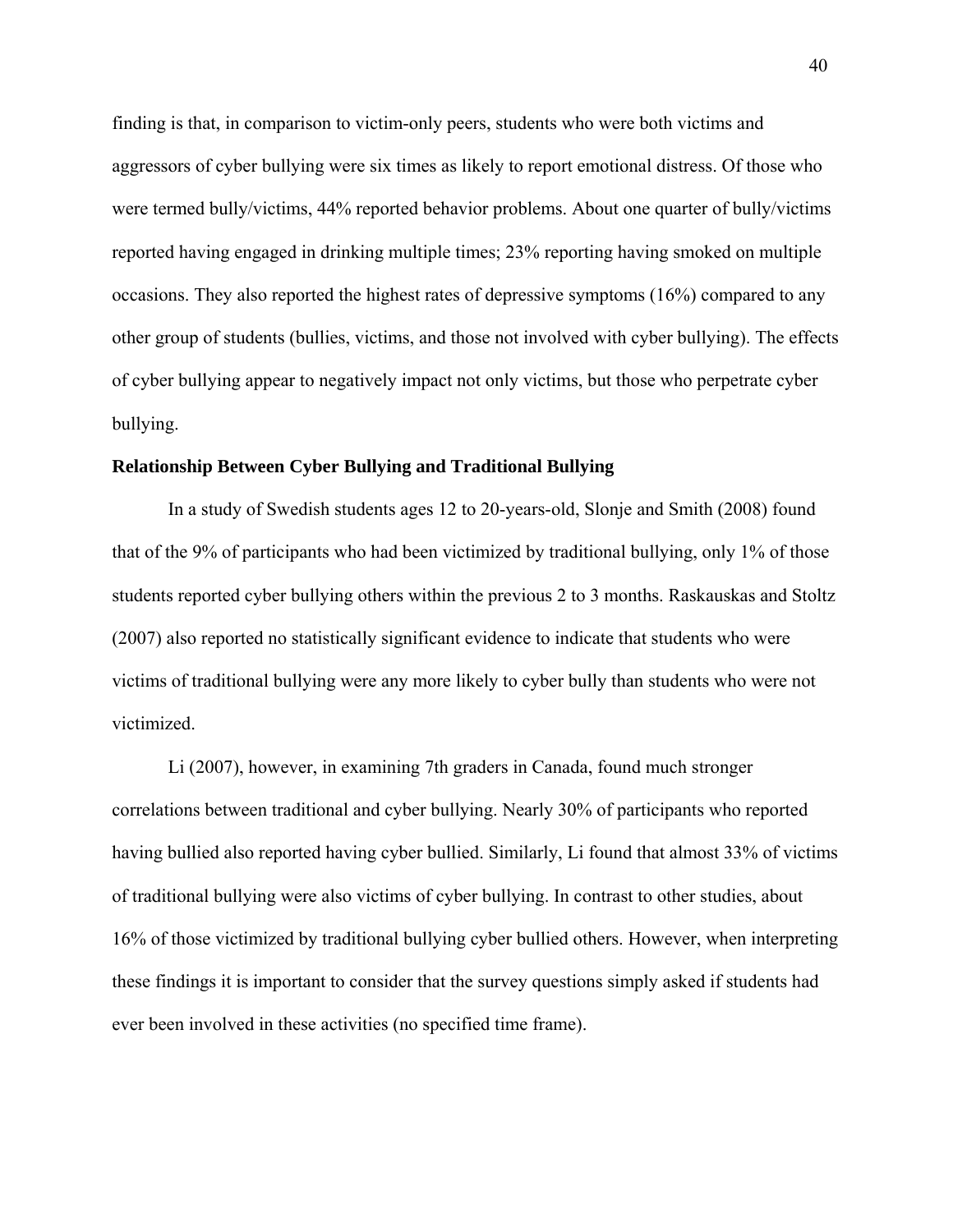finding is that, in comparison to victim-only peers, students who were both victims and aggressors of cyber bullying were six times as likely to report emotional distress. Of those who were termed bully/victims, 44% reported behavior problems. About one quarter of bully/victims reported having engaged in drinking multiple times; 23% reporting having smoked on multiple occasions. They also reported the highest rates of depressive symptoms (16%) compared to any other group of students (bullies, victims, and those not involved with cyber bullying). The effects of cyber bullying appear to negatively impact not only victims, but those who perpetrate cyber bullying.

### **Relationship Between Cyber Bullying and Traditional Bullying**

 In a study of Swedish students ages 12 to 20-years-old, Slonje and Smith (2008) found that of the 9% of participants who had been victimized by traditional bullying, only 1% of those students reported cyber bullying others within the previous 2 to 3 months. Raskauskas and Stoltz (2007) also reported no statistically significant evidence to indicate that students who were victims of traditional bullying were any more likely to cyber bully than students who were not victimized.

 Li (2007), however, in examining 7th graders in Canada, found much stronger correlations between traditional and cyber bullying. Nearly 30% of participants who reported having bullied also reported having cyber bullied. Similarly, Li found that almost 33% of victims of traditional bullying were also victims of cyber bullying. In contrast to other studies, about 16% of those victimized by traditional bullying cyber bullied others. However, when interpreting these findings it is important to consider that the survey questions simply asked if students had ever been involved in these activities (no specified time frame).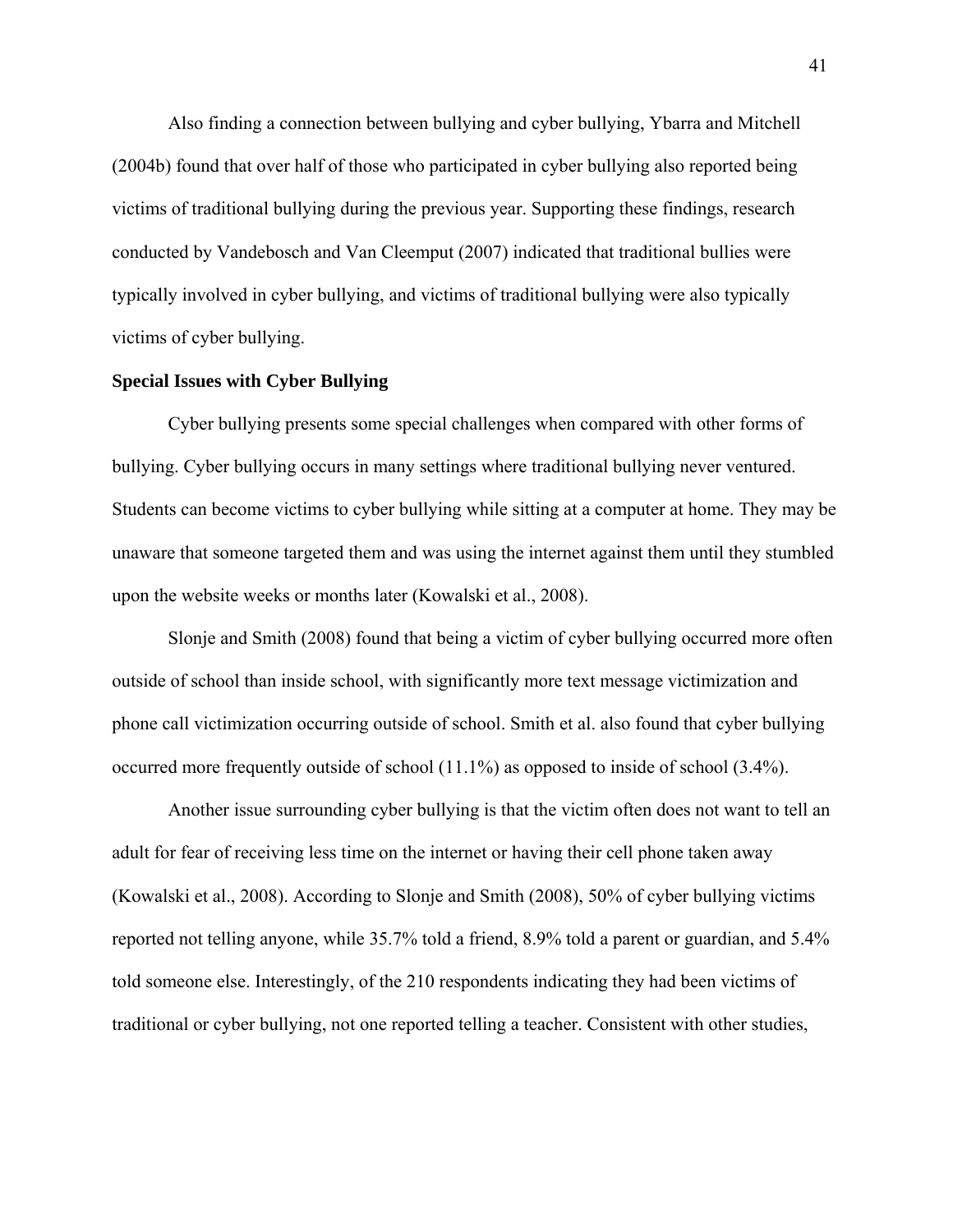Also finding a connection between bullying and cyber bullying, Ybarra and Mitchell (2004b) found that over half of those who participated in cyber bullying also reported being victims of traditional bullying during the previous year. Supporting these findings, research conducted by Vandebosch and Van Cleemput (2007) indicated that traditional bullies were typically involved in cyber bullying, and victims of traditional bullying were also typically victims of cyber bullying.

### **Special Issues with Cyber Bullying**

 Cyber bullying presents some special challenges when compared with other forms of bullying. Cyber bullying occurs in many settings where traditional bullying never ventured. Students can become victims to cyber bullying while sitting at a computer at home. They may be unaware that someone targeted them and was using the internet against them until they stumbled upon the website weeks or months later (Kowalski et al., 2008).

Slonje and Smith (2008) found that being a victim of cyber bullying occurred more often outside of school than inside school, with significantly more text message victimization and phone call victimization occurring outside of school. Smith et al. also found that cyber bullying occurred more frequently outside of school (11.1%) as opposed to inside of school (3.4%).

 Another issue surrounding cyber bullying is that the victim often does not want to tell an adult for fear of receiving less time on the internet or having their cell phone taken away (Kowalski et al., 2008). According to Slonje and Smith (2008), 50% of cyber bullying victims reported not telling anyone, while 35.7% told a friend, 8.9% told a parent or guardian, and 5.4% told someone else. Interestingly, of the 210 respondents indicating they had been victims of traditional or cyber bullying, not one reported telling a teacher. Consistent with other studies,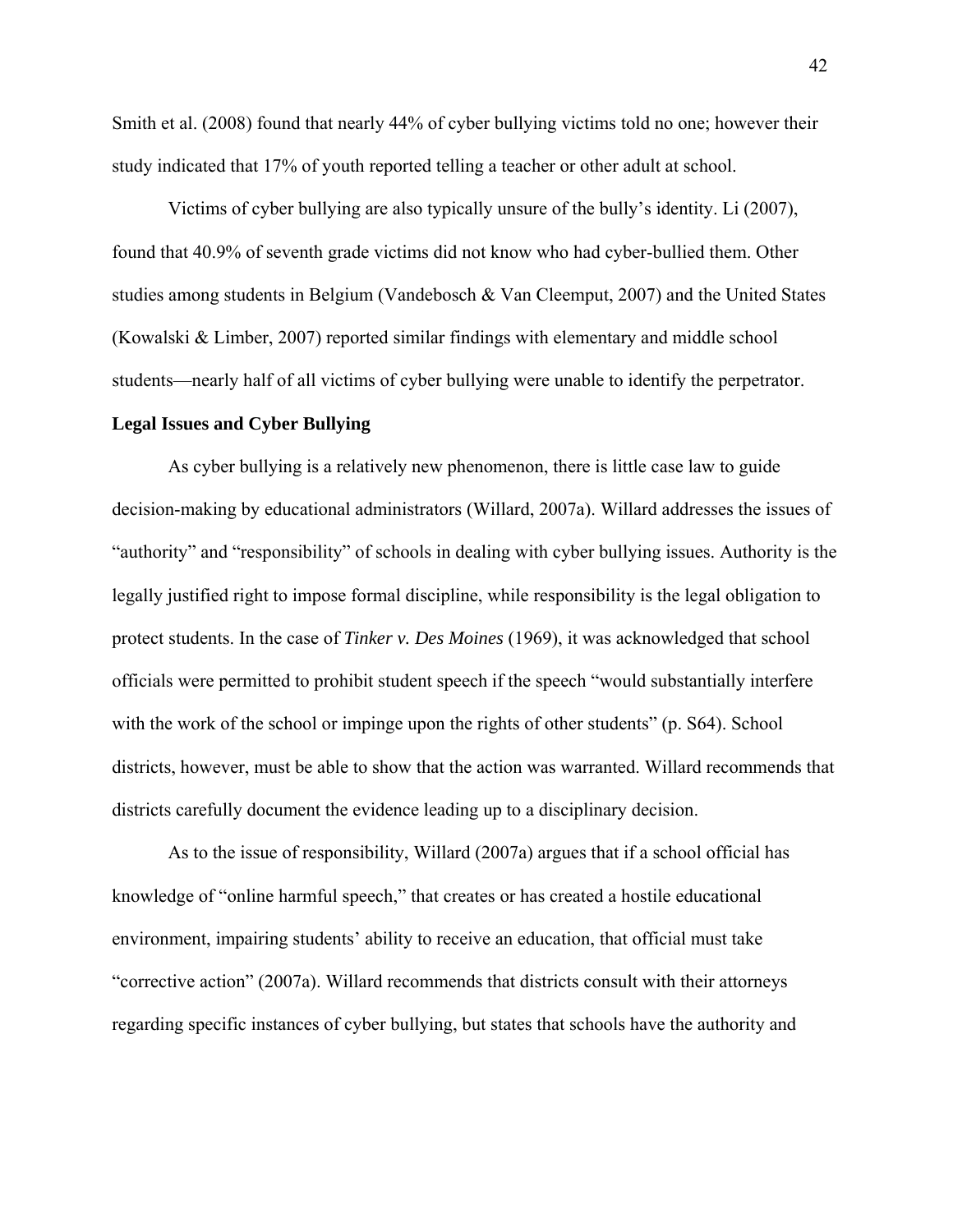Smith et al. (2008) found that nearly 44% of cyber bullying victims told no one; however their study indicated that 17% of youth reported telling a teacher or other adult at school.

 Victims of cyber bullying are also typically unsure of the bully's identity. Li (2007), found that 40.9% of seventh grade victims did not know who had cyber-bullied them. Other studies among students in Belgium (Vandebosch & Van Cleemput, 2007) and the United States (Kowalski & Limber, 2007) reported similar findings with elementary and middle school students—nearly half of all victims of cyber bullying were unable to identify the perpetrator.

### **Legal Issues and Cyber Bullying**

 As cyber bullying is a relatively new phenomenon, there is little case law to guide decision-making by educational administrators (Willard, 2007a). Willard addresses the issues of "authority" and "responsibility" of schools in dealing with cyber bullying issues. Authority is the legally justified right to impose formal discipline, while responsibility is the legal obligation to protect students. In the case of *Tinker v. Des Moines* (1969), it was acknowledged that school officials were permitted to prohibit student speech if the speech "would substantially interfere with the work of the school or impinge upon the rights of other students" (p. S64). School districts, however, must be able to show that the action was warranted. Willard recommends that districts carefully document the evidence leading up to a disciplinary decision.

 As to the issue of responsibility, Willard (2007a) argues that if a school official has knowledge of "online harmful speech," that creates or has created a hostile educational environment, impairing students' ability to receive an education, that official must take "corrective action" (2007a). Willard recommends that districts consult with their attorneys regarding specific instances of cyber bullying, but states that schools have the authority and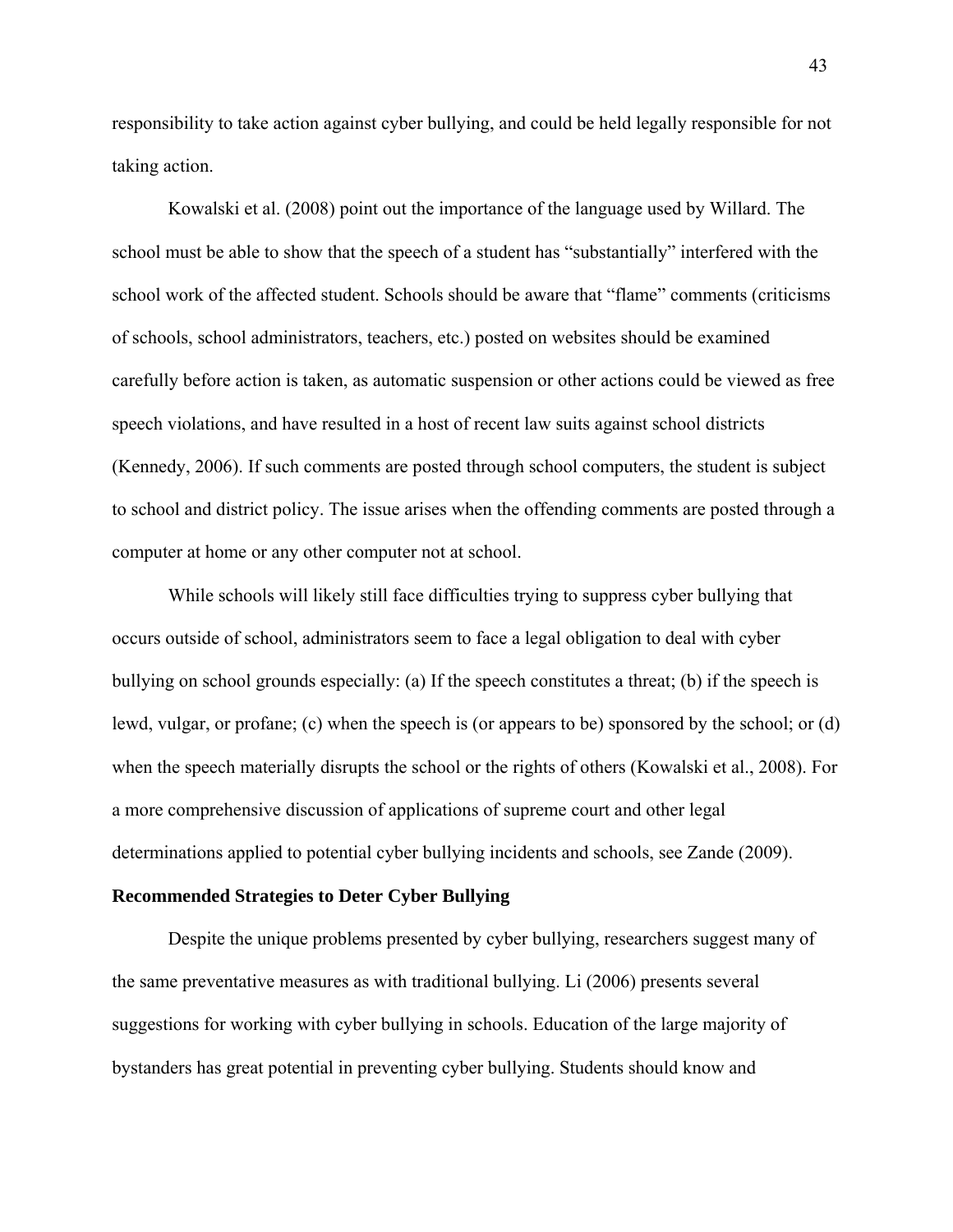responsibility to take action against cyber bullying, and could be held legally responsible for not taking action.

 Kowalski et al. (2008) point out the importance of the language used by Willard. The school must be able to show that the speech of a student has "substantially" interfered with the school work of the affected student. Schools should be aware that "flame" comments (criticisms of schools, school administrators, teachers, etc.) posted on websites should be examined carefully before action is taken, as automatic suspension or other actions could be viewed as free speech violations, and have resulted in a host of recent law suits against school districts (Kennedy, 2006). If such comments are posted through school computers, the student is subject to school and district policy. The issue arises when the offending comments are posted through a computer at home or any other computer not at school.

 While schools will likely still face difficulties trying to suppress cyber bullying that occurs outside of school, administrators seem to face a legal obligation to deal with cyber bullying on school grounds especially: (a) If the speech constitutes a threat; (b) if the speech is lewd, vulgar, or profane; (c) when the speech is (or appears to be) sponsored by the school; or (d) when the speech materially disrupts the school or the rights of others (Kowalski et al., 2008). For a more comprehensive discussion of applications of supreme court and other legal determinations applied to potential cyber bullying incidents and schools, see Zande (2009).

#### **Recommended Strategies to Deter Cyber Bullying**

 Despite the unique problems presented by cyber bullying, researchers suggest many of the same preventative measures as with traditional bullying. Li (2006) presents several suggestions for working with cyber bullying in schools. Education of the large majority of bystanders has great potential in preventing cyber bullying. Students should know and

43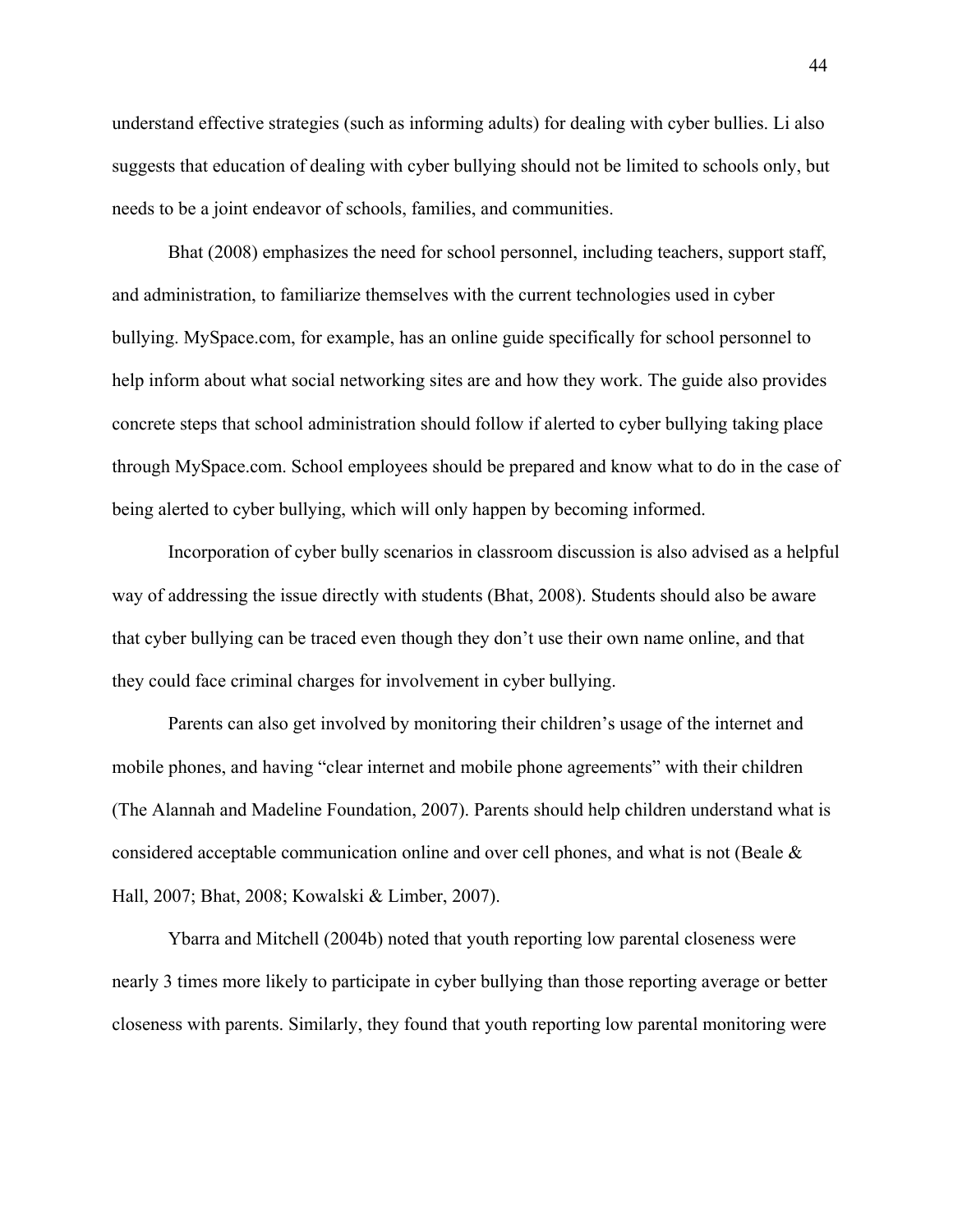understand effective strategies (such as informing adults) for dealing with cyber bullies. Li also suggests that education of dealing with cyber bullying should not be limited to schools only, but needs to be a joint endeavor of schools, families, and communities.

 Bhat (2008) emphasizes the need for school personnel, including teachers, support staff, and administration, to familiarize themselves with the current technologies used in cyber bullying. MySpace.com, for example, has an online guide specifically for school personnel to help inform about what social networking sites are and how they work. The guide also provides concrete steps that school administration should follow if alerted to cyber bullying taking place through MySpace.com. School employees should be prepared and know what to do in the case of being alerted to cyber bullying, which will only happen by becoming informed.

 Incorporation of cyber bully scenarios in classroom discussion is also advised as a helpful way of addressing the issue directly with students (Bhat, 2008). Students should also be aware that cyber bullying can be traced even though they don't use their own name online, and that they could face criminal charges for involvement in cyber bullying.

 Parents can also get involved by monitoring their children's usage of the internet and mobile phones, and having "clear internet and mobile phone agreements" with their children (The Alannah and Madeline Foundation, 2007). Parents should help children understand what is considered acceptable communication online and over cell phones, and what is not (Beale & Hall, 2007; Bhat, 2008; Kowalski & Limber, 2007).

 Ybarra and Mitchell (2004b) noted that youth reporting low parental closeness were nearly 3 times more likely to participate in cyber bullying than those reporting average or better closeness with parents. Similarly, they found that youth reporting low parental monitoring were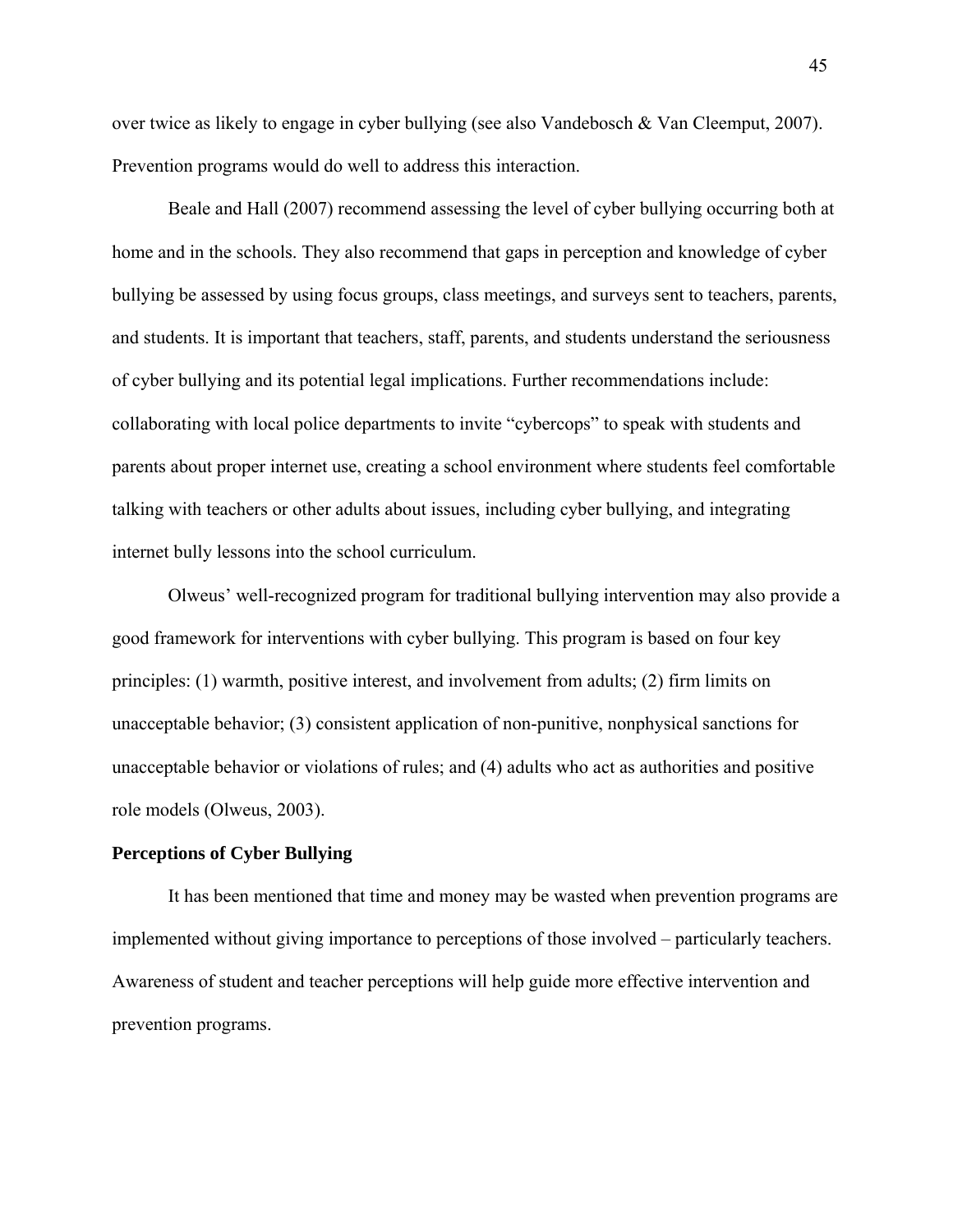over twice as likely to engage in cyber bullying (see also Vandebosch & Van Cleemput, 2007). Prevention programs would do well to address this interaction.

 Beale and Hall (2007) recommend assessing the level of cyber bullying occurring both at home and in the schools. They also recommend that gaps in perception and knowledge of cyber bullying be assessed by using focus groups, class meetings, and surveys sent to teachers, parents, and students. It is important that teachers, staff, parents, and students understand the seriousness of cyber bullying and its potential legal implications. Further recommendations include: collaborating with local police departments to invite "cybercops" to speak with students and parents about proper internet use, creating a school environment where students feel comfortable talking with teachers or other adults about issues, including cyber bullying, and integrating internet bully lessons into the school curriculum.

 Olweus' well-recognized program for traditional bullying intervention may also provide a good framework for interventions with cyber bullying. This program is based on four key principles: (1) warmth, positive interest, and involvement from adults; (2) firm limits on unacceptable behavior; (3) consistent application of non-punitive, nonphysical sanctions for unacceptable behavior or violations of rules; and (4) adults who act as authorities and positive role models (Olweus, 2003).

### **Perceptions of Cyber Bullying**

It has been mentioned that time and money may be wasted when prevention programs are implemented without giving importance to perceptions of those involved – particularly teachers. Awareness of student and teacher perceptions will help guide more effective intervention and prevention programs.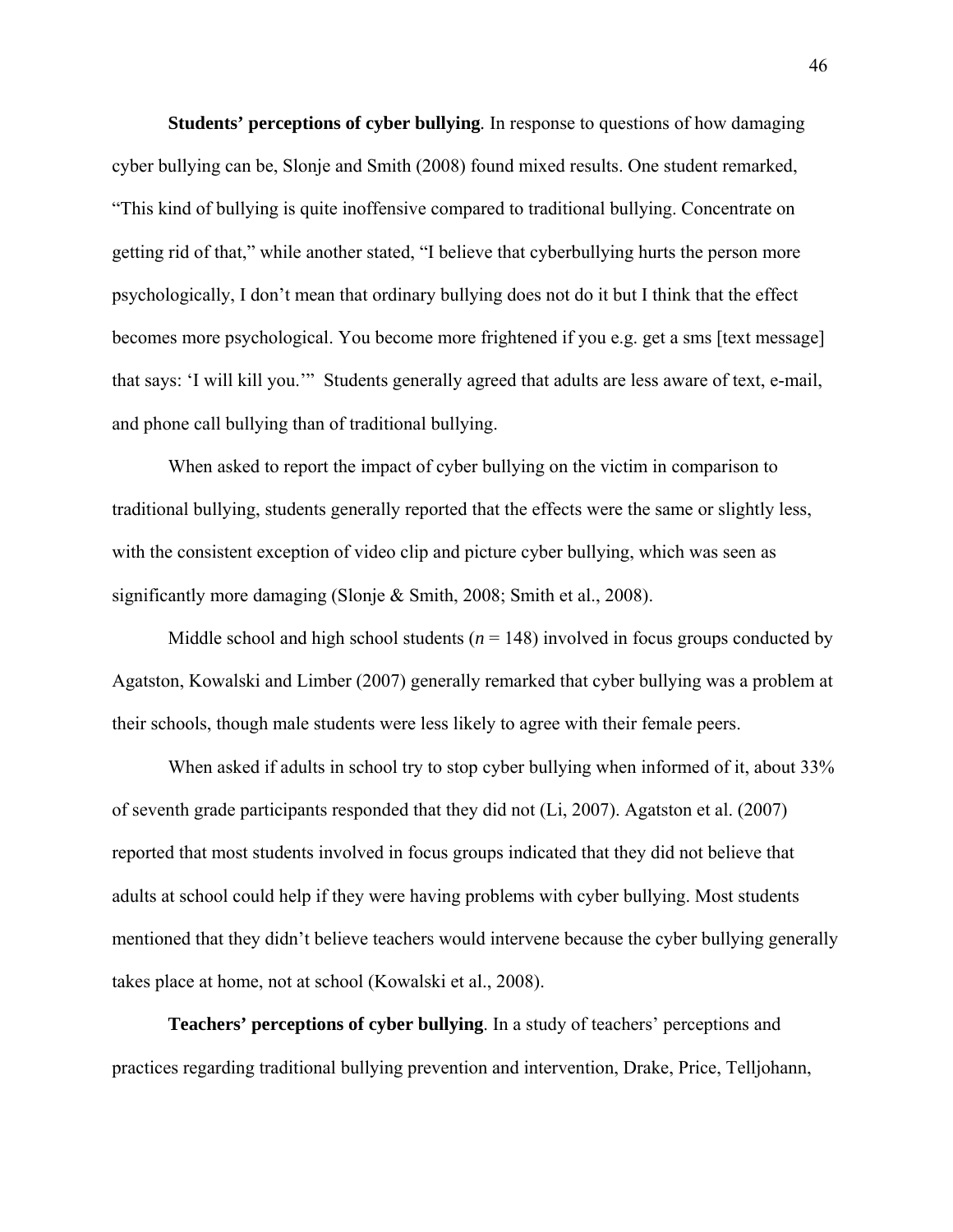**Students' perceptions of cyber bullying***.* In response to questions of how damaging cyber bullying can be, Slonje and Smith (2008) found mixed results. One student remarked, "This kind of bullying is quite inoffensive compared to traditional bullying. Concentrate on getting rid of that," while another stated, "I believe that cyberbullying hurts the person more psychologically, I don't mean that ordinary bullying does not do it but I think that the effect becomes more psychological. You become more frightened if you e.g. get a sms [text message] that says: 'I will kill you.'" Students generally agreed that adults are less aware of text, e-mail, and phone call bullying than of traditional bullying.

 When asked to report the impact of cyber bullying on the victim in comparison to traditional bullying, students generally reported that the effects were the same or slightly less, with the consistent exception of video clip and picture cyber bullying, which was seen as significantly more damaging (Slonje & Smith, 2008; Smith et al., 2008).

Middle school and high school students  $(n = 148)$  involved in focus groups conducted by Agatston, Kowalski and Limber (2007) generally remarked that cyber bullying was a problem at their schools, though male students were less likely to agree with their female peers.

When asked if adults in school try to stop cyber bullying when informed of it, about 33% of seventh grade participants responded that they did not (Li, 2007). Agatston et al. (2007) reported that most students involved in focus groups indicated that they did not believe that adults at school could help if they were having problems with cyber bullying. Most students mentioned that they didn't believe teachers would intervene because the cyber bullying generally takes place at home, not at school (Kowalski et al., 2008).

**Teachers' perceptions of cyber bullying**. In a study of teachers' perceptions and practices regarding traditional bullying prevention and intervention, Drake, Price, Telljohann,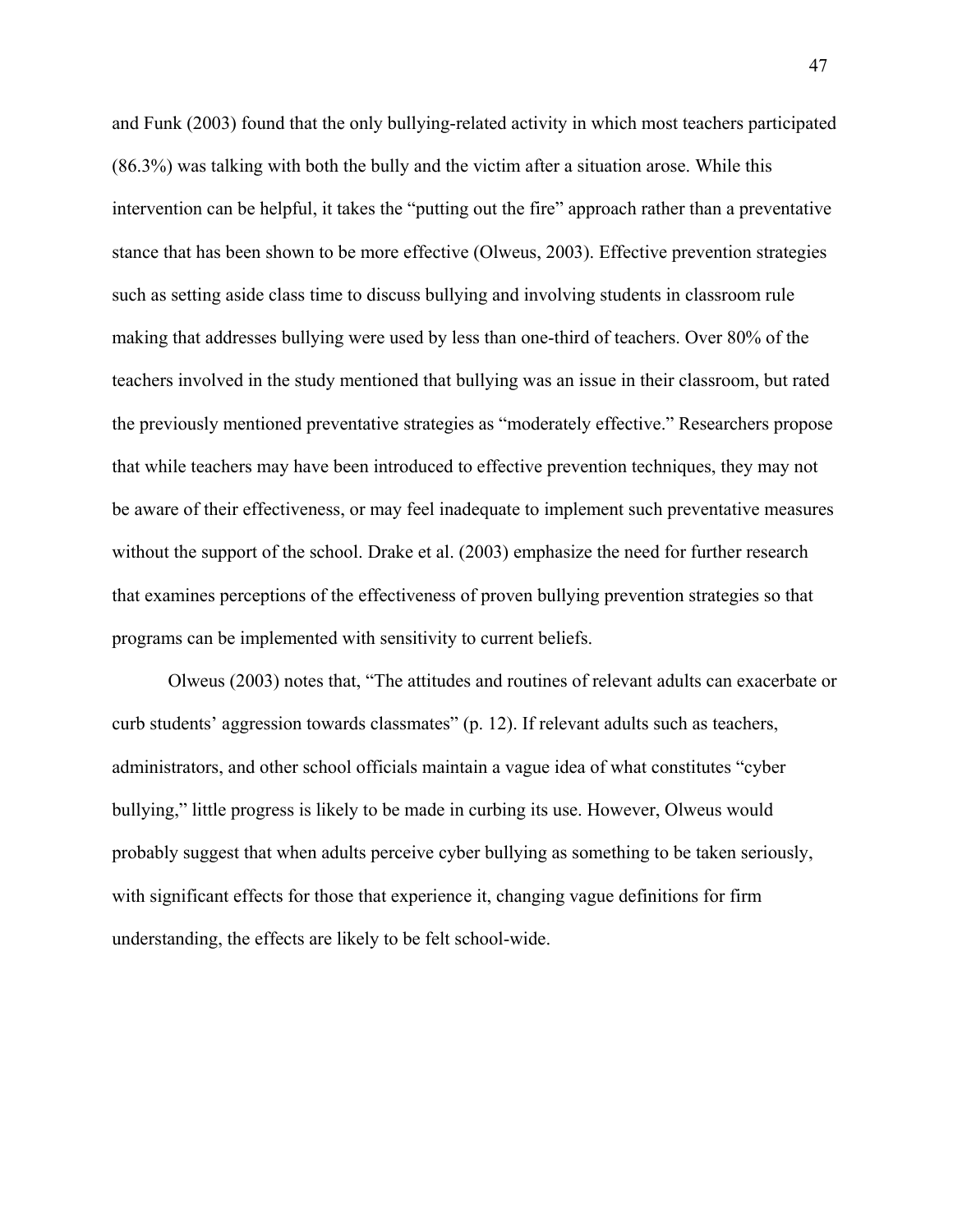and Funk (2003) found that the only bullying-related activity in which most teachers participated (86.3%) was talking with both the bully and the victim after a situation arose. While this intervention can be helpful, it takes the "putting out the fire" approach rather than a preventative stance that has been shown to be more effective (Olweus, 2003). Effective prevention strategies such as setting aside class time to discuss bullying and involving students in classroom rule making that addresses bullying were used by less than one-third of teachers. Over 80% of the teachers involved in the study mentioned that bullying was an issue in their classroom, but rated the previously mentioned preventative strategies as "moderately effective." Researchers propose that while teachers may have been introduced to effective prevention techniques, they may not be aware of their effectiveness, or may feel inadequate to implement such preventative measures without the support of the school. Drake et al. (2003) emphasize the need for further research that examines perceptions of the effectiveness of proven bullying prevention strategies so that programs can be implemented with sensitivity to current beliefs.

 Olweus (2003) notes that, "The attitudes and routines of relevant adults can exacerbate or curb students' aggression towards classmates" (p. 12). If relevant adults such as teachers, administrators, and other school officials maintain a vague idea of what constitutes "cyber bullying," little progress is likely to be made in curbing its use. However, Olweus would probably suggest that when adults perceive cyber bullying as something to be taken seriously, with significant effects for those that experience it, changing vague definitions for firm understanding, the effects are likely to be felt school-wide.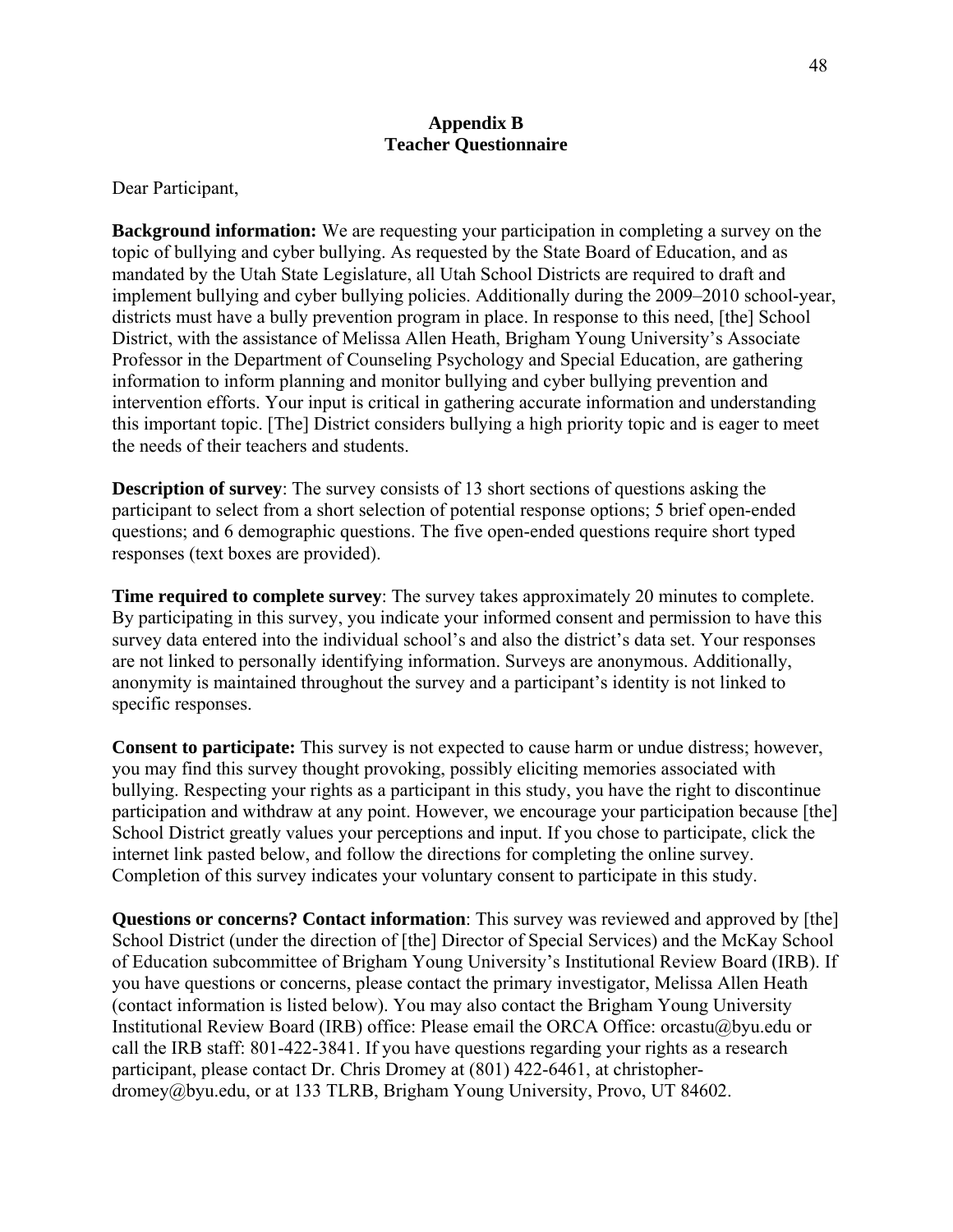### **Appendix B Teacher Questionnaire**

### Dear Participant,

**Background information:** We are requesting your participation in completing a survey on the topic of bullying and cyber bullying. As requested by the State Board of Education, and as mandated by the Utah State Legislature, all Utah School Districts are required to draft and implement bullying and cyber bullying policies. Additionally during the 2009–2010 school-year, districts must have a bully prevention program in place. In response to this need, [the] School District, with the assistance of Melissa Allen Heath, Brigham Young University's Associate Professor in the Department of Counseling Psychology and Special Education, are gathering information to inform planning and monitor bullying and cyber bullying prevention and intervention efforts. Your input is critical in gathering accurate information and understanding this important topic. [The] District considers bullying a high priority topic and is eager to meet the needs of their teachers and students.

**Description of survey:** The survey consists of 13 short sections of questions asking the participant to select from a short selection of potential response options; 5 brief open-ended questions; and 6 demographic questions. The five open-ended questions require short typed responses (text boxes are provided).

**Time required to complete survey**: The survey takes approximately 20 minutes to complete. By participating in this survey, you indicate your informed consent and permission to have this survey data entered into the individual school's and also the district's data set. Your responses are not linked to personally identifying information. Surveys are anonymous. Additionally, anonymity is maintained throughout the survey and a participant's identity is not linked to specific responses.

**Consent to participate:** This survey is not expected to cause harm or undue distress; however, you may find this survey thought provoking, possibly eliciting memories associated with bullying. Respecting your rights as a participant in this study, you have the right to discontinue participation and withdraw at any point. However, we encourage your participation because [the] School District greatly values your perceptions and input. If you chose to participate, click the internet link pasted below, and follow the directions for completing the online survey. Completion of this survey indicates your voluntary consent to participate in this study.

**Questions or concerns? Contact information**: This survey was reviewed and approved by [the] School District (under the direction of [the] Director of Special Services) and the McKay School of Education subcommittee of Brigham Young University's Institutional Review Board (IRB). If you have questions or concerns, please contact the primary investigator, Melissa Allen Heath (contact information is listed below). You may also contact the Brigham Young University Institutional Review Board (IRB) office: Please email the ORCA Office: orcastu@byu.edu or call the IRB staff: 801-422-3841. If you have questions regarding your rights as a research participant, please contact Dr. Chris Dromey at (801) 422-6461, at christopherdromey@byu.edu, or at 133 TLRB, Brigham Young University, Provo, UT 84602.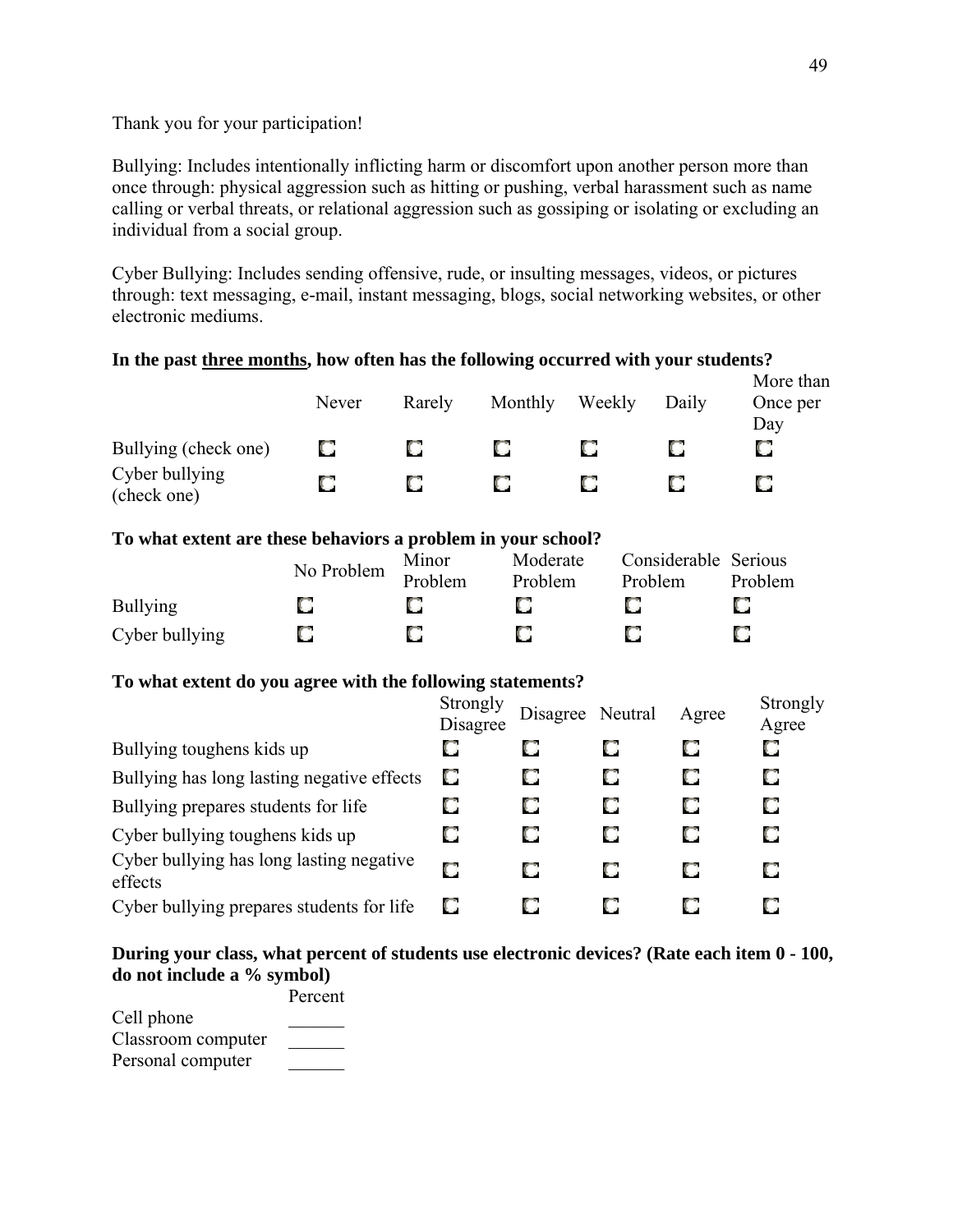### Thank you for your participation!

Bullying: Includes intentionally inflicting harm or discomfort upon another person more than once through: physical aggression such as hitting or pushing, verbal harassment such as name calling or verbal threats, or relational aggression such as gossiping or isolating or excluding an individual from a social group.

Cyber Bullying: Includes sending offensive, rude, or insulting messages, videos, or pictures through: text messaging, e-mail, instant messaging, blogs, social networking websites, or other electronic mediums.

#### **In the past three months, how often has the following occurred with your students?** More than Never Rarely Monthly Weekly Daily Once per Day Bullying (check one) O O O O. O. О Cyber bullying O O  $\Box$ О O О (check one) **To what extent are these behaviors a problem in your school?** No Problem Minor Moderate Considerable Serious Problem Problem Problem Problem Bullying O O O. O О О O O О О Cyber bullying **To what extent do you agree with the following statements? Strongly**<br> **Discover** Strongly<br>Disagree Neutral Agree Strongly<br>Agree Agree О O О O O Bullying toughens kids up O Bullying has long lasting negative effects O O O O O O O O Bullying prepares students for life O. O O. O O O Cyber bullying toughens kids up Cyber bullying has long lasting negative O О O О О effects O О O O О Cyber bullying prepares students for life

### **During your class, what percent of students use electronic devices? (Rate each item 0 - 100, do not include a % symbol)**

|                    | Percent |
|--------------------|---------|
| Cell phone         |         |
| Classroom computer |         |
| Personal computer  |         |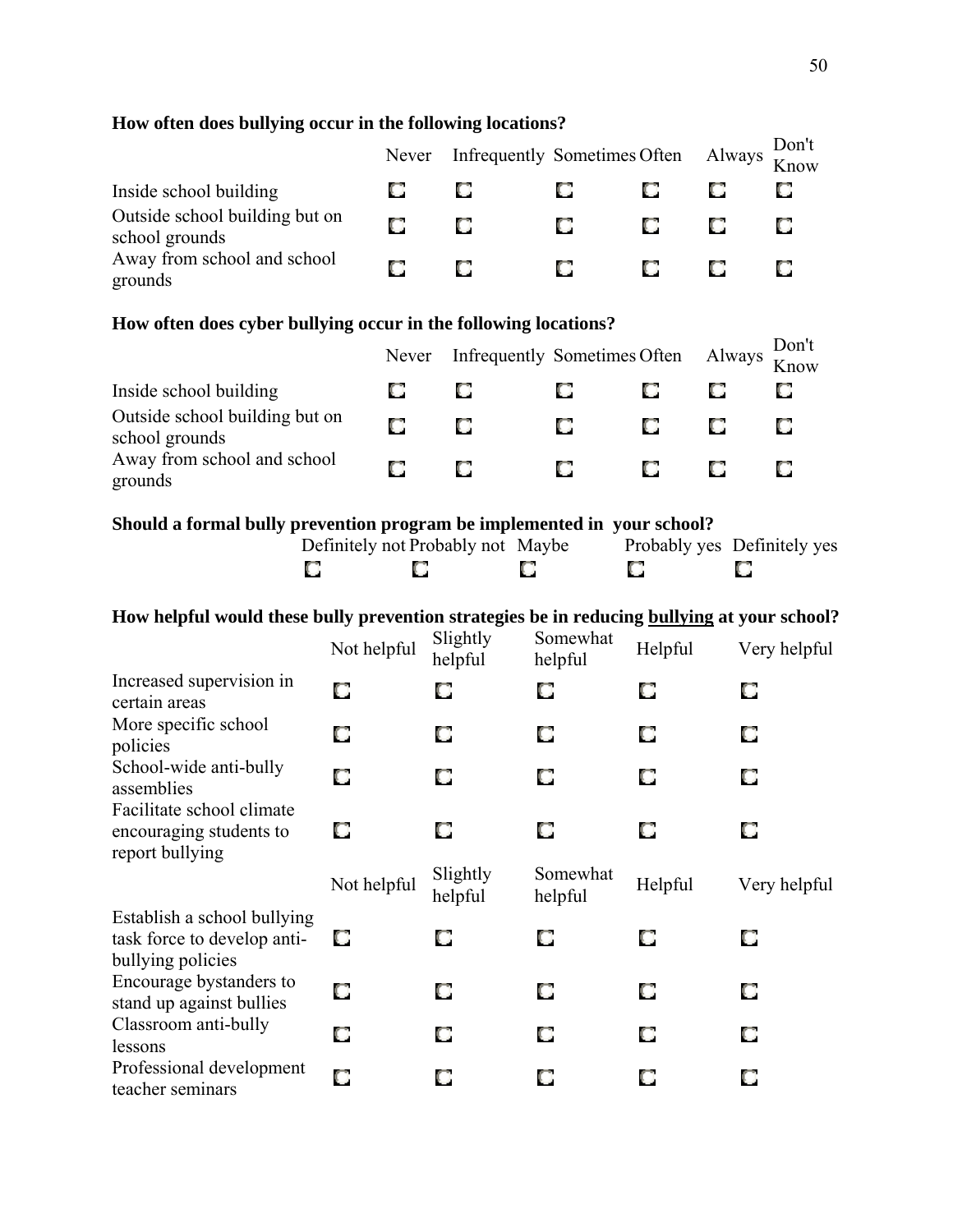### **How often does bullying occur in the following locations?**

|                                                  | Never | Infrequently Sometimes Often Always |    |    |    | Don't<br>Know |
|--------------------------------------------------|-------|-------------------------------------|----|----|----|---------------|
| Inside school building                           | O     |                                     | O. | ЮL | U  |               |
| Outside school building but on<br>school grounds | О     |                                     | O. | O  | O. |               |
| Away from school and school<br>grounds           | О     |                                     | O. | K. | C. |               |

### **How often does cyber bullying occur in the following locations?**

|                                                  | Never | Infrequently Sometimes Often Always |        |   |        | Don't<br>Know |
|--------------------------------------------------|-------|-------------------------------------|--------|---|--------|---------------|
| Inside school building                           | u     | О                                   | K.     | U | О      | O             |
| Outside school building but on<br>school grounds | О     | О                                   | II.    |   | O      | О             |
| Away from school and school<br>grounds           | O     | О                                   | $\Box$ |   | $\Box$ | О             |

### **Should a formal bully prevention program be implemented in your school?**

| Definitely not Probably not Maybe |  | Probably yes Definitely yes |  |
|-----------------------------------|--|-----------------------------|--|
|                                   |  |                             |  |

### **How helpful would these bully prevention strategies be in reducing bullying at your school?**

|                                                                                 | Not helpful | Slightly<br>helpful | Somewhat<br>helpful | Helpful | Very helpful |
|---------------------------------------------------------------------------------|-------------|---------------------|---------------------|---------|--------------|
| Increased supervision in<br>certain areas                                       | O           | О                   | О                   | O       | О            |
| More specific school<br>policies                                                | О           | O                   | О                   | О       | О            |
| School-wide anti-bully<br>assemblies                                            | О           | О                   | О                   | O       | О            |
| Facilitate school climate<br>encouraging students to<br>report bullying         | O           | O                   | O                   |         | О            |
|                                                                                 | Not helpful | Slightly<br>helpful | Somewhat<br>helpful | Helpful | Very helpful |
| Establish a school bullying<br>task force to develop anti-<br>bullying policies | О           | О                   | О                   | О       | О            |
| Encourage by standers to<br>stand up against bullies                            | О           | O                   | О                   | О       | О            |
| Classroom anti-bully<br>lessons                                                 | О           | О                   | О                   | O       | О            |
| Professional development<br>teacher seminars                                    | О           | O                   | О                   |         | О            |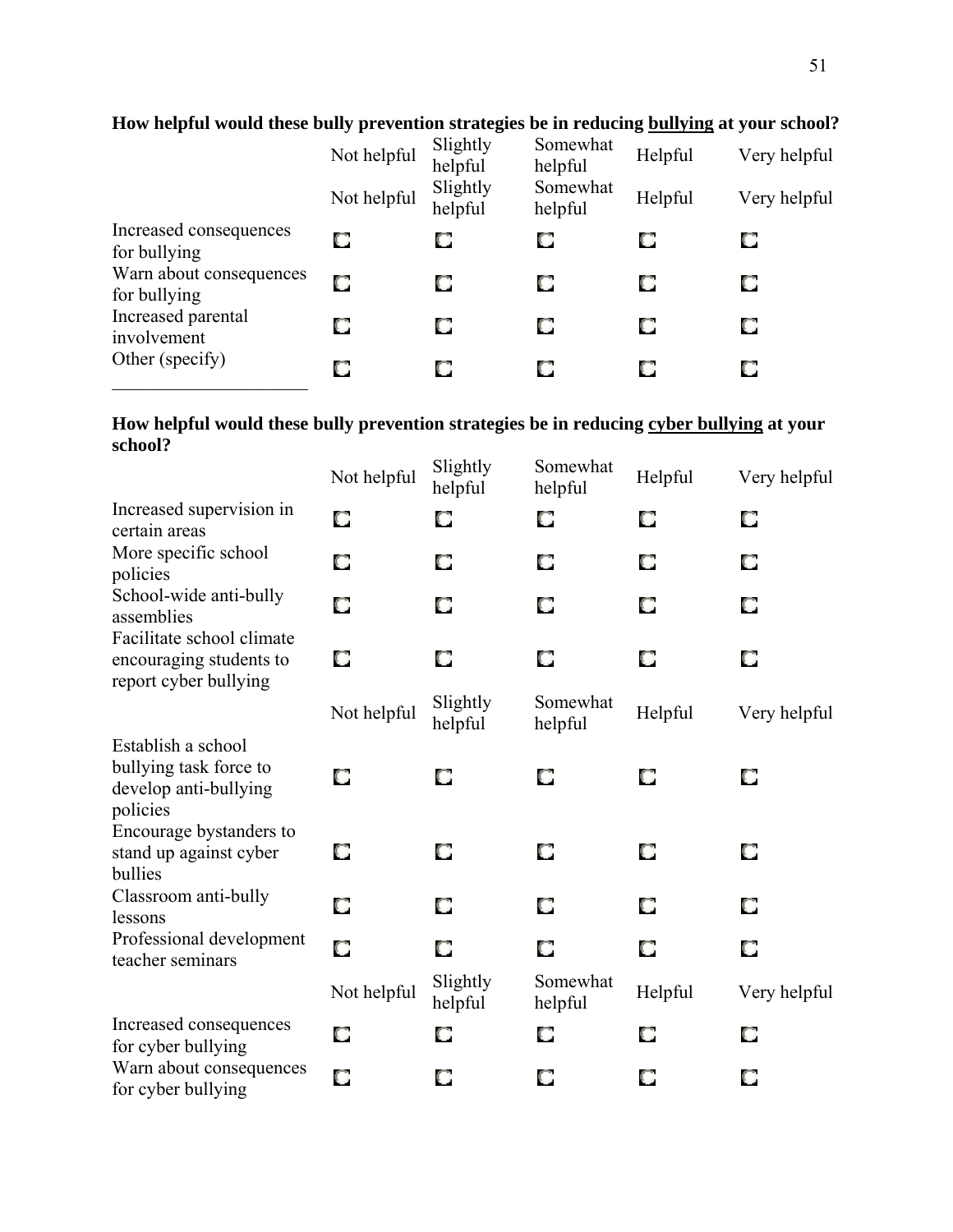|                                         | Not helpful | Slightly<br>helpful | Somewhat<br>helpful | Helpful | Very helpful |
|-----------------------------------------|-------------|---------------------|---------------------|---------|--------------|
|                                         | Not helpful | Slightly<br>helpful | Somewhat<br>helpful | Helpful | Very helpful |
| Increased consequences<br>for bullying  | О           | O                   | О                   |         | О            |
| Warn about consequences<br>for bullying | О           | O                   | O                   | О       | О            |
| Increased parental<br>involvement       | О           | O                   | О                   |         | О            |
| Other (specify)                         | О           | O                   | О                   |         | О            |

### **How helpful would these bully prevention strategies be in reducing bullying at your school?**

### **How helpful would these bully prevention strategies be in reducing cyber bullying at your school?**

|                                                                                   | Not helpful | Slightly<br>helpful | Somewhat<br>helpful | Helpful | Very helpful |
|-----------------------------------------------------------------------------------|-------------|---------------------|---------------------|---------|--------------|
| Increased supervision in<br>certain areas                                         | О           | O                   | O                   | O       | O            |
| More specific school<br>policies                                                  | О           | O                   | O                   | O       | О            |
| School-wide anti-bully<br>assemblies                                              | О           | О                   | O                   | О       | О            |
| Facilitate school climate<br>encouraging students to<br>report cyber bullying     | О           | О                   | О                   | О       | О            |
|                                                                                   | Not helpful | Slightly<br>helpful | Somewhat<br>helpful | Helpful | Very helpful |
| Establish a school<br>bullying task force to<br>develop anti-bullying<br>policies | O           | O                   | O                   | O       | O            |
| Encourage bystanders to<br>stand up against cyber<br>bullies                      | О           | О                   | О                   | О       | О            |
| Classroom anti-bully<br>lessons                                                   | О           | О                   | О                   | О       | О            |
| Professional development<br>teacher seminars                                      | O           | O                   | O                   | O       | О            |
|                                                                                   | Not helpful | Slightly<br>helpful | Somewhat<br>helpful | Helpful | Very helpful |
| Increased consequences<br>for cyber bullying                                      | O           | О                   | О                   | О       | О            |
| Warn about consequences<br>for cyber bullying                                     | О           | O                   | O                   | О       | О            |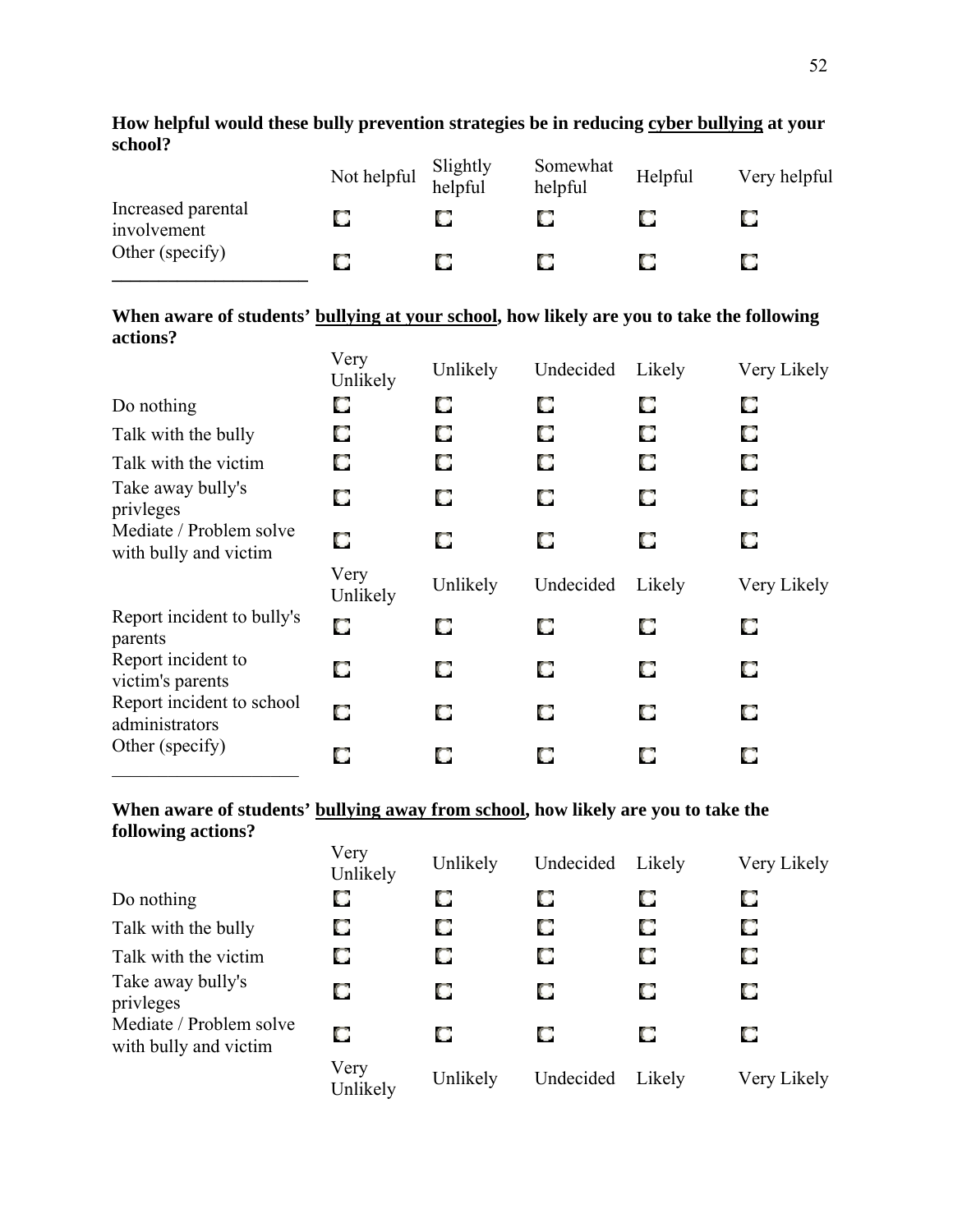|                                   | Not helpful | Slightly<br>helpful | Somewhat<br>helpful | Helpful | Very helpful |
|-----------------------------------|-------------|---------------------|---------------------|---------|--------------|
| Increased parental<br>involvement |             |                     |                     |         |              |
| Other (specify)                   |             |                     |                     | U       |              |

### **How helpful would these bully prevention strategies be in reducing cyber bullying at your school?**

### **When aware of students' bullying at your school, how likely are you to take the following actions?**

|                                                  | Very<br>Unlikely | Unlikely | Undecided | Likely | Very Likely |
|--------------------------------------------------|------------------|----------|-----------|--------|-------------|
| Do nothing                                       | О                | O        | О         | O      | O           |
| Talk with the bully                              | О                | О        | О         | O      | О           |
| Talk with the victim                             | О                | O        | O         | O      | О           |
| Take away bully's<br>privleges                   | О                | О        | О         | О      | O           |
| Mediate / Problem solve<br>with bully and victim | О                | O        | O         | O      | O           |
|                                                  |                  |          |           |        |             |
|                                                  | Very<br>Unlikely | Unlikely | Undecided | Likely | Very Likely |
| Report incident to bully's<br>parents            | О                | O        | O         | O      | O           |
| Report incident to<br>victim's parents           | O                | О        | О         | O      | O           |
| Report incident to school<br>administrators      | О                | O        | О         | О      | O           |

### **When aware of students' bullying away from school, how likely are you to take the following actions?**

| o                                                | Very<br>Unlikely | Unlikely | Undecided | Likely | Very Likely |
|--------------------------------------------------|------------------|----------|-----------|--------|-------------|
| Do nothing                                       | О                | O        | О         | O      | O           |
| Talk with the bully                              | О                | O        | О         | О      | О           |
| Talk with the victim                             | О                | O        | О         | О      | О           |
| Take away bully's<br>privleges                   | О                | О        | О         | О      | О           |
| Mediate / Problem solve<br>with bully and victim | О                | O        | O         | O      | O           |
|                                                  | Very<br>Unlikely | Unlikely | Undecided | Likely | Very Likely |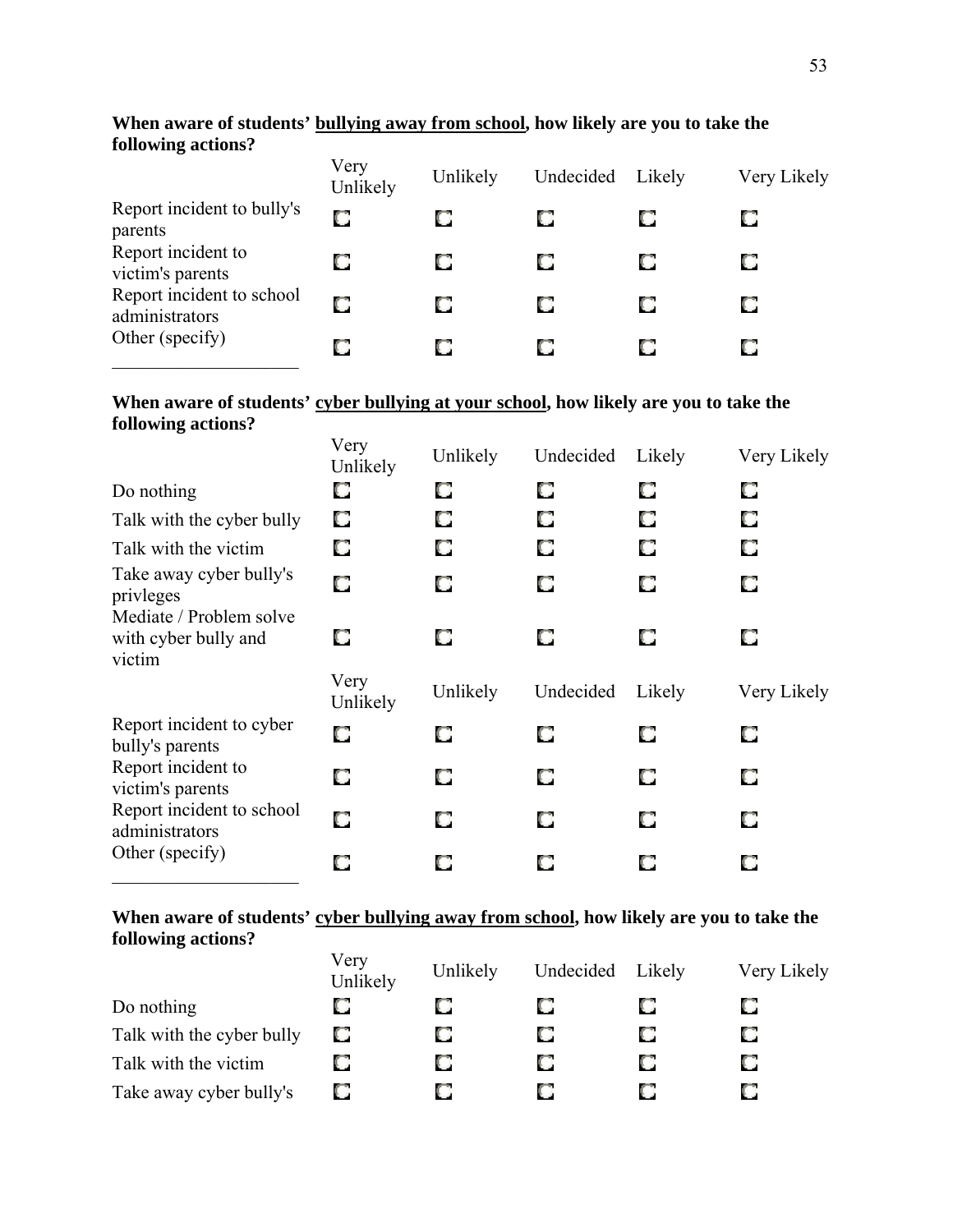### **When aware of students' bullying away from school, how likely are you to take the following actions?**

|                                             | Very<br>Unlikely | Unlikely | Undecided | Likely | Very Likely |
|---------------------------------------------|------------------|----------|-----------|--------|-------------|
| Report incident to bully's<br>parents       | O                |          |           |        | O           |
| Report incident to<br>victim's parents      | О                | O        |           | O      | О           |
| Report incident to school<br>administrators | O                | О        |           | O      | О           |
| Other (specify)                             | О                |          |           |        | О           |

### When aware of students' cyber bullying at your school, how likely are you to take the **following actions?**

|                                                                | Very<br>Unlikely | Unlikely | Undecided | Likely | Very Likely |
|----------------------------------------------------------------|------------------|----------|-----------|--------|-------------|
| Do nothing                                                     | O                | O        | O         | О      | O           |
| Talk with the cyber bully                                      | O                | О        | О         | О      | O           |
| Talk with the victim                                           | О                | О        |           | О      | O           |
| Take away cyber bully's<br>privleges                           | О                | O        | O         | О      | O           |
| Mediate / Problem solve<br>with cyber bully and<br>victim      | O                | О        |           | О      | O           |
|                                                                |                  |          |           |        |             |
|                                                                | Very<br>Unlikely | Unlikely | Undecided | Likely | Very Likely |
| Report incident to cyber<br>bully's parents                    | O                | O        | O         | О      | O           |
| Report incident to<br>victim's parents                         | О                | O        | O         | О      | O           |
| Report incident to school<br>administrators<br>Other (specify) | О                | O        | O         | О      | О           |

### When aware of students' cyber bullying away from school, how likely are you to take the **following actions?**

|                           | Very<br>Unlikely | Unlikely | Undecided | Likely | Very Likely |
|---------------------------|------------------|----------|-----------|--------|-------------|
| Do nothing                |                  |          |           |        |             |
| Talk with the cyber bully | O                | O        |           | O      |             |
| Talk with the victim      |                  | O        |           | O      |             |
| Take away cyber bully's   |                  |          |           |        |             |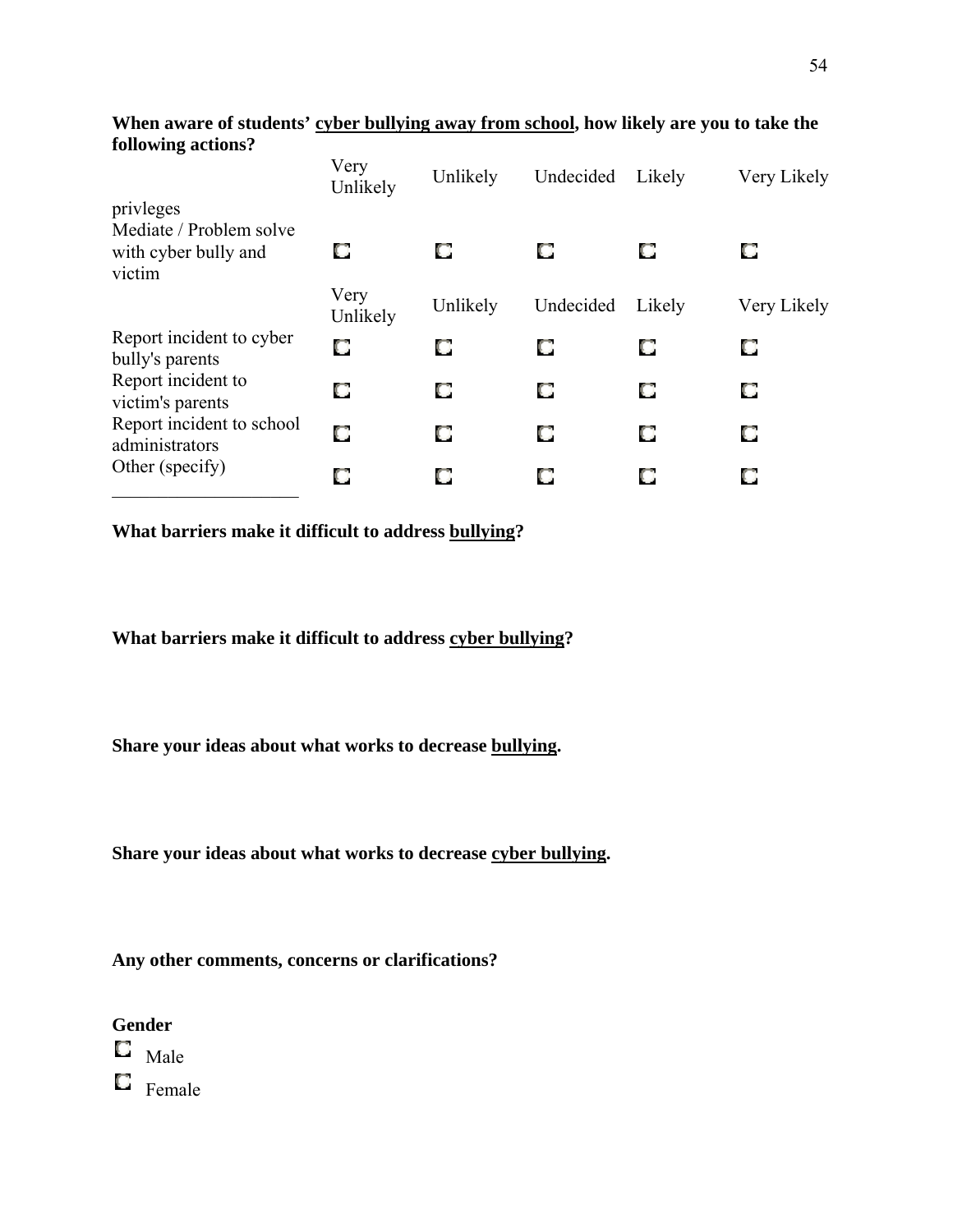|                                                                        | Very<br>Unlikely | Unlikely | Undecided | Likely | Very Likely |
|------------------------------------------------------------------------|------------------|----------|-----------|--------|-------------|
| privleges<br>Mediate / Problem solve<br>with cyber bully and<br>victim | О                | O        | О         | O      | O           |
|                                                                        | Very<br>Unlikely | Unlikely | Undecided | Likely | Very Likely |
| Report incident to cyber<br>bully's parents                            | О                | О        |           | O      | О           |
| Report incident to<br>victim's parents                                 | О                | O        |           | O      | O           |
| Report incident to school<br>administrators                            | О                | О        |           | O      | O           |
| Other (specify)                                                        | О                | О        |           | O      | O           |

**When aware of students' cyber bullying away from school, how likely are you to take the following actions?**

**What barriers make it difficult to address bullying?**

**What barriers make it difficult to address cyber bullying?**

**Share your ideas about what works to decrease bullying.**

**Share your ideas about what works to decrease cyber bullying.**

**Any other comments, concerns or clarifications?**

 $\Box$  Male

 $\blacksquare$  Female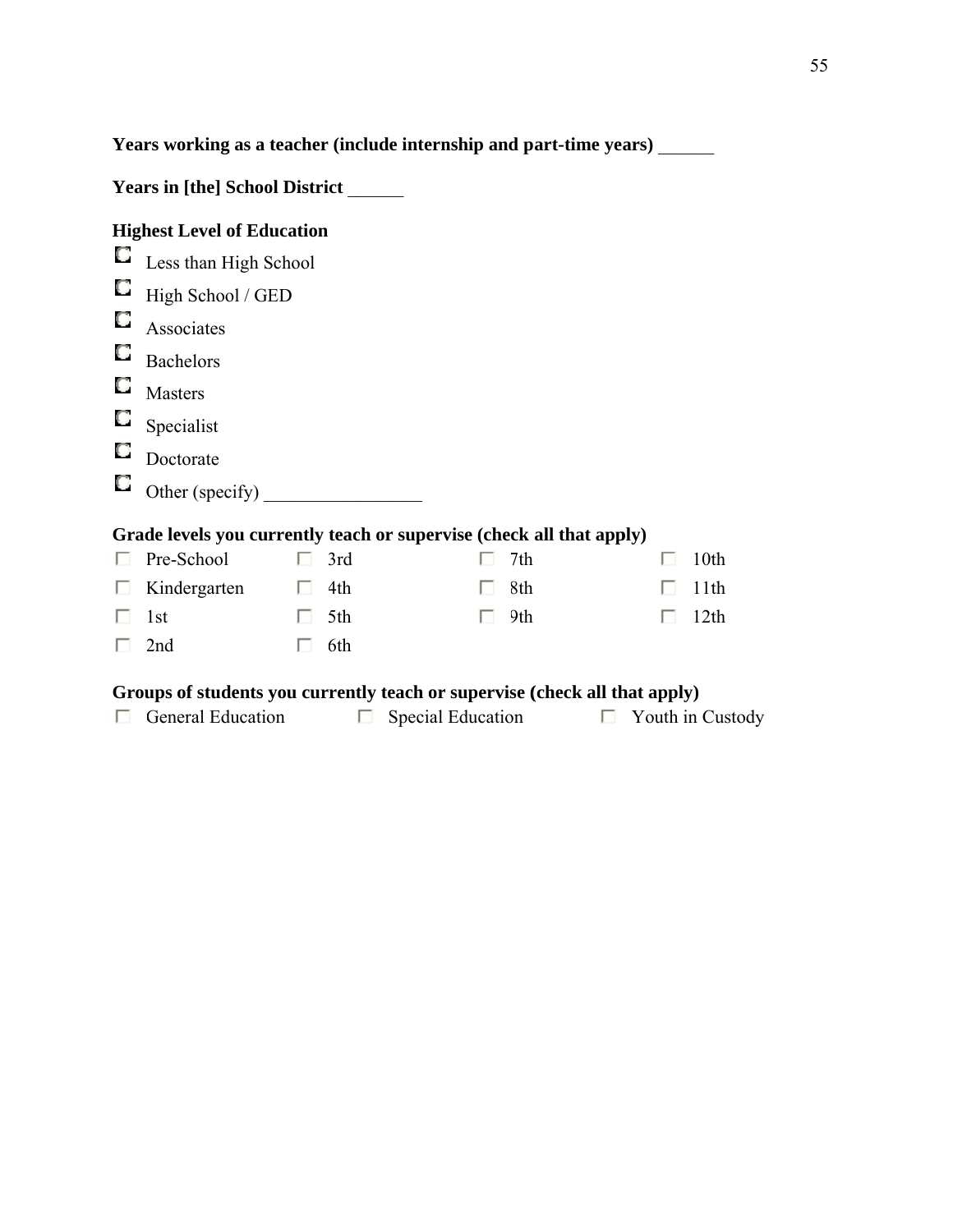**Years working as a teacher (include internship and part-time years) \_\_\_\_\_** 

| <b>Years in [the] School District</b>                                |                                   |   |     |  |     |   |                  |
|----------------------------------------------------------------------|-----------------------------------|---|-----|--|-----|---|------------------|
|                                                                      | <b>Highest Level of Education</b> |   |     |  |     |   |                  |
| U                                                                    | Less than High School             |   |     |  |     |   |                  |
| u                                                                    | High School / GED                 |   |     |  |     |   |                  |
| U                                                                    | Associates                        |   |     |  |     |   |                  |
| u                                                                    | <b>Bachelors</b>                  |   |     |  |     |   |                  |
| O                                                                    | <b>Masters</b>                    |   |     |  |     |   |                  |
| O                                                                    | Specialist                        |   |     |  |     |   |                  |
| O                                                                    | Doctorate                         |   |     |  |     |   |                  |
| o                                                                    | Other (specify)                   |   |     |  |     |   |                  |
| Grade levels you currently teach or supervise (check all that apply) |                                   |   |     |  |     |   |                  |
|                                                                      | Pre-School                        | ш | 3rd |  | 7th | ш | 10th             |
|                                                                      | Kindergarten                      | п | 4th |  | 8th |   | 11th             |
|                                                                      | 1st                               |   | 5th |  | 9th |   | 12 <sup>th</sup> |
|                                                                      | 2nd                               |   | 6th |  |     |   |                  |

### Groups of students you currently teach or supervise (check all that apply)

| <b>General Education</b> | $\Box$ Special Education | $\Box$ Youth in Custody |
|--------------------------|--------------------------|-------------------------|
|                          |                          |                         |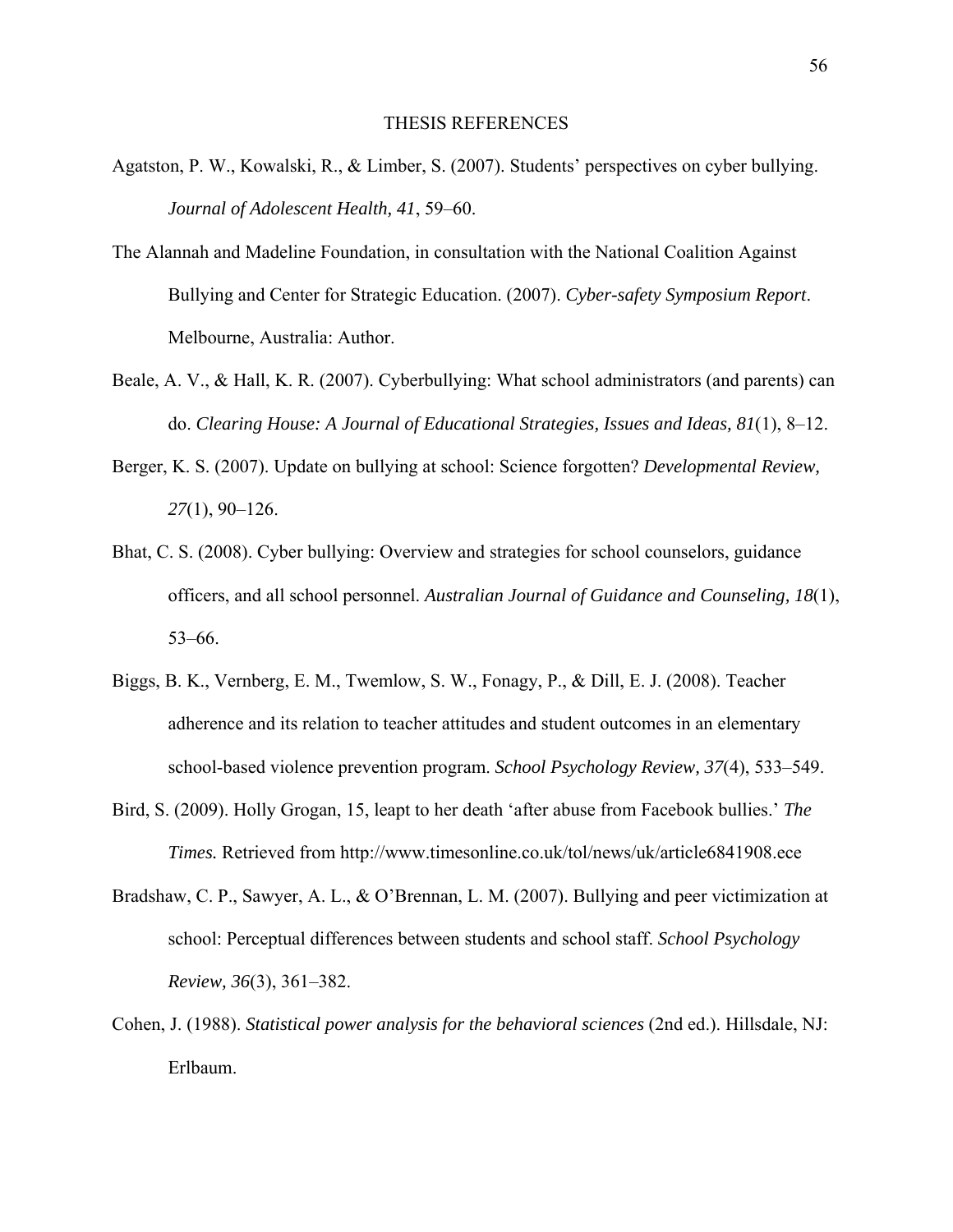#### THESIS REFERENCES

- Agatston, P. W., Kowalski, R., & Limber, S. (2007). Students' perspectives on cyber bullying. *Journal of Adolescent Health, 41*, 59–60.
- The Alannah and Madeline Foundation, in consultation with the National Coalition Against Bullying and Center for Strategic Education. (2007). *Cyber-safety Symposium Report*. Melbourne, Australia: Author.
- Beale, A. V., & Hall, K. R. (2007). Cyberbullying: What school administrators (and parents) can do. *Clearing House: A Journal of Educational Strategies, Issues and Ideas, 81*(1), 8–12.
- Berger, K. S. (2007). Update on bullying at school: Science forgotten? *Developmental Review, 27*(1), 90–126.
- Bhat, C. S. (2008). Cyber bullying: Overview and strategies for school counselors, guidance officers, and all school personnel. *Australian Journal of Guidance and Counseling, 18*(1), 53–66.
- Biggs, B. K., Vernberg, E. M., Twemlow, S. W., Fonagy, P., & Dill, E. J. (2008). Teacher adherence and its relation to teacher attitudes and student outcomes in an elementary school-based violence prevention program. *School Psychology Review, 37*(4), 533–549.
- Bird, S. (2009). Holly Grogan, 15, leapt to her death 'after abuse from Facebook bullies.' *The Times.* Retrieved from http://www.timesonline.co.uk/tol/news/uk/article6841908.ece
- Bradshaw, C. P., Sawyer, A. L., & O'Brennan, L. M. (2007). Bullying and peer victimization at school: Perceptual differences between students and school staff. *School Psychology Review, 36*(3), 361–382.
- Cohen, J. (1988). *Statistical power analysis for the behavioral sciences* (2nd ed.). Hillsdale, NJ: Erlbaum.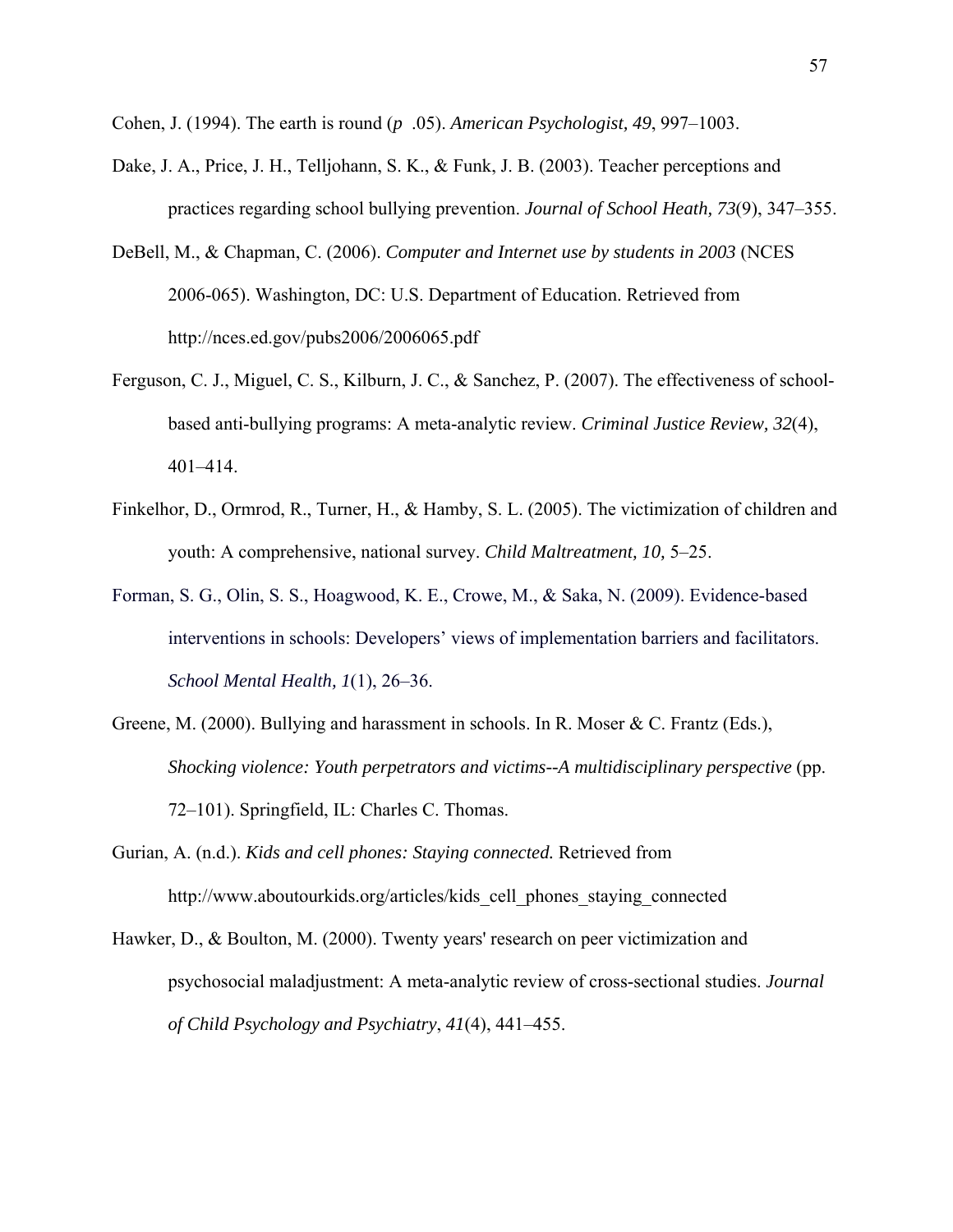Cohen, J. (1994). The earth is round (*p* .05). *American Psychologist, 49*, 997–1003.

- Dake, J. A., Price, J. H., Telljohann, S. K., & Funk, J. B. (2003). Teacher perceptions and practices regarding school bullying prevention. *Journal of School Heath, 73*(9), 347–355.
- DeBell, M., & Chapman, C. (2006). *Computer and Internet use by students in 2003* (NCES 2006-065). Washington, DC: U.S. Department of Education. Retrieved from http://nces.ed.gov/pubs2006/2006065.pdf
- Ferguson, C. J., Miguel, C. S., Kilburn, J. C., & Sanchez, P. (2007). The effectiveness of schoolbased anti-bullying programs: A meta-analytic review. *Criminal Justice Review, 32*(4), 401–414.
- Finkelhor, D., Ormrod, R., Turner, H., & Hamby, S. L. (2005). The victimization of children and youth: A comprehensive, national survey. *Child Maltreatment, 10,* 5–25.
- Forman, S. G., Olin, S. S., Hoagwood, K. E., Crowe, M., & Saka, N. (2009). Evidence-based interventions in schools: Developers' views of implementation barriers and facilitators. *School Mental Health, 1*(1), 26–36.
- Greene, M. (2000). Bullying and harassment in schools. In R. Moser & C. Frantz (Eds.), *Shocking violence: Youth perpetrators and victims--A multidisciplinary perspective* (pp. 72–101). Springfield, IL: Charles C. Thomas.
- Gurian, A. (n.d.). *Kids and cell phones: Staying connected.* Retrieved from http://www.aboutourkids.org/articles/kids\_cell\_phones\_staying\_connected
- Hawker, D., & Boulton, M. (2000). Twenty years' research on peer victimization and psychosocial maladjustment: A meta-analytic review of cross-sectional studies. *Journal of Child Psychology and Psychiatry*, *41*(4), 441–455.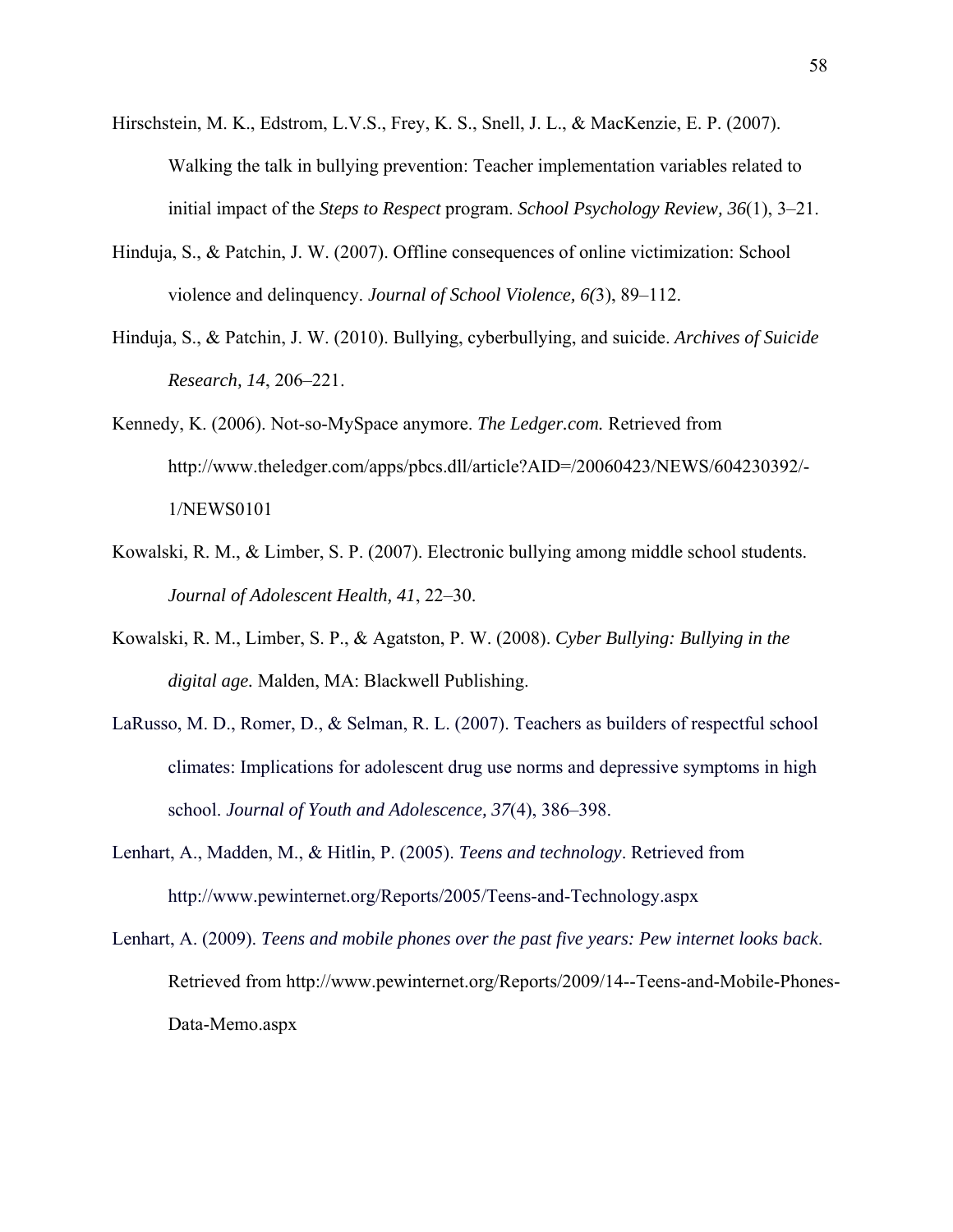- Hirschstein, M. K., Edstrom, L.V.S., Frey, K. S., Snell, J. L., & MacKenzie, E. P. (2007). Walking the talk in bullying prevention: Teacher implementation variables related to initial impact of the *Steps to Respect* program. *School Psychology Review, 36*(1), 3–21.
- Hinduja, S., & Patchin, J. W. (2007). Offline consequences of online victimization: School violence and delinquency. *Journal of School Violence, 6(*3), 89–112.
- Hinduja, S., & Patchin, J. W. (2010). Bullying, cyberbullying, and suicide. *Archives of Suicide Research, 14*, 206–221.
- Kennedy, K. (2006). Not-so-MySpace anymore. *The Ledger.com.* Retrieved from http://www.theledger.com/apps/pbcs.dll/article?AID=/20060423/NEWS/604230392/- 1/NEWS0101
- Kowalski, R. M., & Limber, S. P. (2007). Electronic bullying among middle school students. *Journal of Adolescent Health, 41*, 22–30.
- Kowalski, R. M., Limber, S. P., & Agatston, P. W. (2008). *Cyber Bullying: Bullying in the digital age.* Malden, MA: Blackwell Publishing.
- LaRusso, M. D., Romer, D., & Selman, R. L. (2007). Teachers as builders of respectful school climates: Implications for adolescent drug use norms and depressive symptoms in high school. *Journal of Youth and Adolescence, 37*(4), 386–398.
- Lenhart, A., Madden, M., & Hitlin, P. (2005). *Teens and technology*. Retrieved from http://www.pewinternet.org/Reports/2005/Teens-and-Technology.aspx
- Lenhart, A. (2009). *Teens and mobile phones over the past five years: Pew internet looks back*. Retrieved from http://www.pewinternet.org/Reports/2009/14--Teens-and-Mobile-Phones-Data-Memo.aspx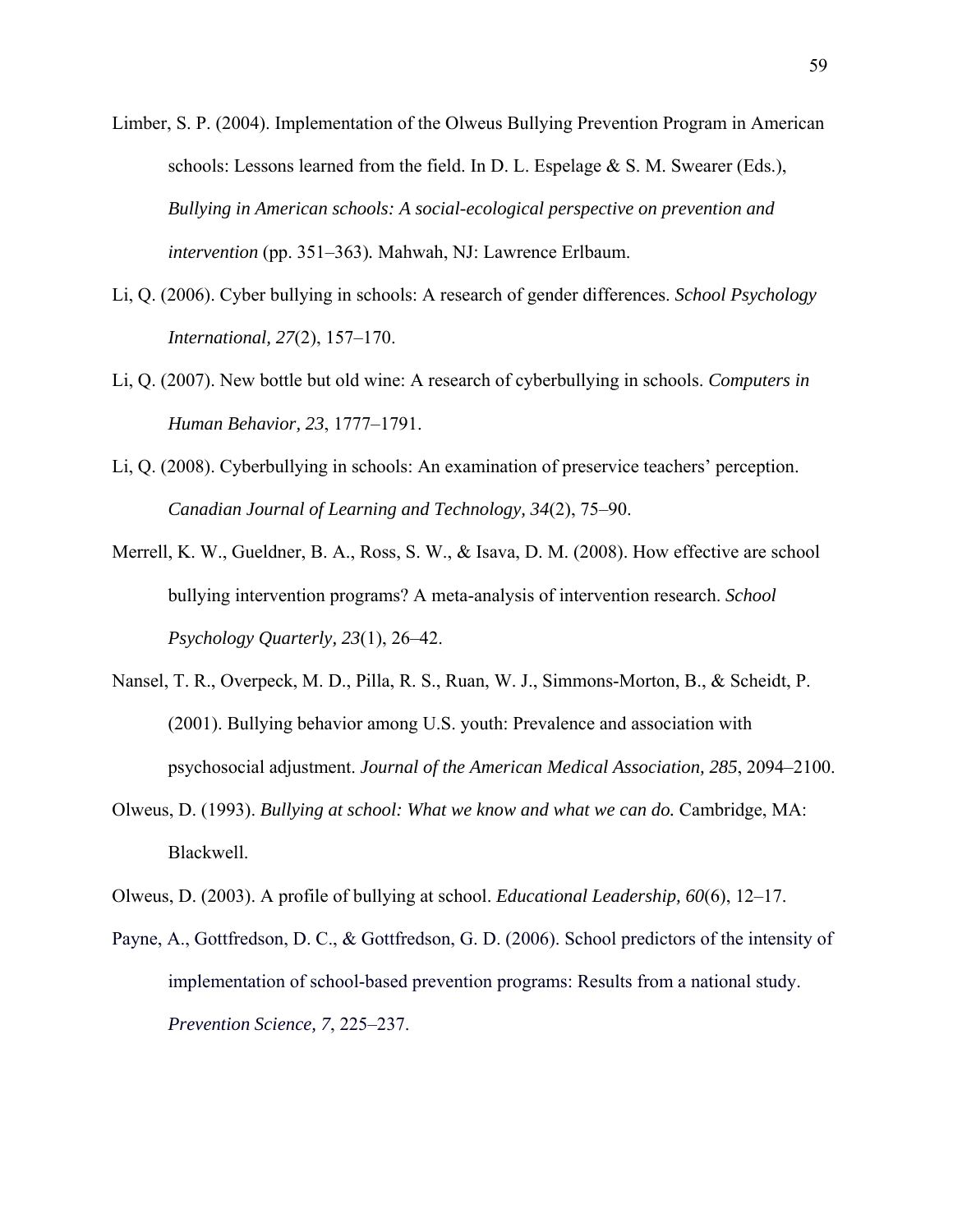- Limber, S. P. (2004). Implementation of the Olweus Bullying Prevention Program in American schools: Lessons learned from the field. In D. L. Espelage  $& S. M.$  Swearer (Eds.), *Bullying in American schools: A social-ecological perspective on prevention and intervention* (pp. 351–363)*.* Mahwah, NJ: Lawrence Erlbaum.
- Li, Q. (2006). Cyber bullying in schools: A research of gender differences. *School Psychology International, 27*(2), 157–170.
- Li, Q. (2007). New bottle but old wine: A research of cyberbullying in schools. *Computers in Human Behavior, 23*, 1777–1791.
- Li, Q. (2008). Cyberbullying in schools: An examination of preservice teachers' perception. *Canadian Journal of Learning and Technology, 34*(2), 75–90.
- Merrell, K. W., Gueldner, B. A., Ross, S. W., & Isava, D. M. (2008). How effective are school bullying intervention programs? A meta-analysis of intervention research. *School Psychology Quarterly, 23*(1), 26–42.
- Nansel, T. R., Overpeck, M. D., Pilla, R. S., Ruan, W. J., Simmons-Morton, B., & Scheidt, P. (2001). Bullying behavior among U.S. youth: Prevalence and association with psychosocial adjustment. *Journal of the American Medical Association, 285*, 2094–2100.
- Olweus, D. (1993). *Bullying at school: What we know and what we can do.* Cambridge, MA: Blackwell.
- Olweus, D. (2003). A profile of bullying at school. *Educational Leadership, 60*(6), 12–17.
- Payne, A., Gottfredson, D. C., & Gottfredson, G. D. (2006). School predictors of the intensity of implementation of school-based prevention programs: Results from a national study. *Prevention Science, 7*, 225–237.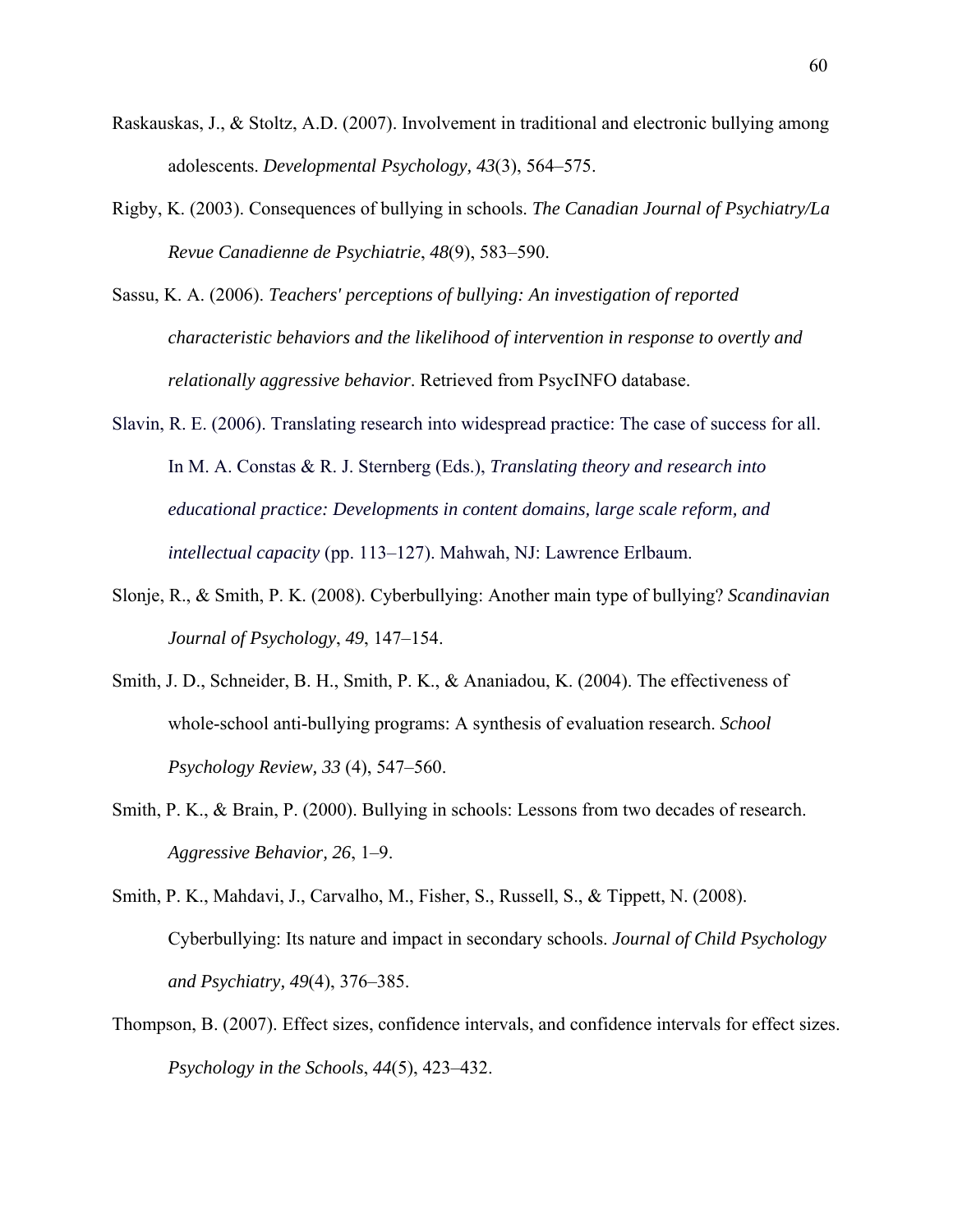- Raskauskas, J., & Stoltz, A.D. (2007). Involvement in traditional and electronic bullying among adolescents. *Developmental Psychology, 43*(3), 564–575.
- Rigby, K. (2003). Consequences of bullying in schools. *The Canadian Journal of Psychiatry/La Revue Canadienne de Psychiatrie*, *48*(9), 583–590.
- Sassu, K. A. (2006). *Teachers' perceptions of bullying: An investigation of reported characteristic behaviors and the likelihood of intervention in response to overtly and relationally aggressive behavior*. Retrieved from PsycINFO database.
- Slavin, R. E. (2006). Translating research into widespread practice: The case of success for all. In M. A. Constas & R. J. Sternberg (Eds.), *Translating theory and research into educational practice: Developments in content domains, large scale reform, and intellectual capacity* (pp. 113–127). Mahwah, NJ: Lawrence Erlbaum.
- Slonje, R., & Smith, P. K. (2008). Cyberbullying: Another main type of bullying? *Scandinavian Journal of Psychology*, *49*, 147–154.
- Smith, J. D., Schneider, B. H., Smith, P. K., & Ananiadou, K. (2004). The effectiveness of whole-school anti-bullying programs: A synthesis of evaluation research. *School Psychology Review, 33* (4), 547–560.
- Smith, P. K., & Brain, P. (2000). Bullying in schools: Lessons from two decades of research. *Aggressive Behavior, 26*, 1–9.
- Smith, P. K., Mahdavi, J., Carvalho, M., Fisher, S., Russell, S., & Tippett, N. (2008). Cyberbullying: Its nature and impact in secondary schools. *Journal of Child Psychology and Psychiatry, 49*(4), 376–385.
- Thompson, B. (2007). Effect sizes, confidence intervals, and confidence intervals for effect sizes. *Psychology in the Schools*, *44*(5), 423–432.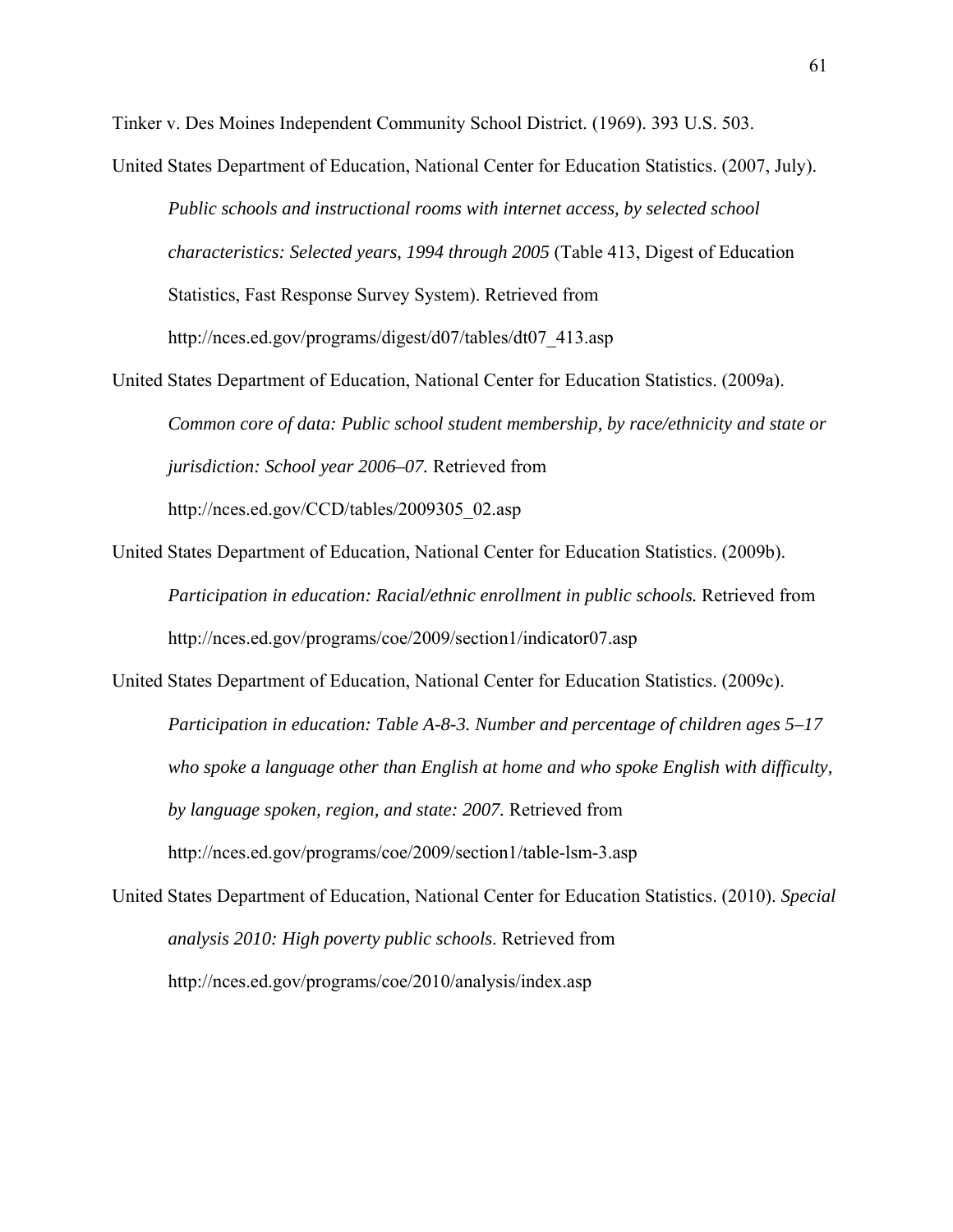Tinker v. Des Moines Independent Community School District. (1969). 393 U.S. 503.

United States Department of Education, National Center for Education Statistics. (2007, July).

*Public schools and instructional rooms with internet access, by selected school characteristics: Selected years, 1994 through 2005* (Table 413, Digest of Education Statistics, Fast Response Survey System). Retrieved from http://nces.ed.gov/programs/digest/d07/tables/dt07\_413.asp

- United States Department of Education, National Center for Education Statistics. (2009a). *Common core of data: Public school student membership, by race/ethnicity and state or jurisdiction: School year 2006–07.* Retrieved from http://nces.ed.gov/CCD/tables/2009305\_02.asp
- United States Department of Education, National Center for Education Statistics. (2009b). *Participation in education: Racial/ethnic enrollment in public schools.* Retrieved from http://nces.ed.gov/programs/coe/2009/section1/indicator07.asp

United States Department of Education, National Center for Education Statistics. (2009c). *Participation in education: Table A-8-3. Number and percentage of children ages 5–17 who spoke a language other than English at home and who spoke English with difficulty, by language spoken, region, and state: 2007.* Retrieved from http://nces.ed.gov/programs/coe/2009/section1/table-lsm-3.asp

United States Department of Education, National Center for Education Statistics. (2010). *Special analysis 2010: High poverty public schools*. Retrieved from http://nces.ed.gov/programs/coe/2010/analysis/index.asp